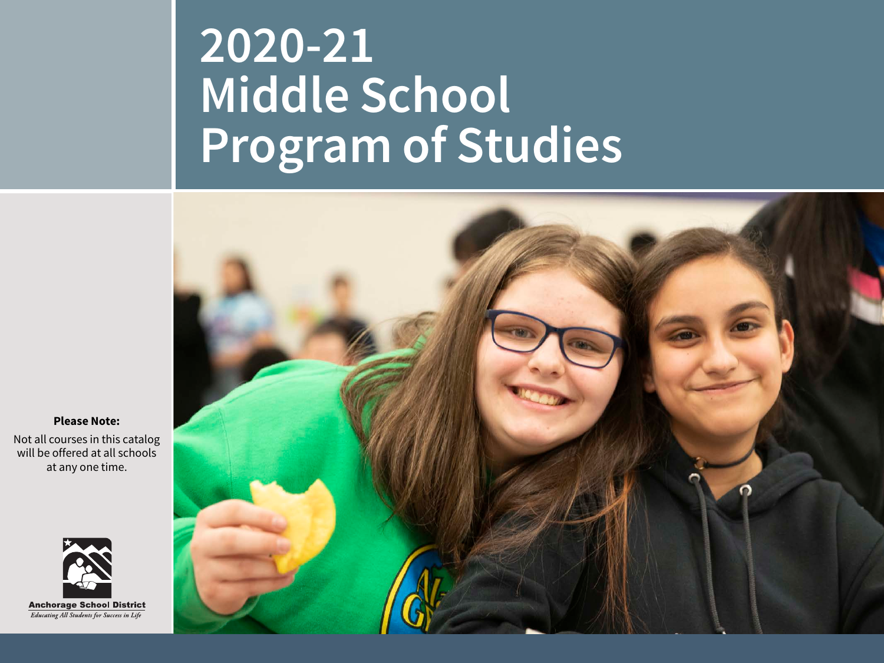# **2020-21 Middle School Program of Studies**



**Please Note:**

Not all courses in this catalog will be offered at all schools at any one time.

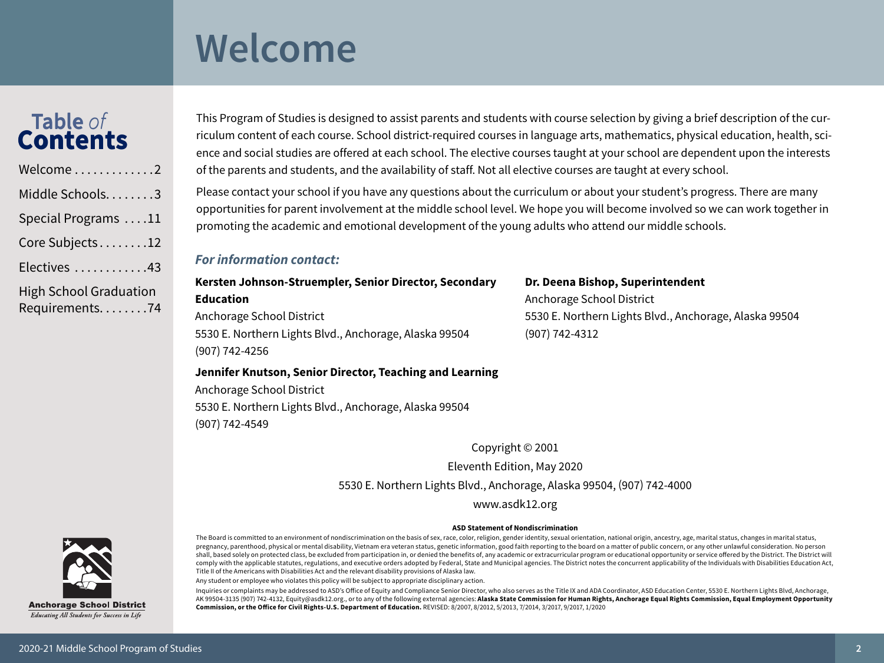### <span id="page-1-0"></span>**Welcome**

#### **Table** *of* **Contents Table** *of* **Contents**

| Welcome2                                        |
|-------------------------------------------------|
| Middle Schools. 3                               |
| Special Programs 11                             |
| Core Subjects12                                 |
| Electives 43                                    |
| <b>High School Graduation</b><br>Requirements74 |

This Program of Studies is designed to assist parents and students with course selection by giving a brief description of the curriculum content of each course. School district-required courses in language arts, mathematics, physical education, health, science and social studies are offered at each school. The elective courses taught at your school are dependent upon the interests of the parents and students, and the availability of staff. Not all elective courses are taught at every school.

Please contact your school if you have any questions about the curriculum or about your student's progress. There are many opportunities for parent involvement at the middle school level. We hope you will become involved so we can work together in promoting the academic and emotional development of the young adults who attend our middle schools.

#### *For information contact:*

### **Kersten Johnson-Struempler, Senior Director, Secondary Education** Anchorage School District 5530 E. Northern Lights Blvd., Anchorage, Alaska 99504 (907) 742-4256

**Dr. Deena Bishop, Superintendent** Anchorage School District 5530 E. Northern Lights Blvd., Anchorage, Alaska 99504 (907) 742-4312

#### **Jennifer Knutson, Senior Director, Teaching and Learning**

Anchorage School District 5530 E. Northern Lights Blvd., Anchorage, Alaska 99504 (907) 742-4549

Copyright © 2001

Eleventh Edition, May 2020

5530 E. Northern Lights Blvd., Anchorage, Alaska 99504, (907) 742-4000

[www.asdk12.org](http://www.asdk12.org)

#### **ASD Statement of Nondiscrimination**

**Anchorage School District Educating All Students for Success in Life** 

The Board is committed to an environment of nondiscrimination on the basis of sex, race, color, religion, gender identity, sexual orientation, national origin, ancestry, age, marital status, changes in marital status, pregnancy, parenthood, physical or mental disability, Vietnam era veteran status, genetic information, good faith reporting to the board on a matter of public concern, or any other unlawful consideration. No person shall, based solely on protected class, be excluded from participation in, or denied the benefits of, any academic or extracurricular program or educational opportunity or service offered by the District. The District will comply with the applicable statutes, regulations, and executive orders adopted by Federal, State and Municipal agencies. The District notes the concurrent applicability of the Individuals with Disabilities Education Act, Title II of the Americans with Disabilities Act and the relevant disability provisions of Alaska law.

Any student or employee who violates this policy will be subject to appropriate disciplinary action.

Inquiries or complaints may be addressed to ASD's Office of Equity and Compliance Senior Director, who also serves as the Title IX and ADA Coordinator, ASD Education Center, 5530 E. Northern Lights Blvd, Anchorage, AK 99504-3135 (907) 742-4132, Equity@asdk12.org., or to any of the following external agencies: **Alaska State Commission for Human Rights, Anchorage Equal Rights Commission, Equal Employment Opportunity Commission, or the Office for Civil Rights-U.S. Department of Education.** REVISED: 8/2007, 8/2012, 5/2013, 7/2014, 3/2017, 9/2017, 1/2020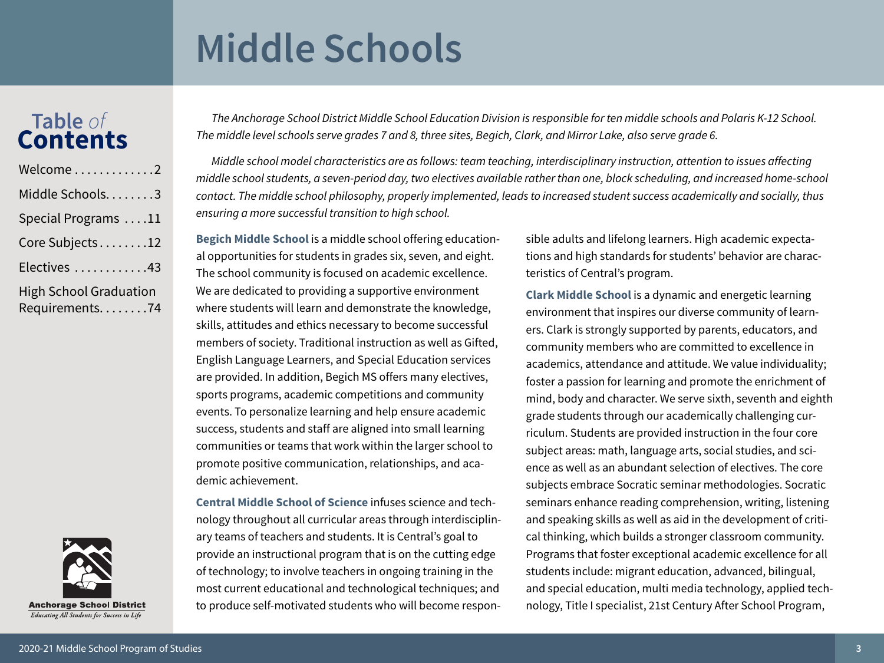### **Table** *of* **Contents**



<span id="page-2-0"></span>*The Anchorage School District Middle School Education Division is responsible for ten middle schools and Polaris K-12 School. The middle level schools serve grades 7 and 8, three sites, Begich, Clark, and Mirror Lake, also serve grade 6.*

*Middle school model characteristics are as follows: team teaching, interdisciplinary instruction, attention to issues affecting middle school students, a seven-period day, two electives available rather than one, block scheduling, and increased home-school contact. The middle school philosophy, properly implemented, leads to increased student success academically and socially, thus ensuring a more successful transition to high school.* 

**[Begich Middle School](https://www.asdk12.org/begich)** is a middle school offering educational opportunities for students in grades six, seven, and eight. The school community is focused on academic excellence. We are dedicated to providing a supportive environment where students will learn and demonstrate the knowledge, skills, attitudes and ethics necessary to become successful members of society. Traditional instruction as well as Gifted, English Language Learners, and Special Education services are provided. In addition, Begich MS offers many electives, sports programs, academic competitions and community events. To personalize learning and help ensure academic success, students and staff are aligned into small learning communities or teams that work within the larger school to promote positive communication, relationships, and academic achievement.

**[Central Middle School of Science](https://www.asdk12.org/central)** infuses science and technology throughout all curricular areas through interdisciplinary teams of teachers and students. It is Central's goal to provide an instructional program that is on the cutting edge of technology; to involve teachers in ongoing training in the most current educational and technological techniques; and to produce self-motivated students who will become responsible adults and lifelong learners. High academic expectations and high standards for students' behavior are characteristics of Central's program.

**[Clark Middle School](https://www.asdk12.org/clark)** is a dynamic and energetic learning environment that inspires our diverse community of learners. Clark is strongly supported by parents, educators, and community members who are committed to excellence in academics, attendance and attitude. We value individuality; foster a passion for learning and promote the enrichment of mind, body and character. We serve sixth, seventh and eighth grade students through our academically challenging curriculum. Students are provided instruction in the four core subject areas: math, language arts, social studies, and science as well as an abundant selection of electives. The core subjects embrace Socratic seminar methodologies. Socratic seminars enhance reading comprehension, writing, listening and speaking skills as well as aid in the development of critical thinking, which builds a stronger classroom community. Programs that foster exceptional academic excellence for all students include: migrant education, advanced, bilingual, and special education, multi media technology, applied technology, Title I specialist, 21st Century After School Program,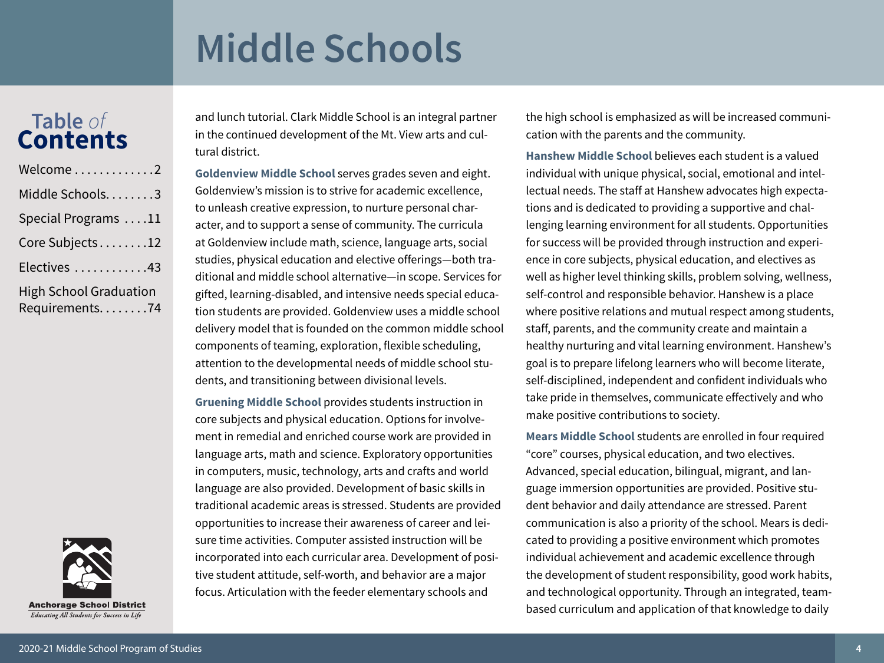### **Table** *of* **Contents**

| Welcome2                                          |
|---------------------------------------------------|
| Middle Schools. 3                                 |
| Special Programs 11                               |
| Core Subjects12                                   |
| Electives 43                                      |
| <b>High School Graduation</b><br>Requirements. 74 |

**Anchorage School District** Educating All Students for Success in Life

and lunch tutorial. Clark Middle School is an integral partner in the continued development of the Mt. View arts and cultural district.

**[Goldenview Middle School](https://www.asdk12.org/goldenview)** serves grades seven and eight. Goldenview's mission is to strive for academic excellence, to unleash creative expression, to nurture personal character, and to support a sense of community. The curricula at Goldenview include math, science, language arts, social studies, physical education and elective offerings—both traditional and middle school alternative—in scope. Services for gifted, learning-disabled, and intensive needs special education students are provided. Goldenview uses a middle school delivery model that is founded on the common middle school components of teaming, exploration, flexible scheduling, attention to the developmental needs of middle school students, and transitioning between divisional levels.

**[Gruening Middle School](https://www.asdk12.org/gruening)** provides students instruction in core subjects and physical education. Options for involvement in remedial and enriched course work are provided in language arts, math and science. Exploratory opportunities in computers, music, technology, arts and crafts and world language are also provided. Development of basic skills in traditional academic areas is stressed. Students are provided opportunities to increase their awareness of career and leisure time activities. Computer assisted instruction will be incorporated into each curricular area. Development of positive student attitude, self-worth, and behavior are a major focus. Articulation with the feeder elementary schools and

the high school is emphasized as will be increased communication with the parents and the community.

**[Hanshew Middle School](https://www.asdk12.org/hanshew)** believes each student is a valued individual with unique physical, social, emotional and intellectual needs. The staff at Hanshew advocates high expectations and is dedicated to providing a supportive and challenging learning environment for all students. Opportunities for success will be provided through instruction and experience in core subjects, physical education, and electives as well as higher level thinking skills, problem solving, wellness, self-control and responsible behavior. Hanshew is a place where positive relations and mutual respect among students, staff, parents, and the community create and maintain a healthy nurturing and vital learning environment. Hanshew's goal is to prepare lifelong learners who will become literate, self-disciplined, independent and confident individuals who take pride in themselves, communicate effectively and who make positive contributions to society.

**[Mears Middle School](https://www.asdk12.org/mears)** students are enrolled in four required "core" courses, physical education, and two electives. Advanced, special education, bilingual, migrant, and language immersion opportunities are provided. Positive student behavior and daily attendance are stressed. Parent communication is also a priority of the school. Mears is dedicated to providing a positive environment which promotes individual achievement and academic excellence through the development of student responsibility, good work habits, and technological opportunity. Through an integrated, teambased curriculum and application of that knowledge to daily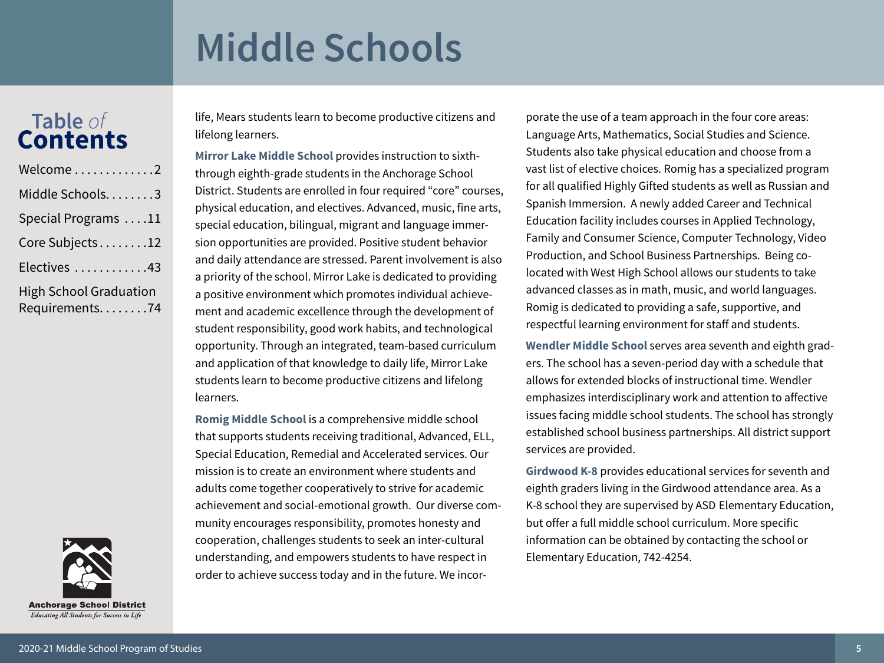### **Table** *of* **Contents**

| Welcome2                                          |
|---------------------------------------------------|
| Middle Schools. 3                                 |
| Special Programs 11                               |
| Core Subjects12                                   |
| Electives 43                                      |
| <b>High School Graduation</b><br>Requirements. 74 |

**Anchorage School District** Educating All Students for Success in Life

life, Mears students learn to become productive citizens and lifelong learners.

**[Mirror Lake Middle School](https://www.asdk12.org/mirrorlake)** provides instruction to sixththrough eighth-grade students in the Anchorage School District. Students are enrolled in four required "core" courses, physical education, and electives. Advanced, music, fine arts, special education, bilingual, migrant and language immersion opportunities are provided. Positive student behavior and daily attendance are stressed. Parent involvement is also a priority of the school. Mirror Lake is dedicated to providing a positive environment which promotes individual achievement and academic excellence through the development of student responsibility, good work habits, and technological opportunity. Through an integrated, team-based curriculum and application of that knowledge to daily life, Mirror Lake students learn to become productive citizens and lifelong learners.

**[Romig Middle School](https://www.asdk12.org/romig)** is a comprehensive middle school that supports students receiving traditional, Advanced, ELL, Special Education, Remedial and Accelerated services. Our mission is to create an environment where students and adults come together cooperatively to strive for academic achievement and social-emotional growth. Our diverse community encourages responsibility, promotes honesty and cooperation, challenges students to seek an inter-cultural understanding, and empowers students to have respect in order to achieve success today and in the future. We incor-

porate the use of a team approach in the four core areas: Language Arts, Mathematics, Social Studies and Science. Students also take physical education and choose from a vast list of elective choices. Romig has a specialized program for all qualified Highly Gifted students as well as Russian and Spanish Immersion. A newly added Career and Technical Education facility includes courses in Applied Technology, Family and Consumer Science, Computer Technology, Video Production, and School Business Partnerships. Being colocated with West High School allows our students to take advanced classes as in math, music, and world languages. Romig is dedicated to providing a safe, supportive, and respectful learning environment for staff and students.

**[Wendler Middle School](https://www.asdk12.org/wendler)** serves area seventh and eighth graders. The school has a seven-period day with a schedule that allows for extended blocks of instructional time. Wendler emphasizes interdisciplinary work and attention to affective issues facing middle school students. The school has strongly established school business partnerships. All district support services are provided.

**[Girdwood K-8](https://www.asdk12.org/girdwood)** provides educational services for seventh and eighth graders living in the Girdwood attendance area. As a K-8 school they are supervised by ASD Elementary Education, but offer a full middle school curriculum. More specific information can be obtained by contacting the school or Elementary Education, 742-4254.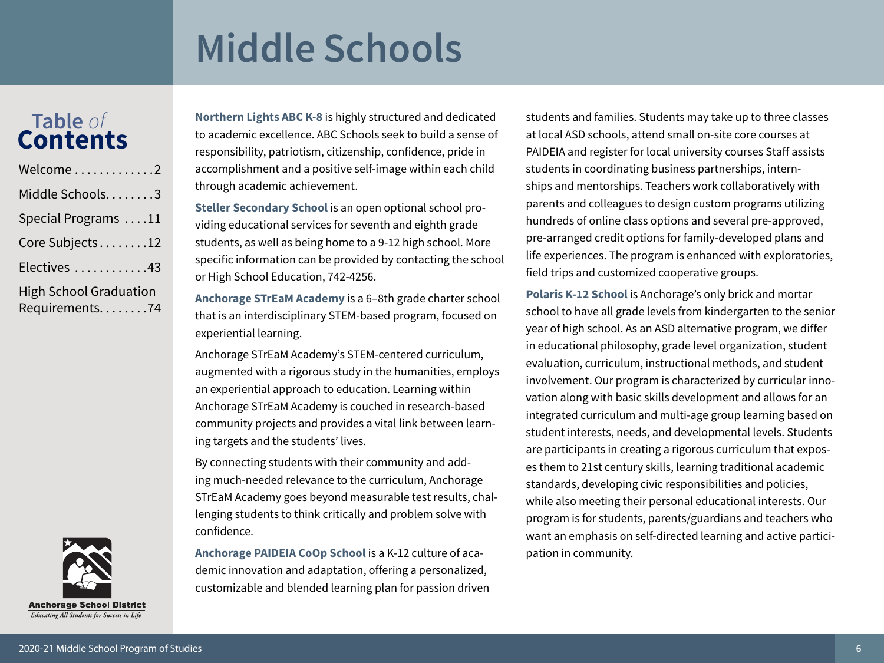### **Table** *of* **Contents**

| Welcome2                                          |
|---------------------------------------------------|
| Middle Schools3                                   |
| Special Programs 11                               |
| Core Subjects12                                   |
| Electives 43                                      |
| <b>High School Graduation</b><br>Requirements. 74 |

**[Northern Lights ABC K-8](https://www.asdk12.org/nlabc)** is highly structured and dedicated to academic excellence. ABC Schools seek to build a sense of responsibility, patriotism, citizenship, confidence, pride in accomplishment and a positive self-image within each child through academic achievement.

**[Steller Secondary School](https://www.asdk12.org/steller)** is an open optional school providing educational services for seventh and eighth grade students, as well as being home to a 9-12 high school. More specific information can be provided by contacting the school or High School Education, 742-4256.

**Anchorage STrEaM Academy** is a 6–8th grade charter school that is an interdisciplinary STEM-based program, focused on experiential learning.

Anchorage STrEaM Academy's STEM-centered curriculum, augmented with a rigorous study in the humanities, employs an experiential approach to education. Learning within Anchorage STrEaM Academy is couched in research-based community projects and provides a vital link between learning targets and the students' lives.

By connecting students with their community and adding much-needed relevance to the curriculum, Anchorage STrEaM Academy goes beyond measurable test results, challenging students to think critically and problem solve with confidence.

**Anchorage PAIDEIA CoOp School** is a K-12 culture of academic innovation and adaptation, offering a personalized, customizable and blended learning plan for passion driven students and families. Students may take up to three classes at local ASD schools, attend small on-site core courses at PAIDEIA and register for local university courses Staff assists students in coordinating business partnerships, internships and mentorships. Teachers work collaboratively with parents and colleagues to design custom programs utilizing hundreds of online class options and several pre-approved, pre-arranged credit options for family-developed plans and life experiences. The program is enhanced with exploratories, field trips and customized cooperative groups.

**[Polaris K-12 School](https://www.asdk12.org/polarisk12)** is Anchorage's only brick and mortar school to have all grade levels from kindergarten to the senior year of high school. As an ASD alternative program, we differ in educational philosophy, grade level organization, student evaluation, curriculum, instructional methods, and student involvement. Our program is characterized by curricular innovation along with basic skills development and allows for an integrated curriculum and multi-age group learning based on student interests, needs, and developmental levels. Students are participants in creating a rigorous curriculum that exposes them to 21st century skills, learning traditional academic standards, developing civic responsibilities and policies, while also meeting their personal educational interests. Our program is for students, parents/guardians and teachers who want an emphasis on self-directed learning and active participation in community.

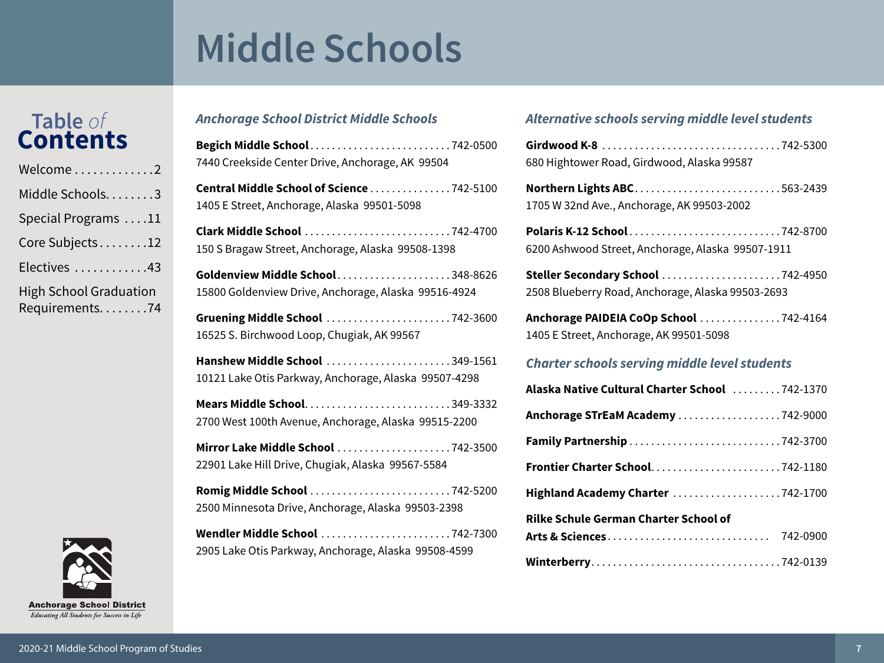### **Table** *of* **Contents**

| Welcome2                                          |
|---------------------------------------------------|
| Middle Schools. 3                                 |
| Special Programs 11                               |
| Core Subjects12                                   |
| Electives 43                                      |
| <b>High School Graduation</b><br>Requirements. 74 |



### *Anchorage School District Middle Schools*

| Begich Middle School742-0500<br>7440 Creekside Center Drive, Anchorage, AK 99504         |
|------------------------------------------------------------------------------------------|
| Central Middle School of Science 742-5100<br>1405 E Street, Anchorage, Alaska 99501-5098 |
| Clark Middle School 742-4700<br>150 S Bragaw Street, Anchorage, Alaska 99508-1398        |
| Goldenview Middle School348-8626<br>15800 Goldenview Drive, Anchorage, Alaska 99516-4924 |
| Gruening Middle School 742-3600<br>16525 S. Birchwood Loop, Chugiak, AK 99567            |
| Hanshew Middle School 349-1561<br>10121 Lake Otis Parkway, Anchorage, Alaska 99507-4298  |
| 2700 West 100th Avenue, Anchorage, Alaska 99515-2200                                     |
| Mirror Lake Middle School 742-3500<br>22901 Lake Hill Drive, Chugiak, Alaska 99567-5584  |
| Romig Middle School 742-5200<br>2500 Minnesota Drive, Anchorage, Alaska 99503-2398       |
| Wendler Middle School 742-7300<br>2905 Lake Otis Parkway, Anchorage, Alaska 99508-4599   |

### *Alternative schools serving middle level students*

| 680 Hightower Road, Girdwood, Alaska 99587                                             |
|----------------------------------------------------------------------------------------|
| Northern Lights ABC563-2439<br>1705 W 32nd Ave., Anchorage, AK 99503-2002              |
| 6200 Ashwood Street, Anchorage, Alaska 99507-1911                                      |
| Steller Secondary School 742-4950<br>2508 Blueberry Road, Anchorage, Alaska 99503-2693 |
| Anchorage PAIDEIA CoOp School 742-4164<br>1405 E Street, Anchorage, AK 99501-5098      |
| <b>Charter schools serving middle level students</b>                                   |
| Alaska Native Cultural Charter School 742-1370                                         |
| Anchorage STrEaM Academy 742-9000                                                      |
|                                                                                        |
|                                                                                        |
|                                                                                        |
| Highland Academy Charter 742-1700                                                      |
| <b>Rilke Schule German Charter School of</b>                                           |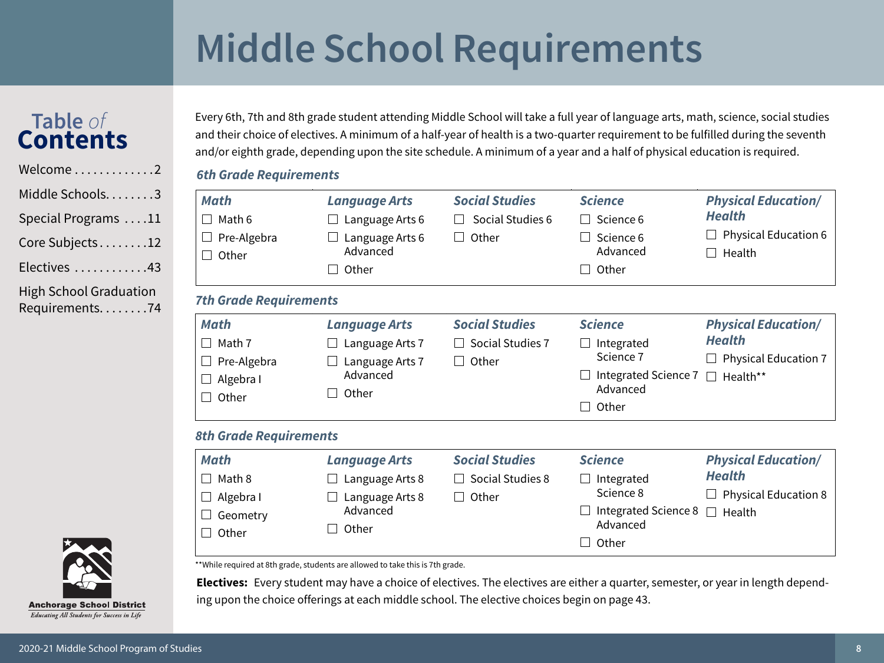# **Middle School Requirements**

### **Table** *of* **Contents**

Welcome $\dots\dots\dots\dots$ Middle Schools. . . . . . . . 3 Special Programs . . . . 11 Core Subjects........12

Electives . . . . . . . . . . . . 43

[High School Graduation](#page-73-0)  [Requirements. . . . . . . .74](#page-73-0) Every 6th, 7th and 8th grade student attending Middle School will take a full year of language arts, math, science, social studies and their choice of electives. A minimum of a half-year of health is a two-quarter requirement to be fulfilled during the seventh and/or eighth grade, depending upon the site schedule. A minimum of a year and a half of physical education is required.

### *6th Grade Requirements*

| <b>Math</b><br>Math 6<br>Pre-Algebra<br>Other<br>$\vert \ \ \vert$                     | <b>Language Arts</b><br>Language Arts 6<br>Language Arts 6<br>Advanced<br>Other | <b>Social Studies</b><br>Social Studies 6<br>Other<br>$\vert \ \ \vert$ | <b>Science</b><br>Science 6<br>$\blacksquare$<br>Science 6<br>Advanced<br>Other<br>$\mathcal{L}$ | <b>Physical Education/</b><br><b>Health</b><br><b>Physical Education 6</b><br>Health             |
|----------------------------------------------------------------------------------------|---------------------------------------------------------------------------------|-------------------------------------------------------------------------|--------------------------------------------------------------------------------------------------|--------------------------------------------------------------------------------------------------|
| <b>7th Grade Requirements</b>                                                          |                                                                                 |                                                                         |                                                                                                  |                                                                                                  |
| <b>Math</b><br>Math 7<br>Pre-Algebra<br>Algebra I<br>Other<br>$\overline{\phantom{a}}$ | <b>Language Arts</b><br>Language Arts 7<br>Language Arts 7<br>Advanced<br>Other | <b>Social Studies</b><br>Social Studies 7<br>Other<br>$\Box$            | <b>Science</b><br>Integrated<br>Science 7<br>Integrated Science 7<br>Advanced<br>Other           | <b>Physical Education/</b><br><b>Health</b><br><b>Physical Education 7</b><br>Health**<br>$\Box$ |
| <b>8th Grade Requirements</b>                                                          |                                                                                 |                                                                         |                                                                                                  |                                                                                                  |
| <b>Math</b><br>Math 8<br>Algebra I<br>Geometry<br>Other                                | <b>Language Arts</b><br>Language Arts 8<br>Language Arts 8<br>Advanced<br>Other | <b>Social Studies</b><br>Social Studies 8<br>Other<br>$\Box$            | <b>Science</b><br>Integrated<br>Science 8<br>Integrated Science 8<br>Advanced<br>Other           | <b>Physical Education/</b><br><b>Health</b><br><b>Physical Education 8</b><br>$\Box$<br>Health   |

\*\*While required at 8th grade, students are allowed to take this is 7th grade.

**Electives:** Every student may have a choice of electives. The electives are either a quarter, semester, or year in length depending upon the choice offerings at each middle school. The elective choices begin on [page](#page-42-1) 43.

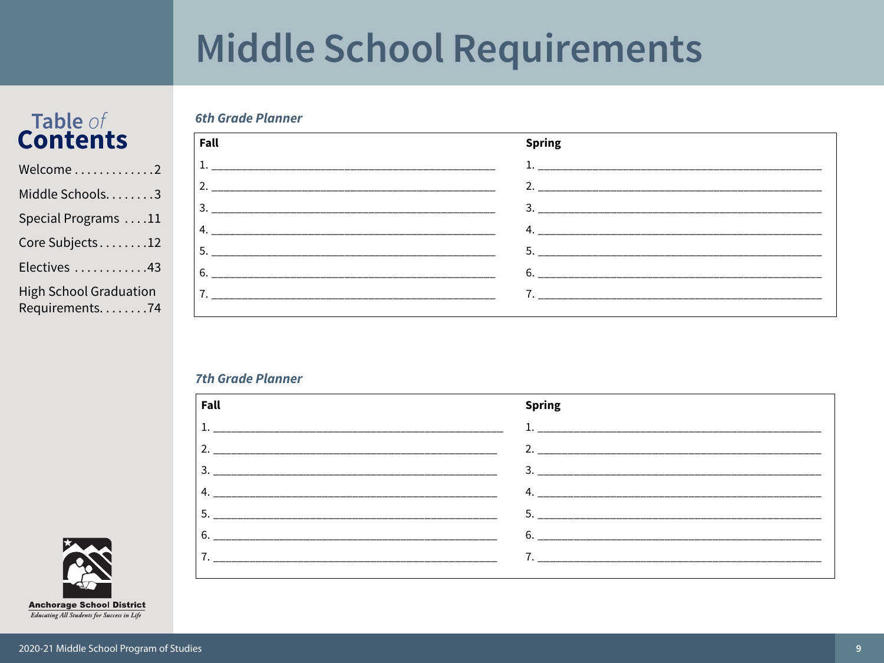### **Middle School Requirements**

### Table of **Contents**

| Welcome2                                        |
|-------------------------------------------------|
| Middle Schools3                                 |
| Special Programs 11                             |
| Core Subjects12                                 |
| Electives 43                                    |
| <b>High School Graduation</b><br>Requirements74 |

#### Fall **Spring**

#### **7th Grade Planner**

**6th Grade Planner** 

| Fall | <b>Spring</b>             |
|------|---------------------------|
|      | 1.                        |
|      |                           |
| 3.   | $\overline{\mathbf{3}}$ . |
|      | 4. $\blacksquare$         |
|      | 5.                        |
|      | 6.                        |
|      |                           |
|      |                           |

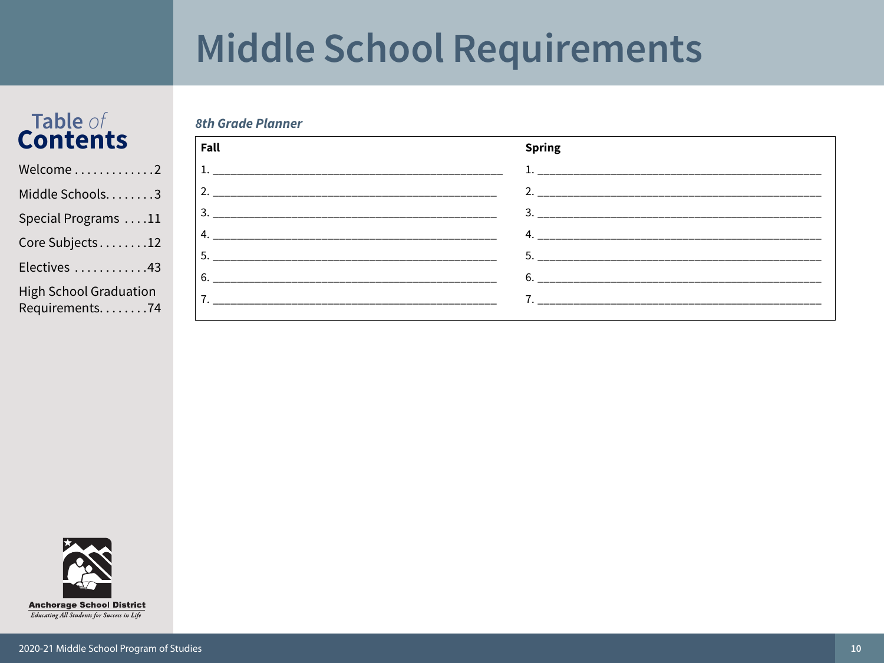# Middle School Requirements

# Table of<br>Contents

**8th Grade Planner** 

| Welcome2                                        |
|-------------------------------------------------|
| Middle Schools3                                 |
| Special Programs 11                             |
| Core Subjects12                                 |
| Electives 43                                    |
| <b>High School Graduation</b><br>Requirements74 |

| Fall | <b>Spring</b>                  |
|------|--------------------------------|
| 1.   |                                |
| 2.   | 2. ___________________________ |
| 3    |                                |
| 4.   | 4.                             |
| 5.   | 5.                             |
| 6.   |                                |
|      |                                |
|      |                                |

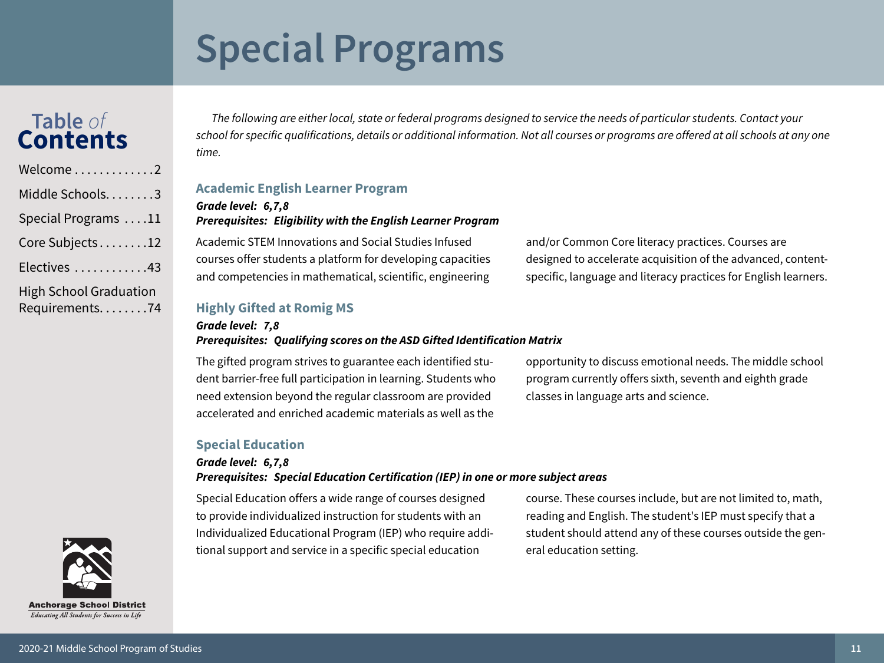# <span id="page-10-0"></span>**Special Programs**

### **Table** *of* **Contents**

| Welcome2                                          |
|---------------------------------------------------|
| Middle Schools3                                   |
| Special Programs 11                               |
| Core Subjects12                                   |
| Electives 43                                      |
| <b>High School Graduation</b><br>Requirements. 74 |

*The following are either local, state or federal programs designed to service the needs of particular students. Contact your school for specific qualifications, details or additional information. Not all courses or programs are offered at all schools at any one time.*

#### **Academic English Learner Program**

#### *Grade level: 6,7,8 Prerequisites: Eligibility with the English Learner Program*

Academic STEM Innovations and Social Studies Infused courses offer students a platform for developing capacities and competencies in mathematical, scientific, engineering

and/or Common Core literacy practices. Courses are designed to accelerate acquisition of the advanced, contentspecific, language and literacy practices for English learners.

#### **Highly Gifted at Romig MS**

#### *Grade level: 7,8 Prerequisites: Qualifying scores on the ASD Gifted Identification Matrix*

The gifted program strives to guarantee each identified student barrier-free full participation in learning. Students who need extension beyond the regular classroom are provided accelerated and enriched academic materials as well as the

opportunity to discuss emotional needs. The middle school program currently offers sixth, seventh and eighth grade classes in language arts and science.

#### **Special Education**

#### *Grade level: 6,7,8*

#### *Prerequisites: Special Education Certification (IEP) in one or more subject areas*

Special Education offers a wide range of courses designed to provide individualized instruction for students with an Individualized Educational Program (IEP) who require additional support and service in a specific special education

course. These courses include, but are not limited to, math, reading and English. The student's IEP must specify that a student should attend any of these courses outside the general education setting.

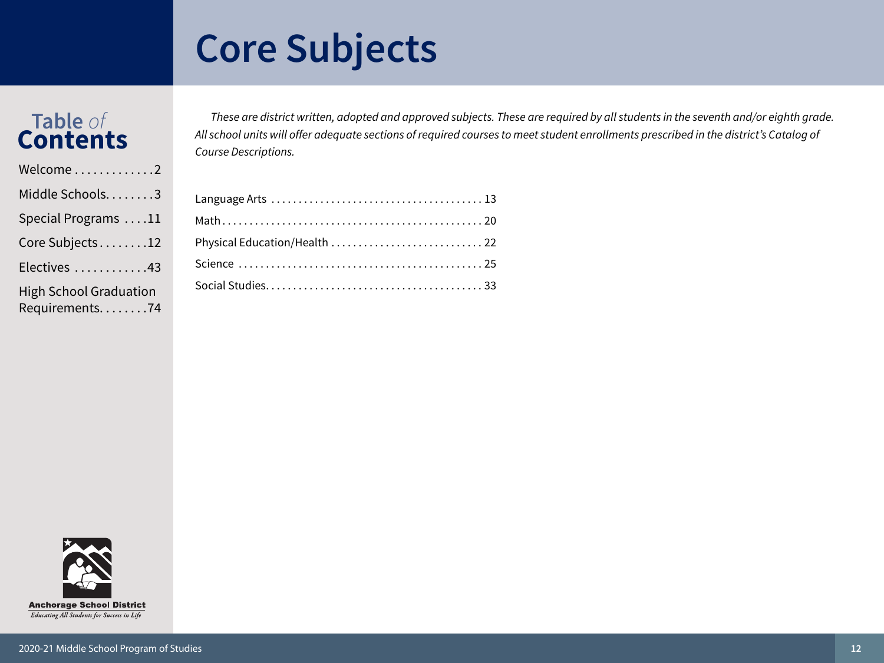## <span id="page-11-0"></span>**Core Subjects**

### **Table** *of* **Contents**

| Welcome2                                        |
|-------------------------------------------------|
| Middle Schools3                                 |
| Special Programs 11                             |
| Core Subjects12                                 |
| Electives 43                                    |
| <b>High School Graduation</b><br>Requirements74 |

*These are district written, adopted and approved subjects. These are required by all students in the seventh and/or eighth grade. All school units will offer adequate sections of required courses to meet student enrollments prescribed in the district's Catalog of Course Descriptions.*

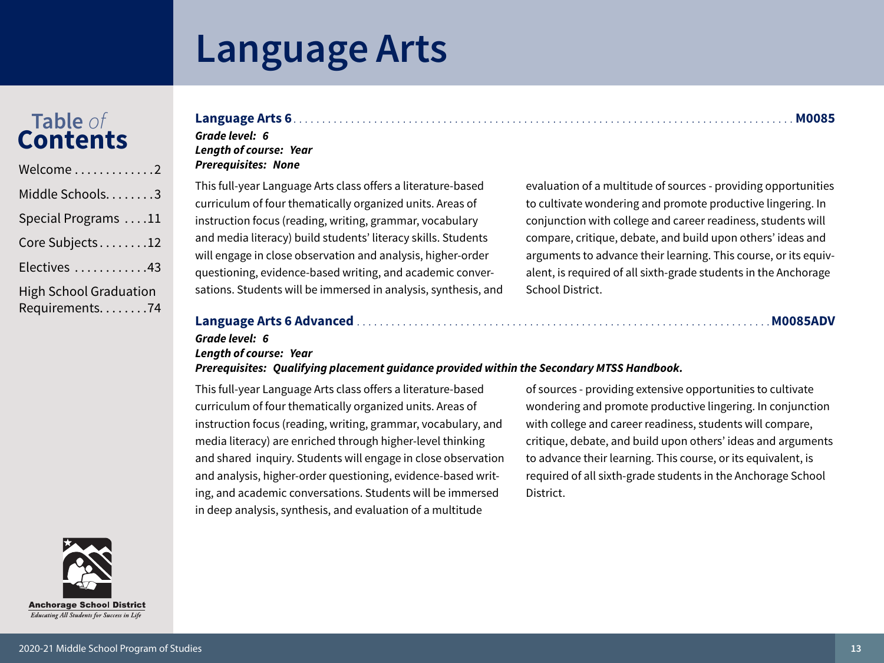# <span id="page-12-0"></span>Table of<br>Contents

| Welcome 2                                         |
|---------------------------------------------------|
| Middle Schools. 3                                 |
| Special Programs 11                               |
| Core Subjects12                                   |
| Electives 43                                      |
| <b>High School Graduation</b><br>Requirements. 74 |

### 

#### Grade level: 6 **Lenath of course: Year Prerequisites: None**

This full-year Language Arts class offers a literature-based curriculum of four thematically organized units. Areas of instruction focus (reading, writing, grammar, vocabulary and media literacy) build students' literacy skills. Students will engage in close observation and analysis, higher-order questioning, evidence-based writing, and academic conversations. Students will be immersed in analysis, synthesis, and evaluation of a multitude of sources - providing opportunities to cultivate wondering and promote productive lingering. In conjunction with college and career readiness, students will compare, critique, debate, and build upon others' ideas and arguments to advance their learning. This course, or its equivalent, is required of all sixth-grade students in the Anchorage School District.

### 

### Grade level: 6

### **Length of course: Year**

Prerequisites: Qualifying placement guidance provided within the Secondary MTSS Handbook.

This full-year Language Arts class offers a literature-based curriculum of four thematically organized units. Areas of instruction focus (reading, writing, grammar, vocabulary, and media literacy) are enriched through higher-level thinking and shared inquiry. Students will engage in close observation and analysis, higher-order questioning, evidence-based writing, and academic conversations. Students will be immersed in deep analysis, synthesis, and evaluation of a multitude

of sources - providing extensive opportunities to cultivate wondering and promote productive lingering. In conjunction with college and career readiness, students will compare, critique, debate, and build upon others' ideas and arguments to advance their learning. This course, or its equivalent, is required of all sixth-grade students in the Anchorage School District.

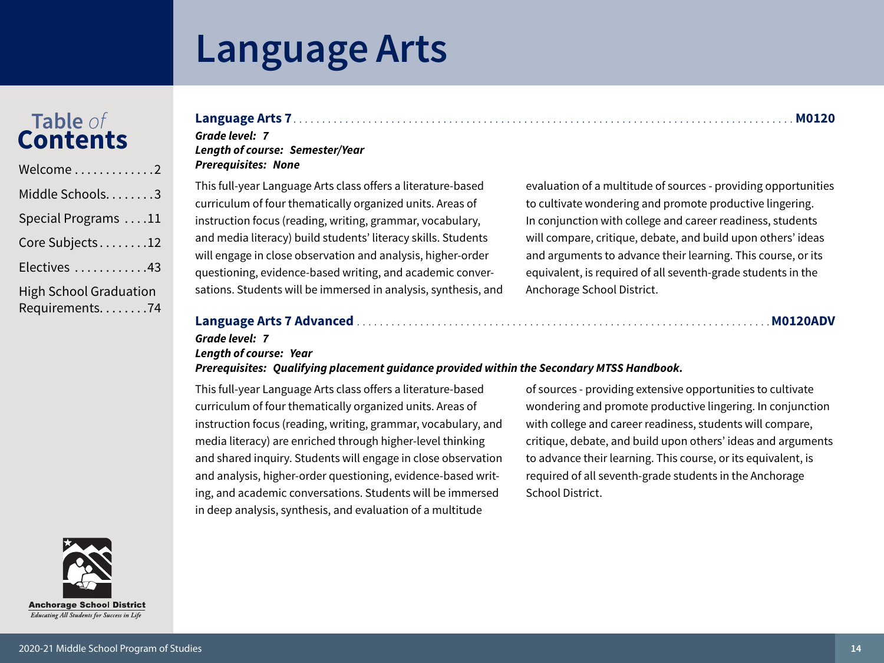# Table of<br>Contents

| Welcome $\ldots \ldots \ldots \ldots 2$           |
|---------------------------------------------------|
| Middle Schools. 3                                 |
| Special Programs 11                               |
| Core Subjects12                                   |
| Electives 43                                      |
| <b>High School Graduation</b><br>Requirements. 74 |

### 

#### Grade level: 7 **Lenath of course: Semester/Year Prerequisites: None**

This full-year Language Arts class offers a literature-based curriculum of four thematically organized units. Areas of instruction focus (reading, writing, grammar, vocabulary, and media literacy) build students' literacy skills. Students will engage in close observation and analysis, higher-order questioning, evidence-based writing, and academic conversations. Students will be immersed in analysis, synthesis, and

evaluation of a multitude of sources - providing opportunities to cultivate wondering and promote productive lingering. In conjunction with college and career readiness, students will compare, critique, debate, and build upon others' ideas and arguments to advance their learning. This course, or its equivalent, is required of all seventh-grade students in the Anchorage School District.

### 

### Grade level: 7

### **Length of course: Year**

Prerequisites: Qualifying placement guidance provided within the Secondary MTSS Handbook.

This full-year Language Arts class offers a literature-based curriculum of four thematically organized units. Areas of instruction focus (reading, writing, grammar, vocabulary, and media literacy) are enriched through higher-level thinking and shared inquiry. Students will engage in close observation and analysis, higher-order questioning, evidence-based writing, and academic conversations. Students will be immersed in deep analysis, synthesis, and evaluation of a multitude

of sources - providing extensive opportunities to cultivate wondering and promote productive lingering. In conjunction with college and career readiness, students will compare, critique, debate, and build upon others' ideas and arguments to advance their learning. This course, or its equivalent, is required of all seventh-grade students in the Anchorage School District.

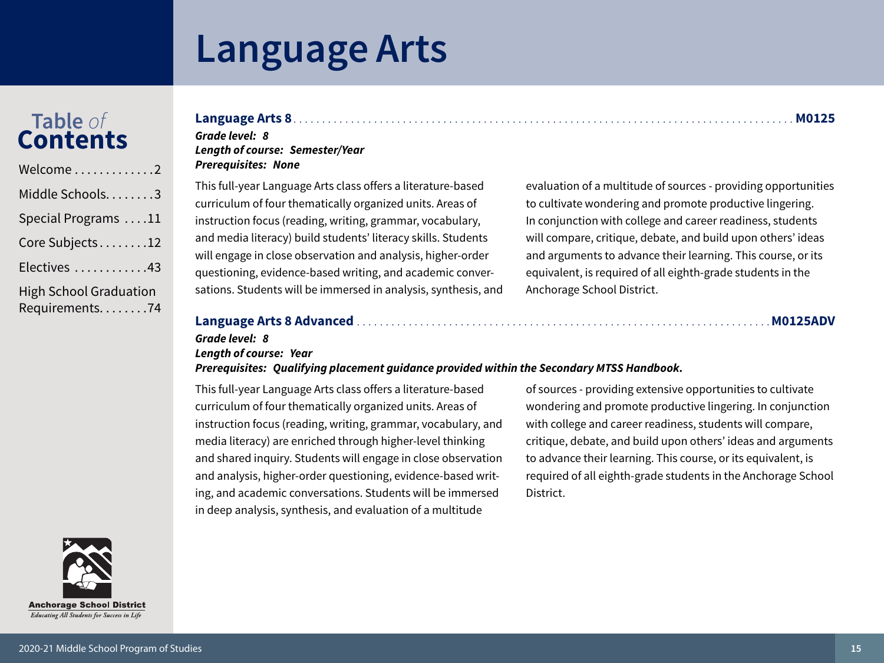# Table of<br>Contents

| Welcome2                                          |
|---------------------------------------------------|
| Middle Schools3                                   |
| Special Programs 11                               |
| Core Subjects12                                   |
| Electives 43                                      |
| <b>High School Graduation</b><br>Requirements. 74 |

### 

#### Grade level: 8 **Length of course: Semester/Year Prerequisites: None**

This full-year Language Arts class offers a literature-based curriculum of four thematically organized units. Areas of instruction focus (reading, writing, grammar, vocabulary, and media literacy) build students' literacy skills. Students will engage in close observation and analysis, higher-order questioning, evidence-based writing, and academic conversations. Students will be immersed in analysis, synthesis, and

evaluation of a multitude of sources - providing opportunities to cultivate wondering and promote productive lingering. In conjunction with college and career readiness, students will compare, critique, debate, and build upon others' ideas and arguments to advance their learning. This course, or its equivalent, is required of all eighth-grade students in the Anchorage School District.

### 

#### . . . . . . . . . . . M0125ADV

### Grade level: 8

### **Length of course: Year**

Prerequisites: Qualifying placement guidance provided within the Secondary MTSS Handbook.

This full-year Language Arts class offers a literature-based curriculum of four thematically organized units. Areas of instruction focus (reading, writing, grammar, vocabulary, and media literacy) are enriched through higher-level thinking and shared inquiry. Students will engage in close observation and analysis, higher-order questioning, evidence-based writing, and academic conversations. Students will be immersed in deep analysis, synthesis, and evaluation of a multitude

of sources - providing extensive opportunities to cultivate wondering and promote productive lingering. In conjunction with college and career readiness, students will compare, critique, debate, and build upon others' ideas and arguments to advance their learning. This course, or its equivalent, is required of all eighth-grade students in the Anchorage School District.

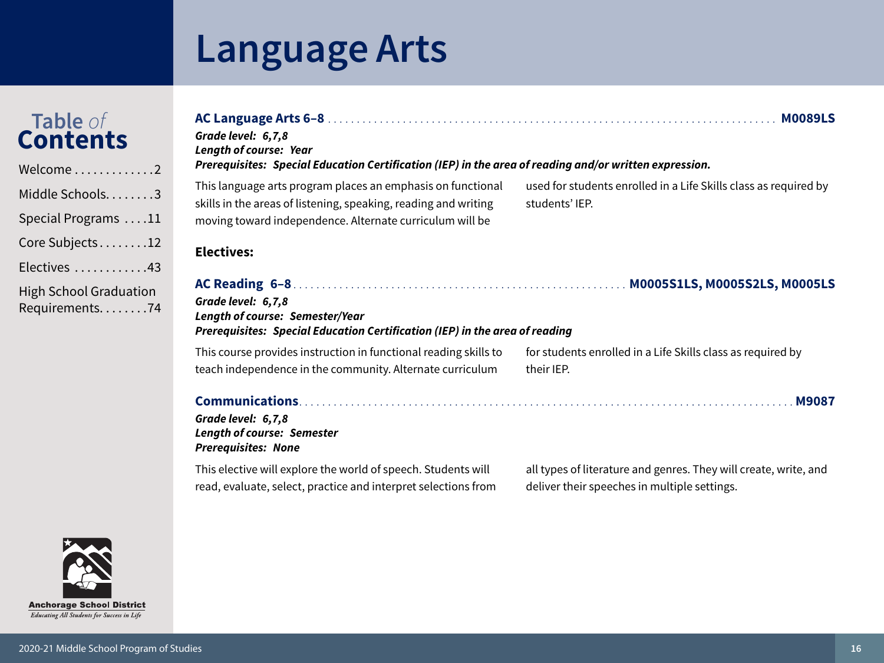# Table of<br>Contents

| Welcome2                                          |
|---------------------------------------------------|
| Middle Schools3                                   |
| Special Programs 11                               |
| Core Subjects12                                   |
| Electives 43                                      |
| <b>High School Graduation</b><br>Requirements. 74 |

| Grade level: 6,7,8<br><b>Length of course: Year</b><br>Prerequisites: Special Education Certification (IEP) in the area of reading and/or written expression.                              | <b>M0089LS</b>                                                                                                   |
|--------------------------------------------------------------------------------------------------------------------------------------------------------------------------------------------|------------------------------------------------------------------------------------------------------------------|
| This language arts program places an emphasis on functional<br>skills in the areas of listening, speaking, reading and writing<br>moving toward independence. Alternate curriculum will be | used for students enrolled in a Life Skills class as required by<br>students' IEP.                               |
| <b>Electives:</b>                                                                                                                                                                          |                                                                                                                  |
| Grade level: 6,7,8<br><b>Length of course: Semester/Year</b><br><b>Prerequisites: Special Education Certification (IEP) in the area of reading</b>                                         |                                                                                                                  |
| This course provides instruction in functional reading skills to<br>teach independence in the community. Alternate curriculum                                                              | for students enrolled in a Life Skills class as required by<br>their IEP.                                        |
| Grade level: 6,7,8<br><b>Length of course: Semester</b><br><b>Prerequisites: None</b>                                                                                                      |                                                                                                                  |
| This elective will explore the world of speech. Students will<br>read, evaluate, select, practice and interpret selections from                                                            | all types of literature and genres. They will create, write, and<br>deliver their speeches in multiple settings. |

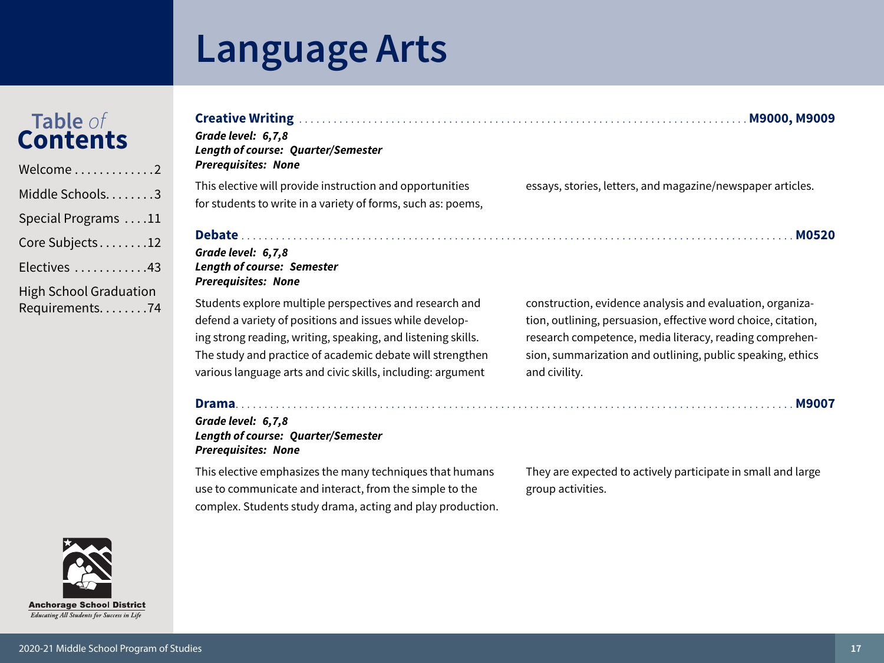# Table of<br>Contents

| Welcome2                                          |
|---------------------------------------------------|
| Middle Schools. 3                                 |
| Special Programs 11                               |
| Core Subjects12                                   |
| Electives 43                                      |
| <b>High School Graduation</b><br>Requirements. 74 |





| Grade level: 6,7,8<br><b>Length of course: Quarter/Semester</b><br><b>Prerequisites: None</b>                                                                                      |                                                                                                                                                                                       |
|------------------------------------------------------------------------------------------------------------------------------------------------------------------------------------|---------------------------------------------------------------------------------------------------------------------------------------------------------------------------------------|
| This elective will provide instruction and opportunities<br>for students to write in a variety of forms, such as: poems,                                                           | essays, stories, letters, and magazine/newspaper articles.                                                                                                                            |
|                                                                                                                                                                                    | <b>M0520</b>                                                                                                                                                                          |
| Grade level: 6,7,8<br><b>Length of course: Semester</b><br><b>Prerequisites: None</b>                                                                                              |                                                                                                                                                                                       |
| Students explore multiple perspectives and research and<br>defend a variety of positions and issues while develop-<br>ing strong reading, writing, speaking, and listening skills. | construction, evidence analysis and evaluation, organiza-<br>tion, outlining, persuasion, effective word choice, citation,<br>research competence, media literacy, reading comprehen- |

The study and practice of academic debate will strengthen various language arts and civic skills, including: argument

sion, summarization and outlining, public speaking, ethics and civility.

**Length of course: Quarter/Semester** 

This elective emphasizes the many techniques that humans use to communicate and interact, from the simple to the complex. Students study drama, acting and play production. They are expected to actively participate in small and large group activities.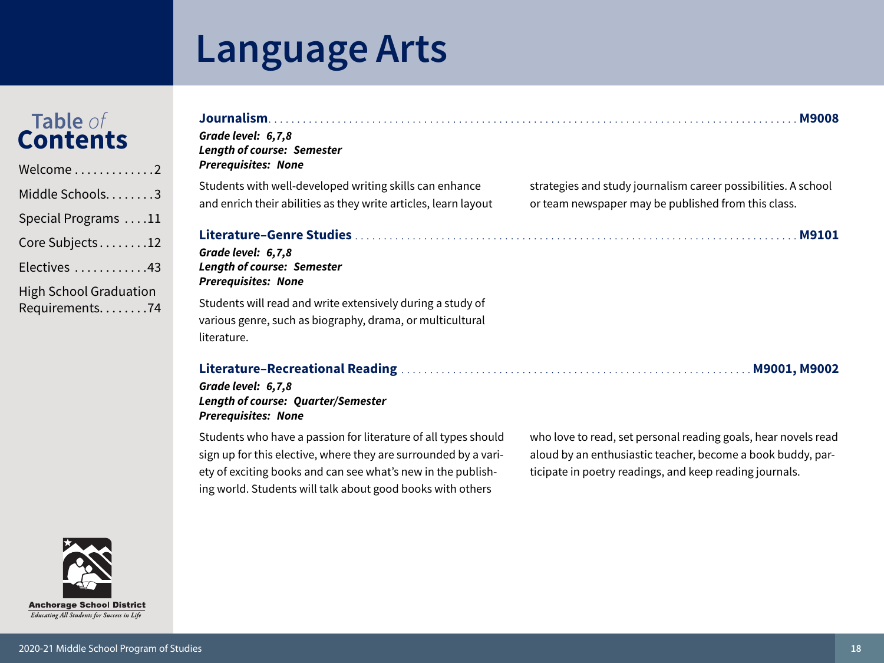# Table of<br>Contents

| Welcome2                                          |
|---------------------------------------------------|
| Middle Schools. 3                                 |
| Special Programs 11                               |
| Core Subjects12                                   |
| Electives 43                                      |
| <b>High School Graduation</b><br>Requirements. 74 |

| Grade level: 6,7,8<br><b>Length of course: Semester</b><br><b>Prerequisites: None</b>                                                  | <b>M9008</b>                                                                                                          |
|----------------------------------------------------------------------------------------------------------------------------------------|-----------------------------------------------------------------------------------------------------------------------|
| Students with well-developed writing skills can enhance<br>and enrich their abilities as they write articles, learn layout             | strategies and study journalism career possibilities. A school<br>or team newspaper may be published from this class. |
| Grade level: 6,7,8<br><b>Length of course: Semester</b><br><b>Prerequisites: None</b>                                                  |                                                                                                                       |
| Students will read and write extensively during a study of<br>various genre, such as biography, drama, or multicultural<br>literature. |                                                                                                                       |
|                                                                                                                                        |                                                                                                                       |

Grade level: 6,7,8 Length of course: Quarter/Semester **Prerequisites: None** 

Students who have a passion for literature of all types should sign up for this elective, where they are surrounded by a variety of exciting books and can see what's new in the publishing world. Students will talk about good books with others

who love to read, set personal reading goals, hear novels read aloud by an enthusiastic teacher, become a book buddy, participate in poetry readings, and keep reading journals.

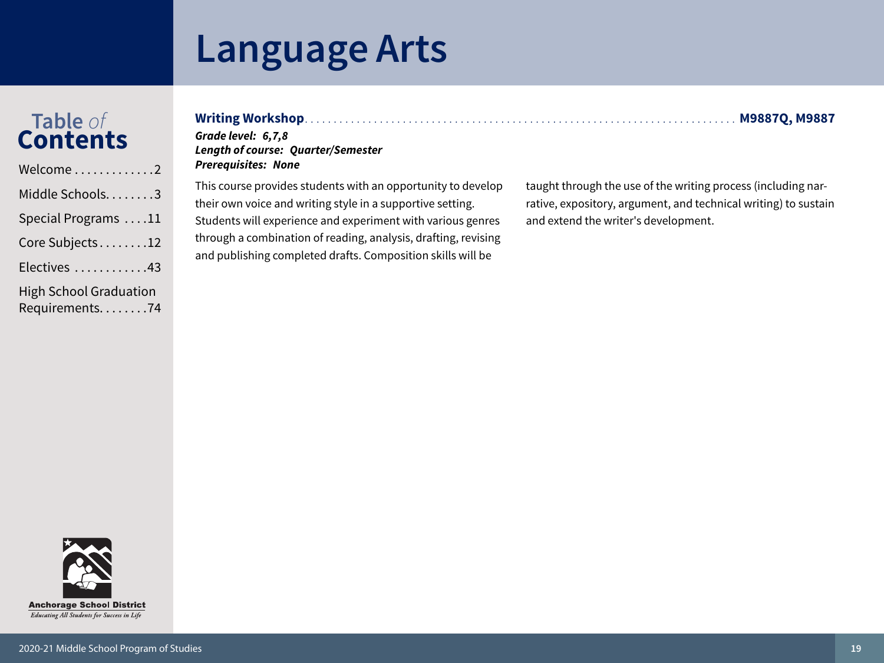# Table of<br>Contents

| Welcome2                                        |
|-------------------------------------------------|
| Middle Schools3                                 |
| Special Programs 11                             |
| Core Subjects12                                 |
| Electives 43                                    |
| <b>High School Graduation</b><br>Requirements74 |

| <b>Writing Worksho</b> |
|------------------------|
|                        |

#### Grade level: 6,7,8 **Length of course: Quarter/Semester Prerequisites: None**

This course provides students with an opportunity to develop their own voice and writing style in a supportive setting. Students will experience and experiment with various genres through a combination of reading, analysis, drafting, revising and publishing completed drafts. Composition skills will be

taught through the use of the writing process (including narrative, expository, argument, and technical writing) to sustain and extend the writer's development.



####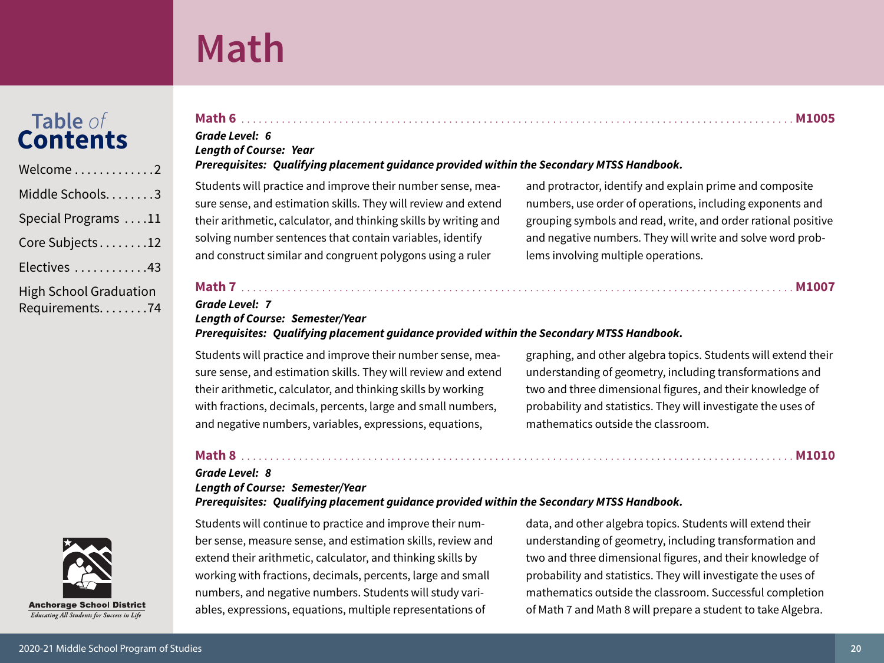### Math

Grade Level: 6

**Length of Course: Year** 

<span id="page-19-0"></span>Table of

**Contents** 

Welcome

Middle Schools........3

Special Programs ....11

Core Subjects........12

Electives ............43

**High School Graduation** 

Requirements........74

### Students will practice and improve their number sense, measure sense, and estimation skills. They will review and extend their arithmetic, calculator, and thinking skills by writing and solving number sentences that contain variables, identify and construct similar and congruent polygons using a ruler

and protractor, identify and explain prime and composite numbers, use order of operations, including exponents and grouping symbols and read, write, and order rational positive and negative numbers. They will write and solve word problems involving multiple operations.

#### 

#### **Grade Level: 7 Length of Course: Semester/Year** Prerequisites: Qualifying placement guidance provided within the Secondary MTSS Handbook.

Prerequisites: Qualifying placement guidance provided within the Secondary MTSS Handbook.

Students will practice and improve their number sense, measure sense, and estimation skills. They will review and extend their arithmetic, calculator, and thinking skills by working with fractions, decimals, percents, large and small numbers, and negative numbers, variables, expressions, equations,

graphing, and other algebra topics. Students will extend their understanding of geometry, including transformations and two and three dimensional figures, and their knowledge of probability and statistics. They will investigate the uses of mathematics outside the classroom.

#### 

#### Grade Level: 8 **Length of Course: Semester/Year**

Prerequisites: Qualifying placement guidance provided within the Secondary MTSS Handbook.

Students will continue to practice and improve their number sense, measure sense, and estimation skills, review and extend their arithmetic, calculator, and thinking skills by working with fractions, decimals, percents, large and small numbers, and negative numbers. Students will study variables, expressions, equations, multiple representations of

data, and other algebra topics. Students will extend their understanding of geometry, including transformation and two and three dimensional figures, and their knowledge of probability and statistics. They will investigate the uses of mathematics outside the classroom. Successful completion of Math 7 and Math 8 will prepare a student to take Algebra.

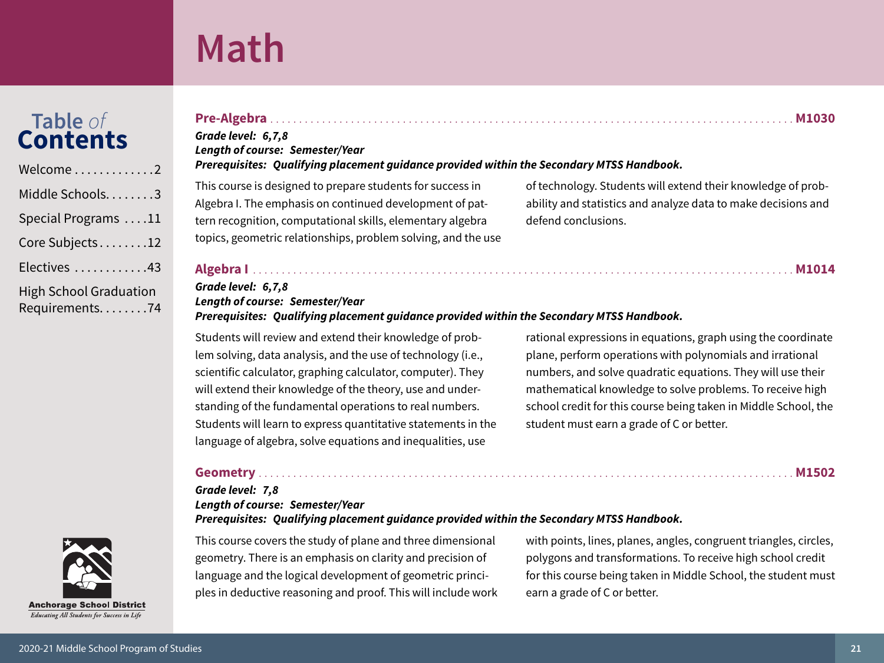### Math

# Table of<br>**Contents**

| Welcome $\ldots \ldots \ldots \ldots 2$         |
|-------------------------------------------------|
| Middle Schools3                                 |
| Special Programs 11                             |
| Core Subjects12                                 |
| Electives 43                                    |
| <b>High School Graduation</b><br>Requirements74 |



Grade level: 6,7,8 **Length of course: Semester/Year** 

#### Prerequisites: Qualifying placement guidance provided within the Secondary MTSS Handbook.

This course is designed to prepare students for success in Algebra I. The emphasis on continued development of pattern recognition, computational skills, elementary algebra topics, geometric relationships, problem solving, and the use of technology. Students will extend their knowledge of probability and statistics and analyze data to make decisions and defend conclusions.

#### 

#### Grade level: 6,7,8 **Length of course: Semester/Year** Prerequisites: Qualifying placement guidance provided within the Secondary MTSS Handbook.

Students will review and extend their knowledge of problem solving, data analysis, and the use of technology (i.e., scientific calculator, graphing calculator, computer). They will extend their knowledge of the theory, use and understanding of the fundamental operations to real numbers. Students will learn to express quantitative statements in the language of algebra, solve equations and inequalities, use

rational expressions in equations, graph using the coordinate plane, perform operations with polynomials and irrational numbers, and solve quadratic equations. They will use their mathematical knowledge to solve problems. To receive high school credit for this course being taken in Middle School, the student must earn a grade of C or better.

#### 

#### Grade level: 7,8 **Length of course: Semester/Year** Prerequisites: Qualifying placement guidance provided within the Secondary MTSS Handbook.

This course covers the study of plane and three dimensional geometry. There is an emphasis on clarity and precision of language and the logical development of geometric principles in deductive reasoning and proof. This will include work with points, lines, planes, angles, congruent triangles, circles, polygons and transformations. To receive high school credit for this course being taken in Middle School, the student must earn a grade of C or better.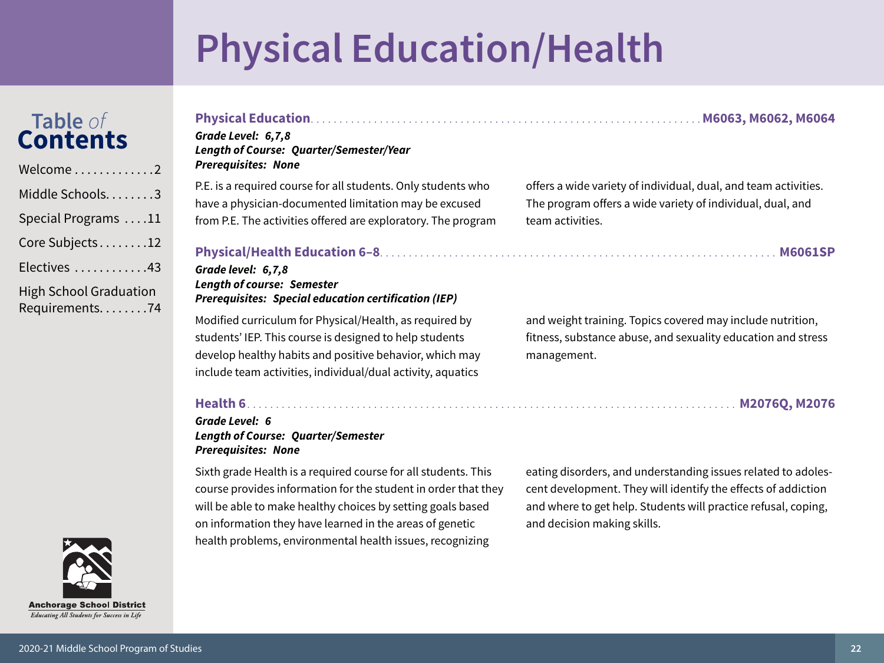# **Physical Education/Health**

# <span id="page-21-0"></span>Table of<br>Contents



#### Grade Level: 6,7,8 **Length of Course: Quarter/Semester/Year Prerequisites: None** P.E. is a required course for all students. Only students who offers a wide variety of individual, dual, and team activities.

have a physician-documented limitation may be excused from P.E. The activities offered are exploratory. The program

#### 

#### Grade level: 6,7,8 **Length of course: Semester Prerequisites: Special education certification (IEP)**

Modified curriculum for Physical/Health, as required by students' IEP. This course is designed to help students develop healthy habits and positive behavior, which may include team activities, individual/dual activity, aquatics

The program offers a wide variety of individual, dual, and team activities.

and weight training. Topics covered may include nutrition, fitness, substance abuse, and sexuality education and stress management.

#### 

#### Grade Level: 6 **Length of Course: Quarter/Semester Prerequisites: None**

Sixth grade Health is a required course for all students. This course provides information for the student in order that they will be able to make healthy choices by setting goals based on information they have learned in the areas of genetic health problems, environmental health issues, recognizing

eating disorders, and understanding issues related to adolescent development. They will identify the effects of addiction and where to get help. Students will practice refusal, coping, and decision making skills.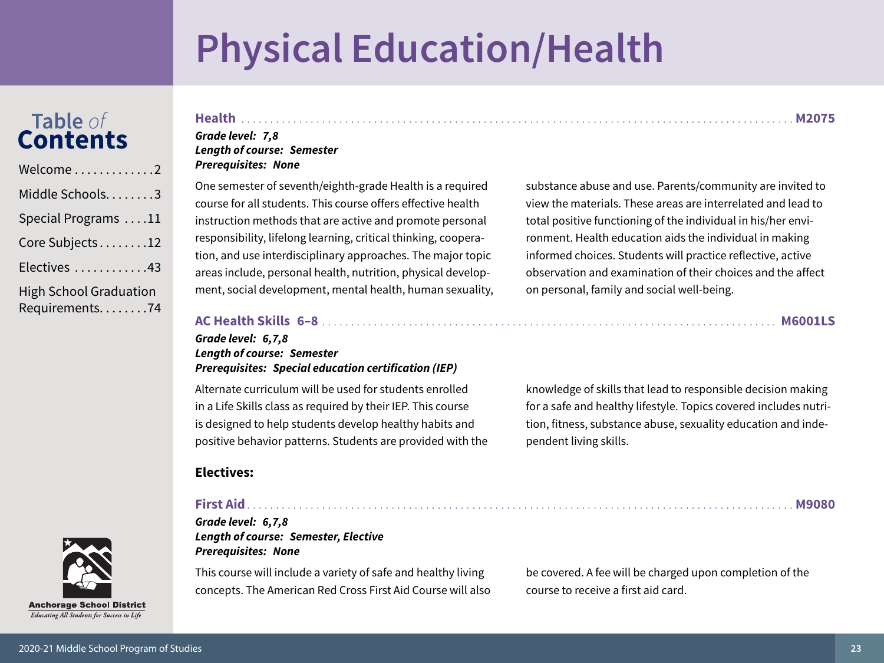# **Physical Education/Health**

### Table of<br>Contents

| Welcome 2                                         |
|---------------------------------------------------|
| Middle Schools. 3                                 |
| Special Programs 11                               |
| Core Subjects12                                   |
| Electives 43                                      |
| <b>High School Graduation</b><br>Requirements. 74 |

#### M2075

#### Grade level: 7,8 **Length of course: Semester Prerequisites: None**

One semester of seventh/eighth-grade Health is a required course for all students. This course offers effective health instruction methods that are active and promote personal responsibility, lifelong learning, critical thinking, cooperation, and use interdisciplinary approaches. The major topic areas include, personal health, nutrition, physical development, social development, mental health, human sexuality, substance abuse and use. Parents/community are invited to view the materials. These areas are interrelated and lead to total positive functioning of the individual in his/her environment. Health education aids the individual in making informed choices. Students will practice reflective, active observation and examination of their choices and the affect on personal, family and social well-being.

**M9080** 

### AC Health Skills 6-8 [11] AC Health Skills 6-8 [12] AC Health Skills 6-8 [12] AC Health Skills 6-8 [12] AC Health Skills 6-8 [12] AC Health Microsoft AC Health Microsoft AC Health Microsoft AC Health Microsoft AC Health Mi

#### Grade level: 6,7,8 **Length of course: Semester Prerequisites: Special education certification (IEP)**

Alternate curriculum will be used for students enrolled in a Life Skills class as required by their IEP. This course is designed to help students develop healthy habits and positive behavior patterns. Students are provided with the knowledge of skills that lead to responsible decision making for a safe and healthy lifestyle. Topics covered includes nutrition, fitness, substance abuse, sexuality education and independent living skills.

### **Electives:**

#### **First Aid** Grade level: 6,7,8

**Length of course: Semester, Elective Prerequisites: None** 

This course will include a variety of safe and healthy living concepts. The American Red Cross First Aid Course will also be covered. A fee will be charged upon completion of the course to receive a first aid card.

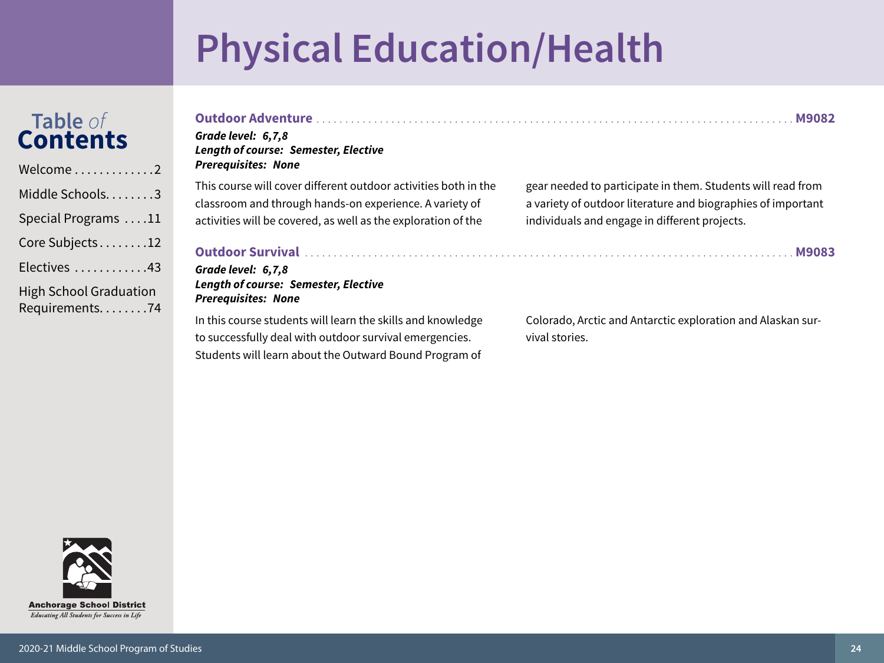# **Physical Education/Health**

Students will learn about the Outward Bound Program of

# Table of<br>Contents

| Welcome2                                          |
|---------------------------------------------------|
| Middle Schools3                                   |
| Special Programs 11                               |
| Core Subjects12                                   |
| Electives 43                                      |
| <b>High School Graduation</b><br>Requirements. 74 |

| Grade level: 6,7,8<br><b>Length of course: Semester, Elective</b><br><b>Prerequisites: None</b> | <b>M9082</b>                                                 |
|-------------------------------------------------------------------------------------------------|--------------------------------------------------------------|
| This course will cover different outdoor activities both in the                                 | gear needed to participate in them. Students will read from  |
| classroom and through hands-on experience. A variety of                                         | a variety of outdoor literature and biographies of important |
| activities will be covered, as well as the exploration of the                                   | individuals and engage in different projects.                |
| Grade level: 6,7,8<br><b>Length of course: Semester, Elective</b><br><b>Prerequisites: None</b> | <b>M9083</b>                                                 |
| In this course students will learn the skills and knowledge                                     | Colorado, Arctic and Antarctic exploration and Alaskan sur-  |
| to successfully deal with outdoor survival emergencies.                                         | vival stories.                                               |

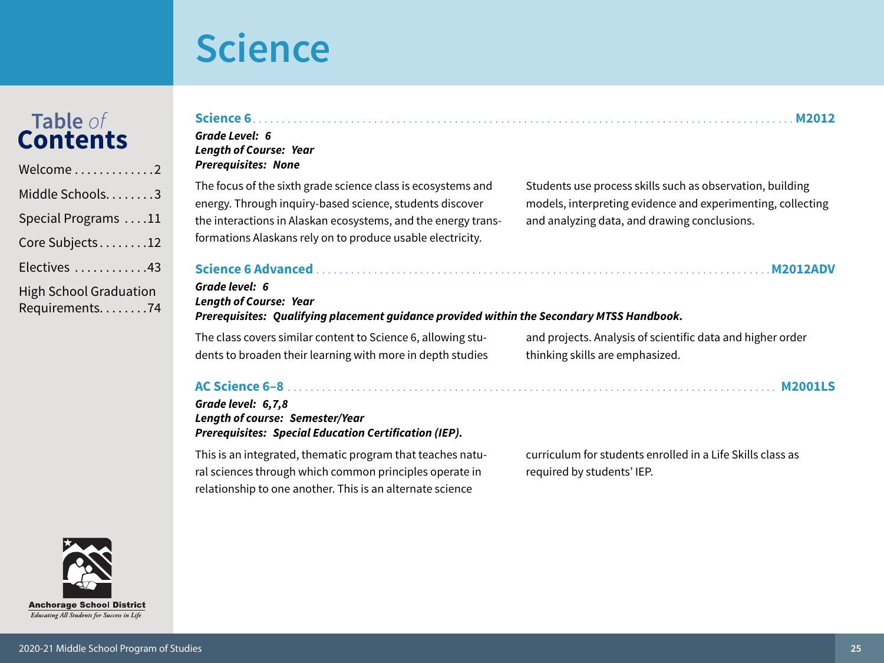relationship to one another. This is an alternate science

| $\ldots$ 2                       | Science 6.<br>Grade Level: 6<br><b>Length of Course: Year</b><br><b>Prerequisites: None</b>                                                                                                                                                             | <b>M2012</b>                                                                                                                                                             |
|----------------------------------|---------------------------------------------------------------------------------------------------------------------------------------------------------------------------------------------------------------------------------------------------------|--------------------------------------------------------------------------------------------------------------------------------------------------------------------------|
| $\ldots$ 3<br>$\ldots$ 11<br>.12 | The focus of the sixth grade science class is ecosystems and<br>energy. Through inquiry-based science, students discover<br>the interactions in Alaskan ecosystems, and the energy trans-<br>formations Alaskans rely on to produce usable electricity. | Students use process skills such as observation, building<br>models, interpreting evidence and experimenting, collecting<br>and analyzing data, and drawing conclusions. |
| .43<br>tion<br>.74               | Grade level: 6<br><b>Length of Course: Year</b><br>Prerequisites: Qualifying placement guidance provided within the Secondary MTSS Handbook.                                                                                                            |                                                                                                                                                                          |
|                                  | The class covers similar content to Science 6, allowing stu-<br>dents to broaden their learning with more in depth studies                                                                                                                              | and projects. Analysis of scientific data and higher order<br>thinking skills are emphasized.                                                                            |
|                                  | Grade level: 6,7,8<br><b>Length of course: Semester/Year</b><br><b>Prerequisites: Special Education Certification (IEP).</b>                                                                                                                            |                                                                                                                                                                          |
|                                  | This is an integrated, thematic program that teaches natu-<br>ral sciences through which common principles operate in                                                                                                                                   | curriculum for students enrolled in a Life Skills class as<br>required by students' IEP.                                                                                 |

<span id="page-24-0"></span>

| Welcome2                                        |
|-------------------------------------------------|
| Middle Schools3                                 |
| Special Programs 11                             |
| Core Subjects12                                 |
| Electives 43                                    |
| <b>High School Graduation</b><br>Requirements74 |

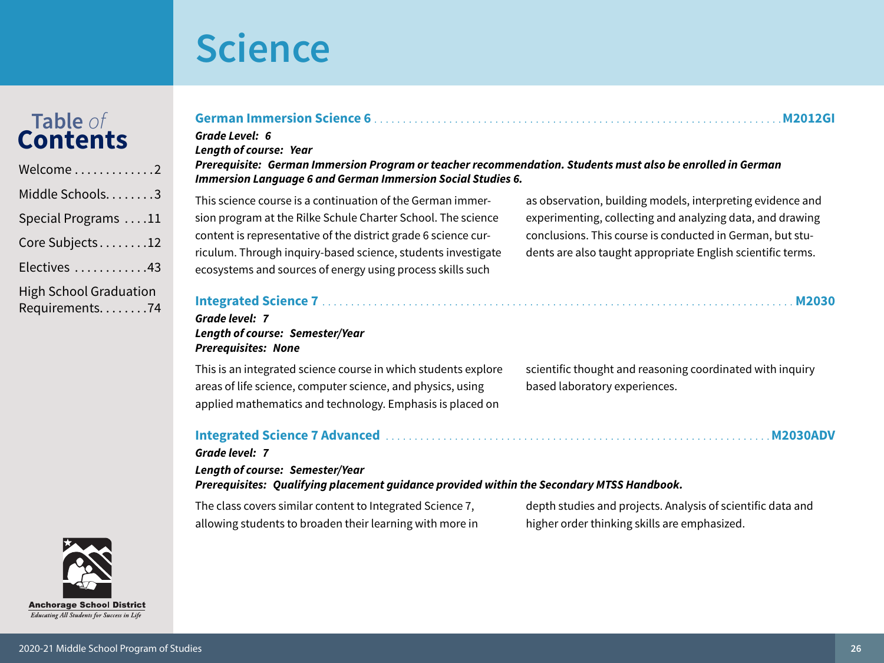Table of<br>Contents

### Core Subjects........12

Welcome............2

Electives ............43

| <b>High School Graduation</b> |
|-------------------------------|
| Requirements74                |

### German Immersion Science 6

Grade Level: 6 **Lenath of course: Year** 

#### Prerequisite: German Immersion Program or teacher recommendation. Students must also be enrolled in German **Immersion Language 6 and German Immersion Social Studies 6.**

This science course is a continuation of the German immersion program at the Rilke Schule Charter School. The science content is representative of the district grade 6 science curriculum. Through inquiry-based science, students investigate ecosystems and sources of energy using process skills such

as observation, building models, interpreting evidence and experimenting, collecting and analyzing data, and drawing conclusions. This course is conducted in German, but students are also taught appropriate English scientific terms.

M2012GI

| Grade level:   7<br><b>Length of course: Semester/Year</b> |  |
|------------------------------------------------------------|--|
| <b>Prerequisites: None</b>                                 |  |

This is an integrated science course in which students explore areas of life science, computer science, and physics, using applied mathematics and technology. Emphasis is placed on

scientific thought and reasoning coordinated with inquiry based laboratory experiences.

### 

### Grade level: 7

**Length of course: Semester/Year** Prerequisites: Qualifying placement guidance provided within the Secondary MTSS Handbook.

The class covers similar content to Integrated Science 7, allowing students to broaden their learning with more in

depth studies and projects. Analysis of scientific data and higher order thinking skills are emphasized.

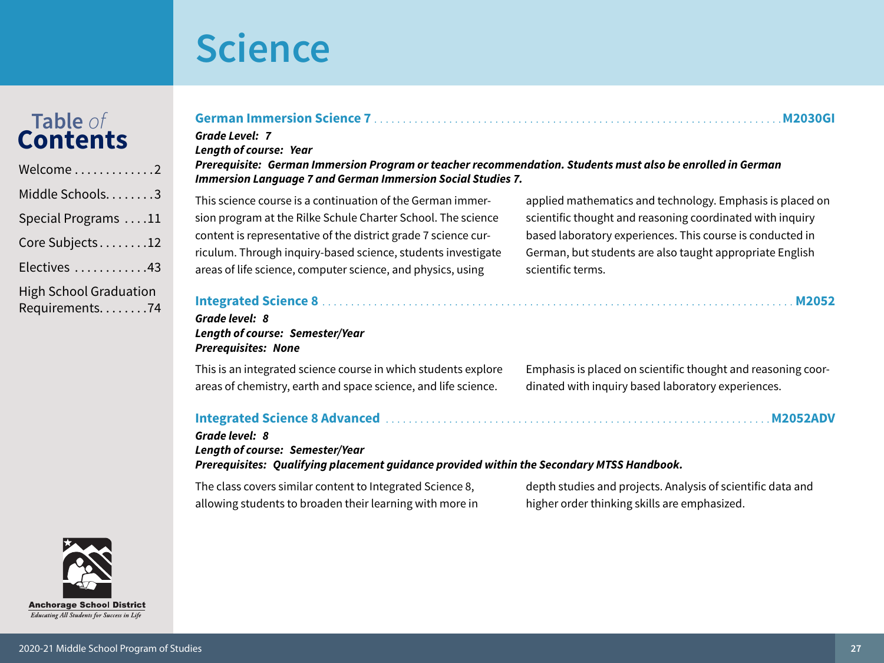**Anchorage School District** Educating All Students for Success in Life

2020-21 Middle School Program of Studies

# Table of<br>Contents

| Welcome2                                        |
|-------------------------------------------------|
| Middle Schools3                                 |
| Special Programs 11                             |
| Core Subjects12                                 |
| Electives 43                                    |
| <b>High School Graduation</b><br>Requirements74 |

| <b>German Immersion Science 7</b>                                                                                                                                                                                                          |                                                           |
|--------------------------------------------------------------------------------------------------------------------------------------------------------------------------------------------------------------------------------------------|-----------------------------------------------------------|
| <b>Grade Level: 7</b><br><b>Length of course: Year</b><br>Prerequisite: German Immersion Program or teacher recommendation. Students must also be enrolled in German<br><b>Immersion Language 7 and German Immersion Social Studies 7.</b> |                                                           |
| This science course is a continuation of the German immer-                                                                                                                                                                                 | applied mathematics and technology. Emphasis is placed on |
| sion program at the Rilke Schule Charter School. The science                                                                                                                                                                               | scientific thought and reasoning coordinated with inquiry |
| content is representative of the district grade 7 science cur-                                                                                                                                                                             | based laboratory experiences. This course is conducted in |
| riculum. Through inquiry-based science, students investigate                                                                                                                                                                               | German, but students are also taught appropriate English  |
| areas of life science, computer science, and physics, using                                                                                                                                                                                | scientific terms.                                         |

| Grade level: 8                  |  |
|---------------------------------|--|
| Length of course: Semester/Year |  |
| <b>Prerequisites: None</b>      |  |

This is an integrated science course in which students explore areas of chemistry, earth and space science, and life science.

Emphasis is placed on scientific thought and reasoning coordinated with inquiry based laboratory experiences.

### 

Grade level: 8 Length of course: Semester/Year Prerequisites: Qualifying placement guidance provided within the Secondary MTSS Handbook.

The class covers similar content to Integrated Science 8, allowing students to broaden their learning with more in depth studies and projects. Analysis of scientific data and higher order thinking skills are emphasized.

**M2052ADV**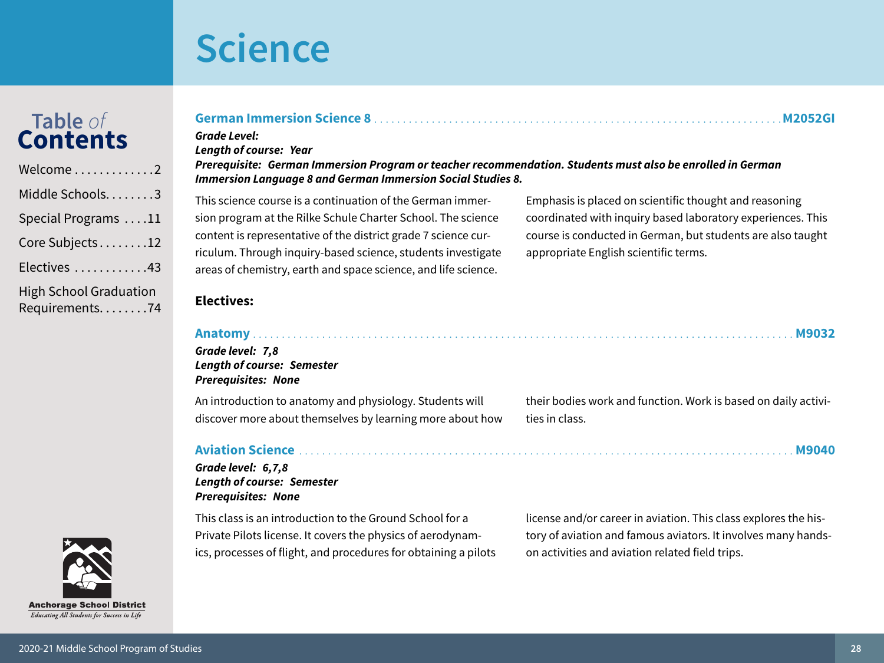# Table of<br>**Contents**



### German Immersion Science 8

#### **Grade Level: Length of course: Year**

#### Prerequisite: German Immersion Program or teacher recommendation. Students must also be enrolled in German **Immersion Language 8 and German Immersion Social Studies 8.**

This science course is a continuation of the German immersion program at the Rilke Schule Charter School. The science content is representative of the district grade 7 science curriculum. Through inquiry-based science, students investigate areas of chemistry, earth and space science, and life science.

Emphasis is placed on scientific thought and reasoning coordinated with inquiry based laboratory experiences. This course is conducted in German, but students are also taught appropriate English scientific terms.

### **Electives:**

#### Grade level: 7.8 **Length of course: Semester Prerequisites: None**

An introduction to anatomy and physiology. Students will discover more about themselves by learning more about how

#### **Aviation Science**

#### Grade level: 6,7,8 **Length of course: Semester Prerequisites: None**

This class is an introduction to the Ground School for a Private Pilots license. It covers the physics of aerodynamics, processes of flight, and procedures for obtaining a pilots their bodies work and function. Work is based on daily activities in class.

**M2052GI** 

license and/or career in aviation. This class explores the history of aviation and famous aviators. It involves many handson activities and aviation related field trips.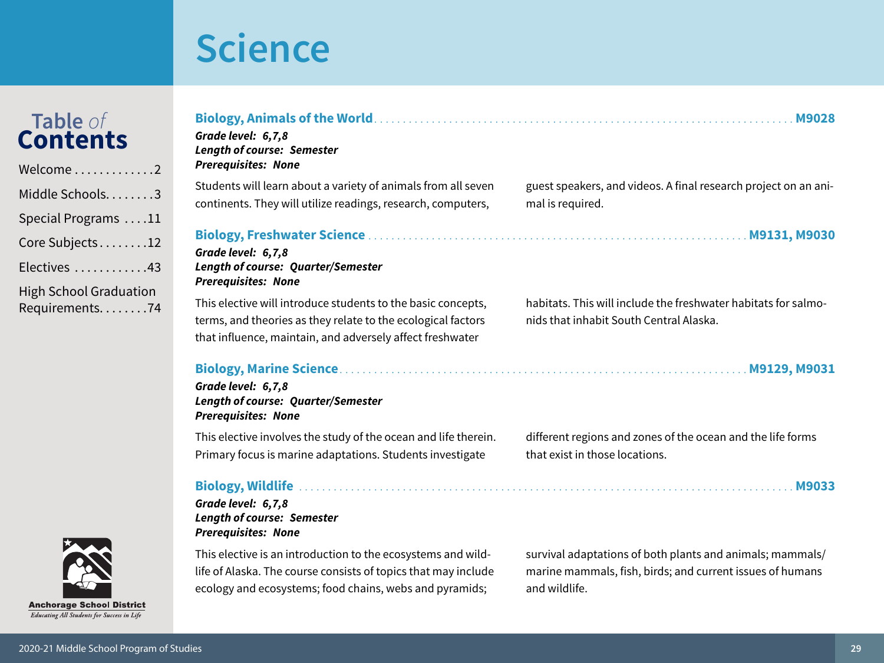| Table of<br><b>Contents</b><br>Welcome2           | Grade level: 6,7,8<br><b>Length of course: Semester</b><br><b>Prerequisites: None</b>                                                                                                     | <b>M9028</b>                                                                                                                            |
|---------------------------------------------------|-------------------------------------------------------------------------------------------------------------------------------------------------------------------------------------------|-----------------------------------------------------------------------------------------------------------------------------------------|
| Middle Schools3                                   | Students will learn about a variety of animals from all seven<br>continents. They will utilize readings, research, computers,                                                             | guest speakers, and videos. A final research project on an ani-<br>mal is required.                                                     |
| Special Programs 11                               |                                                                                                                                                                                           |                                                                                                                                         |
| Core Subjects12                                   | Grade level: 6,7,8                                                                                                                                                                        |                                                                                                                                         |
| Electives 43                                      | Length of course: Quarter/Semester<br><b>Prerequisites: None</b>                                                                                                                          |                                                                                                                                         |
| <b>High School Graduation</b><br>Requirements74   | This elective will introduce students to the basic concepts,<br>terms, and theories as they relate to the ecological factors<br>that influence, maintain, and adversely affect freshwater | habitats. This will include the freshwater habitats for salmo-<br>nids that inhabit South Central Alaska.                               |
|                                                   | Grade level: 6,7,8<br><b>Length of course: Quarter/Semester</b><br><b>Prerequisites: None</b>                                                                                             |                                                                                                                                         |
|                                                   | This elective involves the study of the ocean and life therein.<br>Primary focus is marine adaptations. Students investigate                                                              | different regions and zones of the ocean and the life forms<br>that exist in those locations.                                           |
|                                                   | Grade level: 6,7,8<br><b>Length of course: Semester</b><br><b>Prerequisites: None</b>                                                                                                     |                                                                                                                                         |
| <b>MARITE</b><br><b>Anchorage School District</b> | This elective is an introduction to the ecosystems and wild-<br>life of Alaska. The course consists of topics that may include<br>ecology and ecosystems; food chains, webs and pyramids; | survival adaptations of both plants and animals; mammals/<br>marine mammals, fish, birds; and current issues of humans<br>and wildlife. |

Educating All Students for Success in Life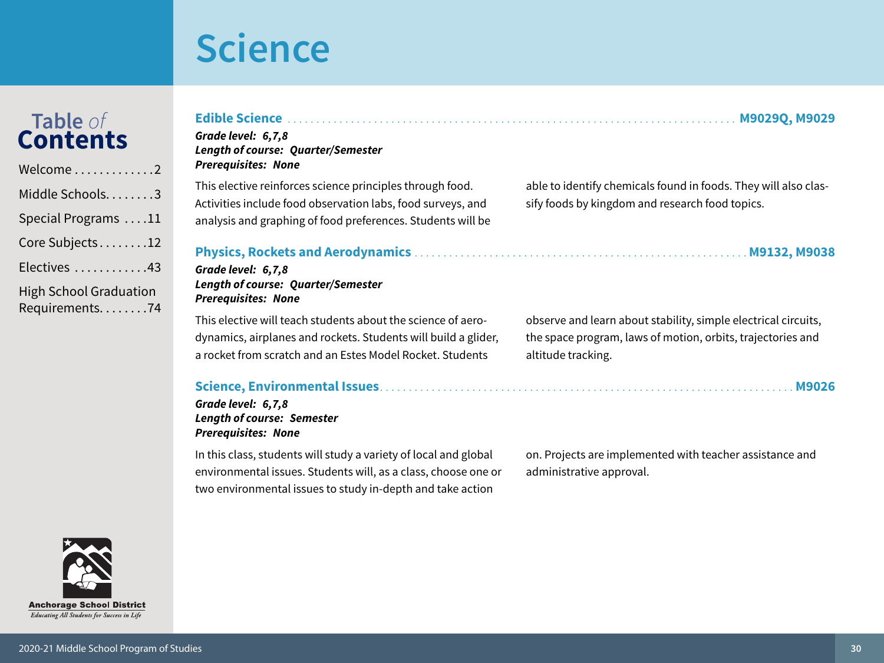# Table of<br>Contents

 $\sim$   $\sim$   $\sim$   $\sim$ 

| Welcome $\ldots \ldots \ldots \ldots 2$         |
|-------------------------------------------------|
| Middle Schools3                                 |
| Special Programs 11                             |
| Core Subjects12                                 |
| Electives 43                                    |
| <b>High School Graduation</b><br>Requirements74 |

**Anchorage School District** Educating All Students for Success in Life

| able to identify chemicals found in foods. They will also clas-<br>sify foods by kingdom and research food topics.                                  |
|-----------------------------------------------------------------------------------------------------------------------------------------------------|
|                                                                                                                                                     |
| observe and learn about stability, simple electrical circuits,<br>the space program, laws of motion, orbits, trajectories and<br>altitude tracking. |
|                                                                                                                                                     |
| ta deba da a concelenta e di conserva e final a dal del comunicación de bandan a concelental, es desenvolvera a                                     |

In this class, students will study a variety of local and global environmental issues. Students will, as a class, choose one or two environmental issues to study in-depth and take action

on. Projects are implemented with teacher assistance and administrative approval.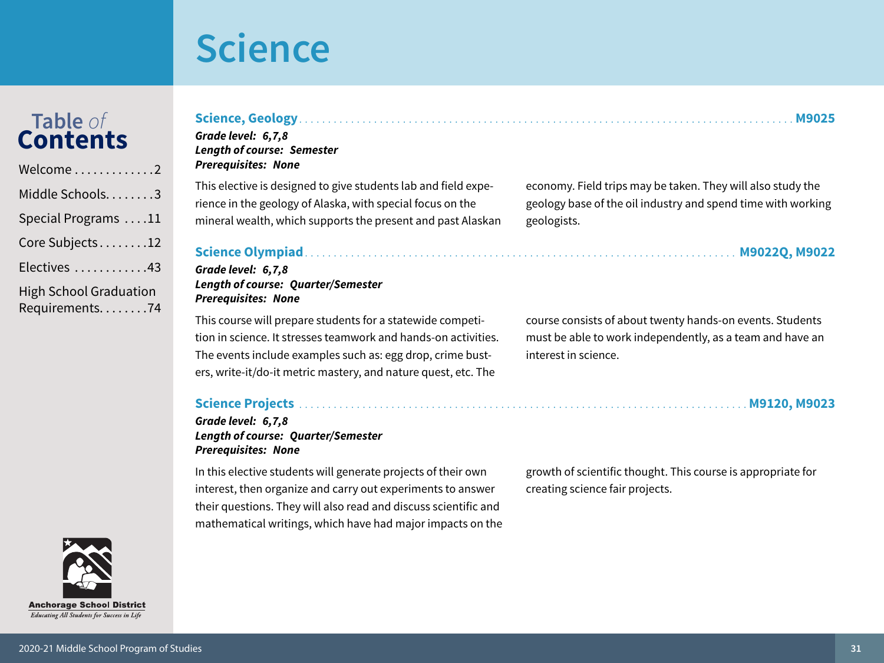# Table of<br>Contents

| Welcome2                                          |
|---------------------------------------------------|
| Middle Schools3                                   |
| Special Programs 11                               |
| Core Subjects12                                   |
| Electives 43                                      |
| <b>High School Graduation</b><br>Requirements. 74 |

| e 2                                      | <i>Prerequisites: None</i>                                          |
|------------------------------------------|---------------------------------------------------------------------|
| $\mathsf{in}$ chools. $\dots \dots 3$    | This elective is designed to giv<br>rience in the geology of Alaska |
| Programs $\dots$ 11                      | mineral wealth, which support                                       |
| $\mathsf{objects}.\dots\dots\mathsf{12}$ | <b>Science Olympiad</b>                                             |
| s 43                                     | Grade level: 6,7,8                                                  |
| <b>nool Graduation</b><br>ments. 74      | <b>Length of course: Quarter/Se</b><br><b>Prerequisites: None</b>   |
|                                          | This course will prepare stude                                      |
|                                          |                                                                     |

Grade level: 6,7,8 **Length of course: Semester** Draraguicitae, Napa

e students lab and field expe-, with special focus on the ts the present and past Alaskan

### emester

nts for a statewide competition in science. It stresses teamwork and hands-on activities. The events include examples such as: egg drop, crime busters, write-it/do-it metric mastery, and nature quest, etc. The

#### Grade level: 6,7,8 **Length of course: Quarter/Semester Prerequisites: None**

In this elective students will generate projects of their own interest, then organize and carry out experiments to answer their questions. They will also read and discuss scientific and mathematical writings, which have had major impacts on the growth of scientific thought. This course is appropriate for creating science fair projects.

course consists of about twenty hands-on events. Students must be able to work independently, as a team and have an interest in science.

economy. Field trips may be taken. They will also study the

geologists.

geology base of the oil industry and spend time with working

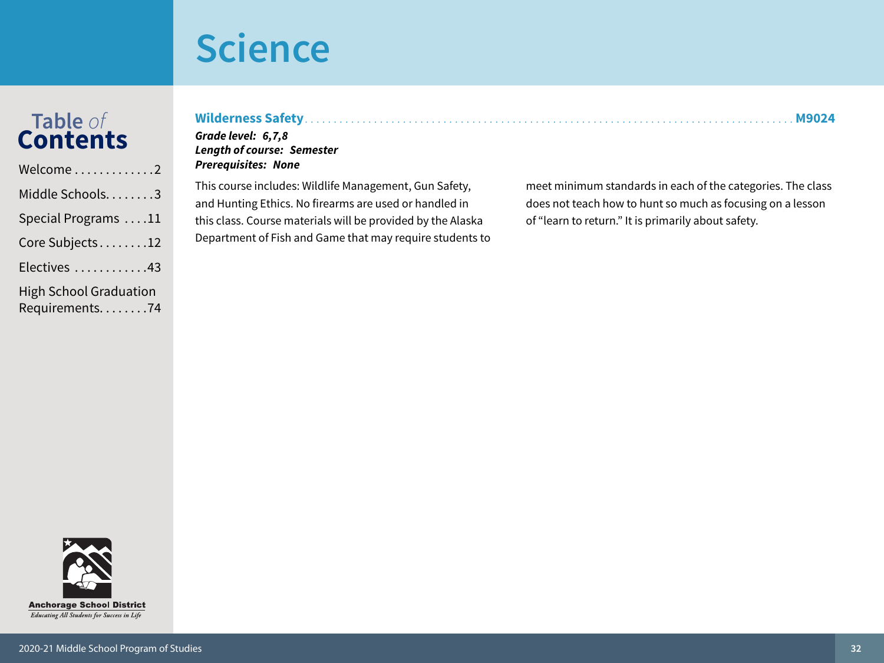**Prerequisites: None** 

# Table of<br>Contents

| Welcome2                                          |
|---------------------------------------------------|
| Middle Schools3                                   |
| Special Programs 11                               |
| Core Subjects12                                   |
| Electives 43                                      |
| <b>High School Graduation</b><br>Requirements. 74 |

| Grade level:   6,7,8              |  |
|-----------------------------------|--|
| <b>Length of course: Semester</b> |  |

This course includes: Wildlife Management, Gun Safety, and Hunting Ethics. No firearms are used or handled in this class. Course materials will be provided by the Alaska Department of Fish and Game that may require students to

meet minimum standards in each of the categories. The class does not teach how to hunt so much as focusing on a lesson of "learn to return." It is primarily about safety.

**M9024** 

. . . . . . . . . . . . . .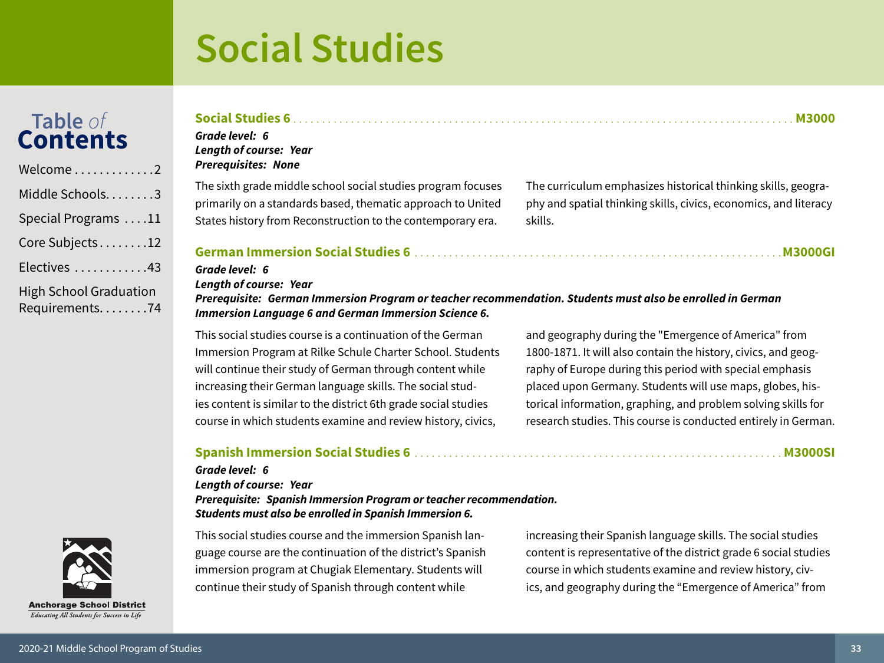# <span id="page-32-0"></span>Table of<br>**Contents**

| Welcome2                                          |
|---------------------------------------------------|
| Middle Schools3                                   |
| Special Programs 11                               |
| Core Subjects12                                   |
| Electives 43                                      |
| <b>High School Graduation</b><br>Requirements. 74 |

### Social Studies 6 and the contract of the contract of the contract of the contract of the contract of the contract of the contract of the contract of the contract of the contract of the contract of the contract of the contr Grade level: 6

### **Length of course: Year Prerequisites: None**

The sixth grade middle school social studies program focuses primarily on a standards based, thematic approach to United States history from Reconstruction to the contemporary era.

The curriculum emphasizes historical thinking skills, geography and spatial thinking skills, civics, economics, and literacy skills.

#### 

### Grade level: 6

**Length of course: Year** 

Prerequisite: German Immersion Program or teacher recommendation. Students must also be enrolled in German **Immersion Language 6 and German Immersion Science 6.** 

This social studies course is a continuation of the German Immersion Program at Rilke Schule Charter School. Students will continue their study of German through content while increasing their German language skills. The social studies content is similar to the district 6th grade social studies course in which students examine and review history, civics,

and geography during the "Emergence of America" from 1800-1871. It will also contain the history, civics, and geography of Europe during this period with special emphasis placed upon Germany. Students will use maps, globes, historical information, graphing, and problem solving skills for research studies. This course is conducted entirely in German.

### 

#### Grade level: 6

#### **Length of course: Year**

Prerequisite: Spanish Immersion Program or teacher recommendation. Students must also be enrolled in Spanish Immersion 6.

This social studies course and the immersion Spanish language course are the continuation of the district's Spanish immersion program at Chugiak Elementary. Students will continue their study of Spanish through content while

increasing their Spanish language skills. The social studies content is representative of the district grade 6 social studies course in which students examine and review history, civics, and geography during the "Emergence of America" from

**Anchorage School District** Educating All Students for Success in Life

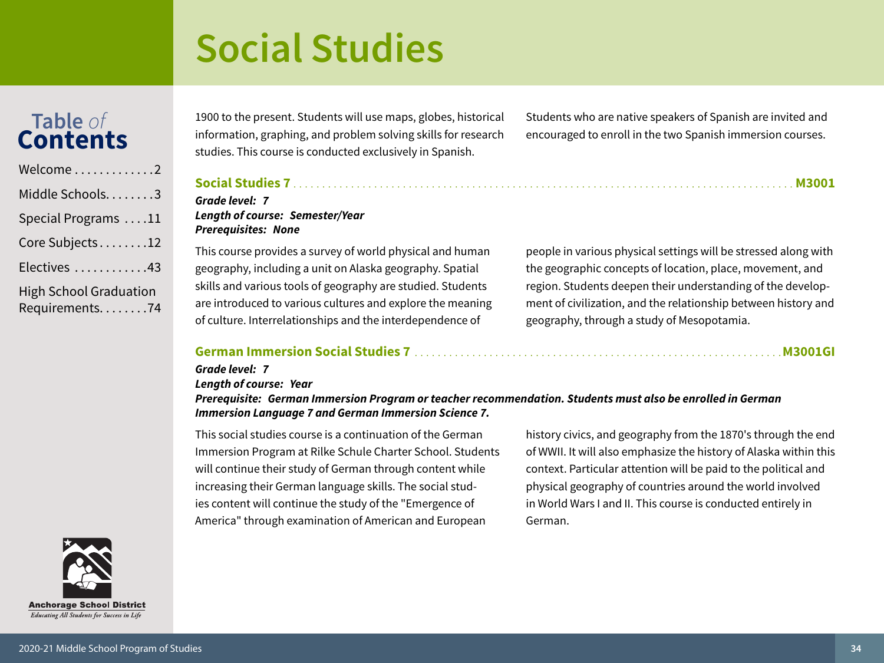# Table of<br>Contents

| Welcome2                                        |
|-------------------------------------------------|
| Middle Schools3                                 |
| Special Programs 11                             |
| Core Subjects12                                 |
| Electives 43                                    |
| <b>High School Graduation</b><br>Requirements74 |

1900 to the present. Students will use maps, globes, historical information, graphing, and problem solving skills for research studies. This course is conducted exclusively in Spanish.

Students who are native speakers of Spanish are invited and encouraged to enroll in the two Spanish immersion courses.

This course provides a survey of world physical and human geography, including a unit on Alaska geography. Spatial skills and various tools of geography are studied. Students are introduced to various cultures and explore the meaning of culture. Interrelationships and the interdependence of

people in various physical settings will be stressed along with the geographic concepts of location, place, movement, and region. Students deepen their understanding of the development of civilization, and the relationship between history and geography, through a study of Mesopotamia.

### 

Length of course: Semester/Year

Grade level: 7

Grade level: 7

**Prerequisites: None** 

#### **Length of course: Year**

Prerequisite: German Immersion Program or teacher recommendation. Students must also be enrolled in German **Immersion Language 7 and German Immersion Science 7.** 

This social studies course is a continuation of the German Immersion Program at Rilke Schule Charter School. Students will continue their study of German through content while increasing their German language skills. The social studies content will continue the study of the "Emergence of America" through examination of American and European

history civics, and geography from the 1870's through the end of WWII. It will also emphasize the history of Alaska within this context. Particular attention will be paid to the political and physical geography of countries around the world involved in World Wars I and II. This course is conducted entirely in German.

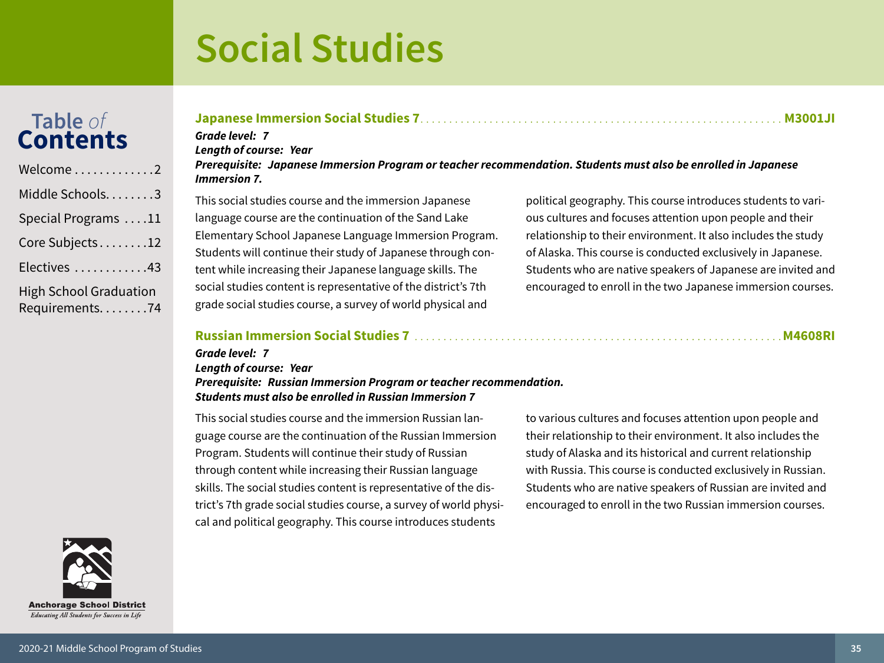## Table of<br>Contents

| Welcome $\ldots \ldots \ldots \ldots 2$           |
|---------------------------------------------------|
| Middle Schools3                                   |
| Special Programs 11                               |
| Core Subjects12                                   |
| Electives 43                                      |
| <b>High School Graduation</b><br>Requirements. 74 |

### 

Grade level: 7

**Lenath of course: Year** 

#### Prerequisite: Japanese Immersion Program or teacher recommendation. Students must also be enrolled in Japanese **Immersion 7.**

This social studies course and the immersion Japanese language course are the continuation of the Sand Lake Elementary School Japanese Language Immersion Program. Students will continue their study of Japanese through content while increasing their Japanese language skills. The social studies content is representative of the district's 7th grade social studies course, a survey of world physical and

political geography. This course introduces students to various cultures and focuses attention upon people and their relationship to their environment. It also includes the study of Alaska. This course is conducted exclusively in Japanese. Students who are native speakers of Japanese are invited and encouraged to enroll in the two Japanese immersion courses.

#### 

#### Grade level: 7 **Length of course: Year** Prerequisite: Russian Immersion Program or teacher recommendation. **Students must also be enrolled in Russian Immersion 7**

This social studies course and the immersion Russian language course are the continuation of the Russian Immersion Program. Students will continue their study of Russian through content while increasing their Russian language skills. The social studies content is representative of the district's 7th grade social studies course, a survey of world physical and political geography. This course introduces students

to various cultures and focuses attention upon people and their relationship to their environment. It also includes the study of Alaska and its historical and current relationship with Russia. This course is conducted exclusively in Russian. Students who are native speakers of Russian are invited and encouraged to enroll in the two Russian immersion courses.

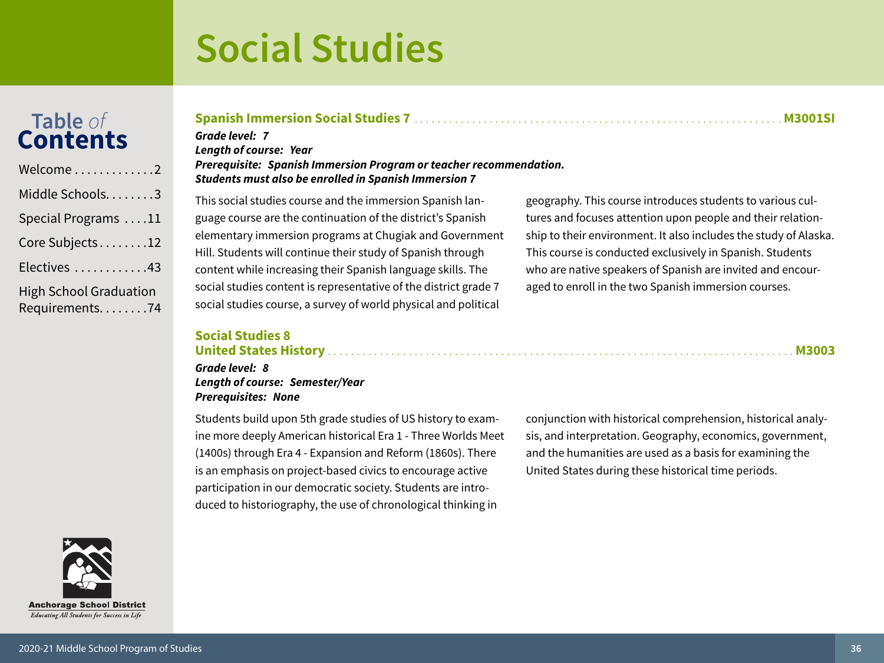## Table of<br>Contents

| Welcome $\ldots\ldots\ldots\ldots 2$              |
|---------------------------------------------------|
| Middle Schools. 3                                 |
| Special Programs 11                               |
| Core Subjects12                                   |
| Electives 43                                      |
| <b>High School Graduation</b><br>Requirements. 74 |

### Grade level: 7

**Lenath of course: Year** Prerequisite: Spanish Immersion Program or teacher recommendation. Students must also be enrolled in Spanish Immersion 7

This social studies course and the immersion Spanish language course are the continuation of the district's Spanish elementary immersion programs at Chugiak and Government Hill. Students will continue their study of Spanish through content while increasing their Spanish language skills. The social studies content is representative of the district grade 7 social studies course, a survey of world physical and political

geography. This course introduces students to various cultures and focuses attention upon people and their relationship to their environment. It also includes the study of Alaska. This course is conducted exclusively in Spanish. Students who are native speakers of Spanish are invited and encouraged to enroll in the two Spanish immersion courses.

### **Social Studies 8**

### 

Grade level: 8 Length of course: Semester/Year **Prerequisites: None** 

Students build upon 5th grade studies of US history to examine more deeply American historical Era 1 - Three Worlds Meet (1400s) through Era 4 - Expansion and Reform (1860s). There is an emphasis on project-based civics to encourage active participation in our democratic society. Students are introduced to historiography, the use of chronological thinking in

conjunction with historical comprehension, historical analysis, and interpretation. Geography, economics, government, and the humanities are used as a basis for examining the United States during these historical time periods.

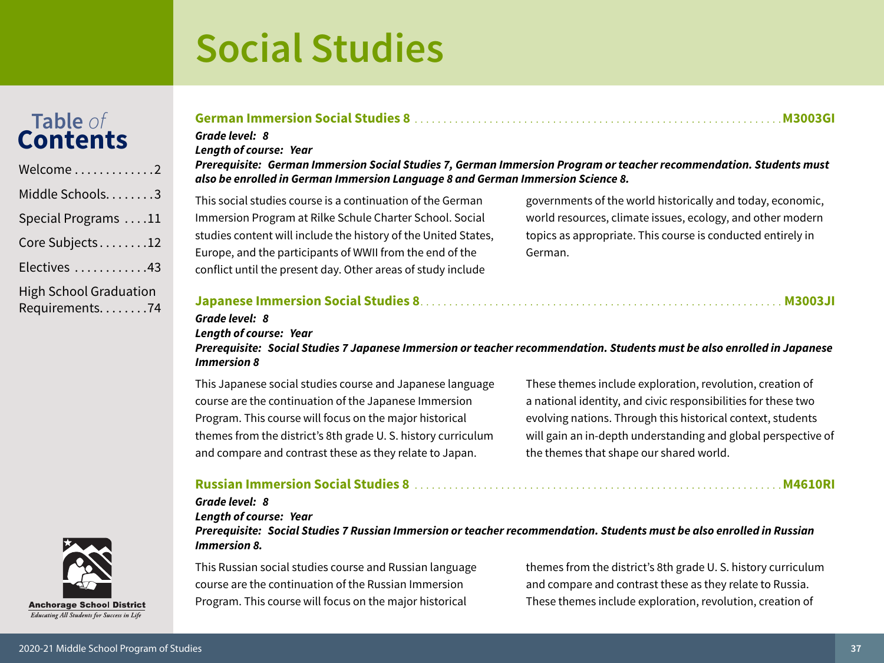## Table of<br>Contents

| Welcome2                                          |
|---------------------------------------------------|
| Middle Schools. 3                                 |
| Special Programs 11                               |
| Core Subjects12                                   |
| Electives 43                                      |
| <b>High School Graduation</b><br>Requirements. 74 |

### **Anchorage School District** Educating All Students for Success in Life

#### German Immersion Social Studies 8 and the contract of the contract of the M3003GI

### Grade level: 8

**Length of course: Year** 

#### Prerequisite: German Immersion Social Studies 7, German Immersion Program or teacher recommendation. Students must also be enrolled in German Immersion Language 8 and German Immersion Science 8.

This social studies course is a continuation of the German Immersion Program at Rilke Schule Charter School. Social studies content will include the history of the United States, Europe, and the participants of WWII from the end of the conflict until the present day. Other areas of study include

governments of the world historically and today, economic, world resources, climate issues, ecology, and other modern topics as appropriate. This course is conducted entirely in German.

#### 

#### Grade level: 8 **Length of course: Year**

Prerequisite: Social Studies 7 Japanese Immersion or teacher recommendation. Students must be also enrolled in Japanese **Immersion 8** 

This Japanese social studies course and Japanese language course are the continuation of the Japanese Immersion Program. This course will focus on the major historical themes from the district's 8th grade U.S. history curriculum and compare and contrast these as they relate to Japan.

These themes include exploration, revolution, creation of a national identity, and civic responsibilities for these two evolving nations. Through this historical context, students will gain an in-depth understanding and global perspective of the themes that shape our shared world.

#### 

#### Grade level: 8

**Length of course: Year** 

Prereguisite: Social Studies 7 Russian Immersion or teacher recommendation. Students must be also enrolled in Russian Immersion 8.

This Russian social studies course and Russian language course are the continuation of the Russian Immersion Program. This course will focus on the major historical

themes from the district's 8th grade U.S. history curriculum and compare and contrast these as they relate to Russia. These themes include exploration, revolution, creation of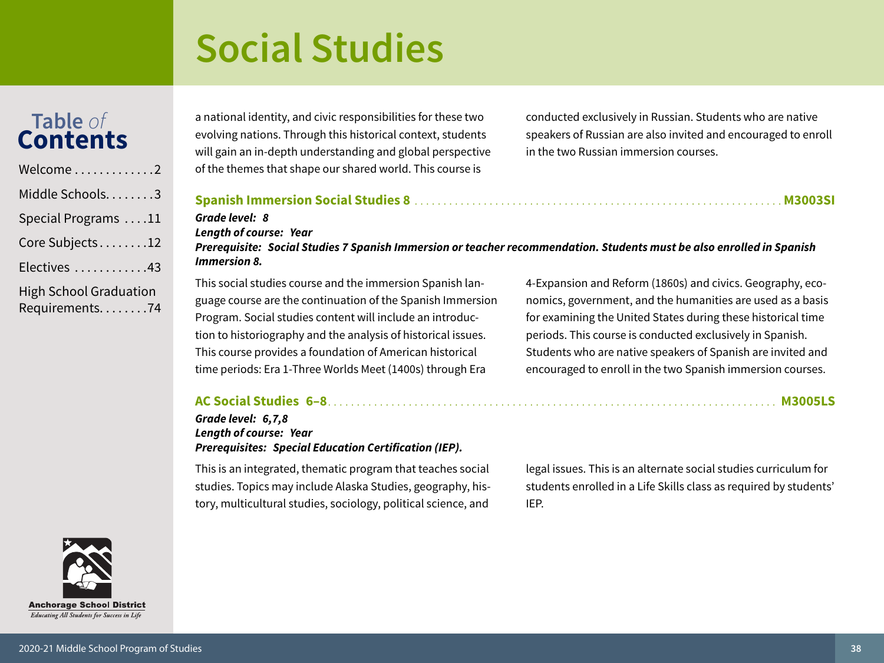## Table of<br>**Contents**

| Welcome2                                          |
|---------------------------------------------------|
| Middle Schools3                                   |
| Special Programs 11                               |
| Core Subjects12                                   |
| Electives 43                                      |
| <b>High School Graduation</b><br>Requirements. 74 |

a national identity, and civic responsibilities for these two evolving nations. Through this historical context, students will gain an in-depth understanding and global perspective of the themes that shape our shared world. This course is

conducted exclusively in Russian. Students who are native speakers of Russian are also invited and encouraged to enroll in the two Russian immersion courses.

#### **M3003SI** Grade level: 8 **Length of course: Year** Prerequisite: Social Studies 7 Spanish Immersion or teacher recommendation. Students must be also enrolled in Spanish **Immersion 8.** This social studies course and the immersion Spanish lan-4-Expansion and Reform (1860s) and civics. Geography, ecoguage course are the continuation of the Spanish Immersion nomics, government, and the humanities are used as a basis

Program. Social studies content will include an introduction to historiography and the analysis of historical issues. This course provides a foundation of American historical time periods: Era 1-Three Worlds Meet (1400s) through Era for examining the United States during these historical time periods. This course is conducted exclusively in Spanish. Students who are native speakers of Spanish are invited and encouraged to enroll in the two Spanish immersion courses.

#### Grade level: 6,7,8 **Length of course: Year Prerequisites: Special Education Certification (IEP).**

This is an integrated, thematic program that teaches social studies. Topics may include Alaska Studies, geography, history, multicultural studies, sociology, political science, and

legal issues. This is an alternate social studies curriculum for students enrolled in a Life Skills class as required by students' IEP.

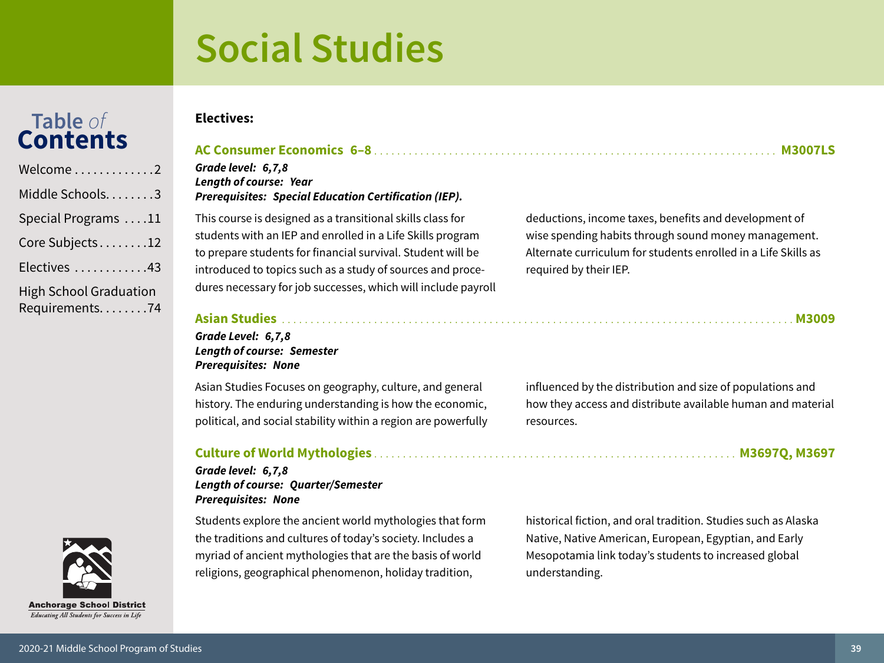## Table of<br>**Contents**

| Welcome2                                          |
|---------------------------------------------------|
| Middle Schools. 3                                 |
| Special Programs 11                               |
| Core Subjects12                                   |
| Electives 43                                      |
| <b>High School Graduation</b><br>Requirements. 74 |

#### **Electives:**

### 

Grade level: 6,7,8 **Length of course: Year Prerequisites: Special Education Certification (IEP).** 

This course is designed as a transitional skills class for students with an IEP and enrolled in a Life Skills program to prepare students for financial survival. Student will be introduced to topics such as a study of sources and procedures necessary for job successes, which will include payroll deductions, income taxes, benefits and development of wise spending habits through sound money management. Alternate curriculum for students enrolled in a Life Skills as required by their IEP.

### 

Grade Level: 6,7,8 **Length of course: Semester Prerequisites: None** 

Asian Studies Focuses on geography, culture, and general history. The enduring understanding is how the economic, political, and social stability within a region are powerfully

#### 

#### Grade level: 6,7,8 **Length of course: Quarter/Semester Prerequisites: None**

Students explore the ancient world mythologies that form the traditions and cultures of today's society. Includes a myriad of ancient mythologies that are the basis of world religions, geographical phenomenon, holiday tradition,

influenced by the distribution and size of populations and how they access and distribute available human and material resources.

historical fiction, and oral tradition. Studies such as Alaska Native, Native American, European, Egyptian, and Early Mesopotamia link today's students to increased global understanding.

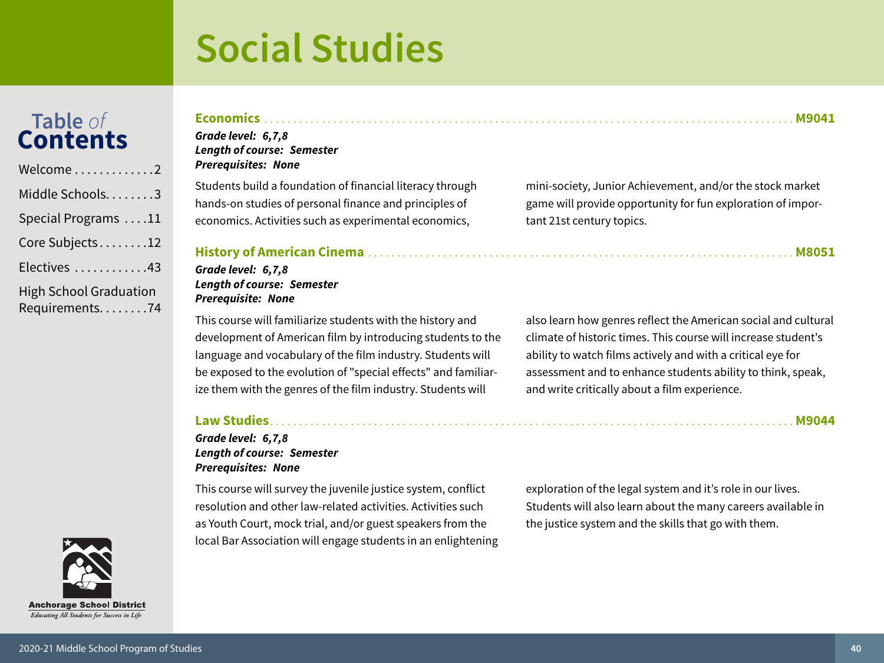## Table of<br>**Contents**

| Welcome2                                          |
|---------------------------------------------------|
| Middle Schools. 3                                 |
| Special Programs 11                               |
| Core Subjects12                                   |
| Electives 43                                      |
| <b>High School Graduation</b><br>Requirements. 74 |

#### Grade level: 6,7,8

### **Length of course: Semester Prerequisites: None**

Students build a foundation of financial literacy through hands-on studies of personal finance and principles of economics. Activities such as experimental economics,

#### 

#### Grade level: 6,7,8 **Length of course: Semester Prerequisite: None**

This course will familiarize students with the history and development of American film by introducing students to the language and vocabulary of the film industry. Students will be exposed to the evolution of "special effects" and familiarize them with the genres of the film industry. Students will

#### 

Grade level: 6,7,8 **Length of course: Semester Prerequisites: None** 

This course will survey the juvenile justice system, conflict resolution and other law-related activities. Activities such as Youth Court, mock trial, and/or guest speakers from the local Bar Association will engage students in an enlightening

exploration of the legal system and it's role in our lives. Students will also learn about the many careers available in the justice system and the skills that go with them.

mini-society, Junior Achievement, and/or the stock market game will provide opportunity for fun exploration of important 21st century topics.

also learn how genres reflect the American social and cultural climate of historic times. This course will increase student's ability to watch films actively and with a critical eye for assessment and to enhance students ability to think, speak, and write critically about a film experience.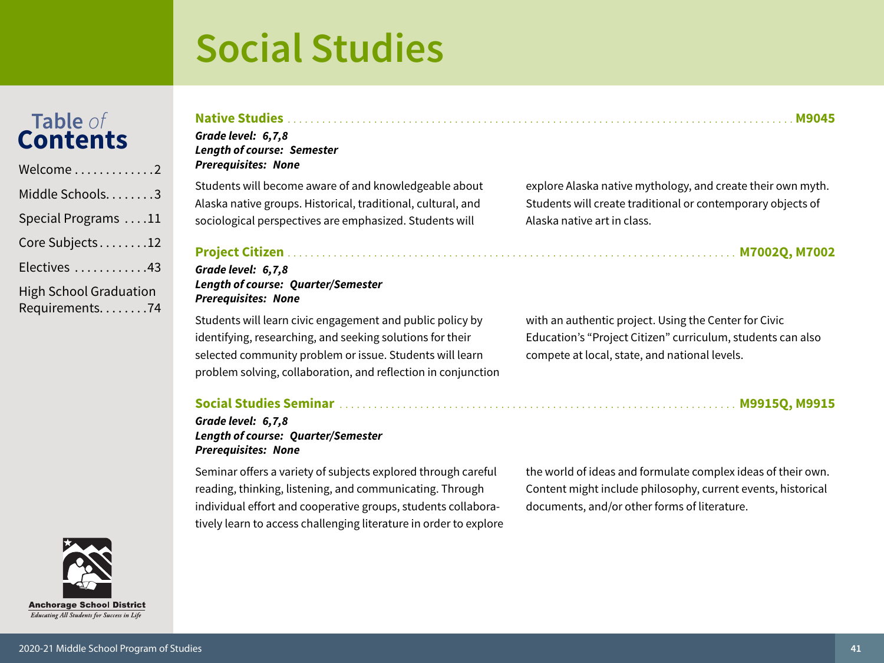## Table of<br>**Contents**

| Welcome2                                          |
|---------------------------------------------------|
| Middle Schools. 3                                 |
| Special Programs 11                               |
| Core Subjects12                                   |
| Electives 43                                      |
| <b>High School Graduation</b><br>Requirements. 74 |

| chorage School District                 |  |
|-----------------------------------------|--|
| cating All Students for Success in Life |  |

 $\mathbf{A}$ n  $\overline{E}$ 

#### Grade level: 6,7,8 **Length of course: Semester Prerequisites: None** Students will become aware of and knowledgeable about explore Alaska native mythology, and create their own myth.

Alaska native groups. Historical, traditional, cultural, and sociological perspectives are emphasized. Students will

#### Grade level: 6,7,8 **Length of course: Quarter/Semester Prerequisites: None**

Students will learn civic engagement and public policy by identifying, researching, and seeking solutions for their selected community problem or issue. Students will learn problem solving, collaboration, and reflection in conjunction

#### 

#### Grade level: 6,7,8 **Length of course: Quarter/Semester Prerequisites: None**

Seminar offers a variety of subjects explored through careful reading, thinking, listening, and communicating. Through individual effort and cooperative groups, students collaboratively learn to access challenging literature in order to explore

Alaska native art in class. 

Students will create traditional or contemporary objects of

with an authentic project. Using the Center for Civic Education's "Project Citizen" curriculum, students can also compete at local, state, and national levels.

the world of ideas and formulate complex ideas of their own. Content might include philosophy, current events, historical documents, and/or other forms of literature.

2020-21 Middle School Program of Studies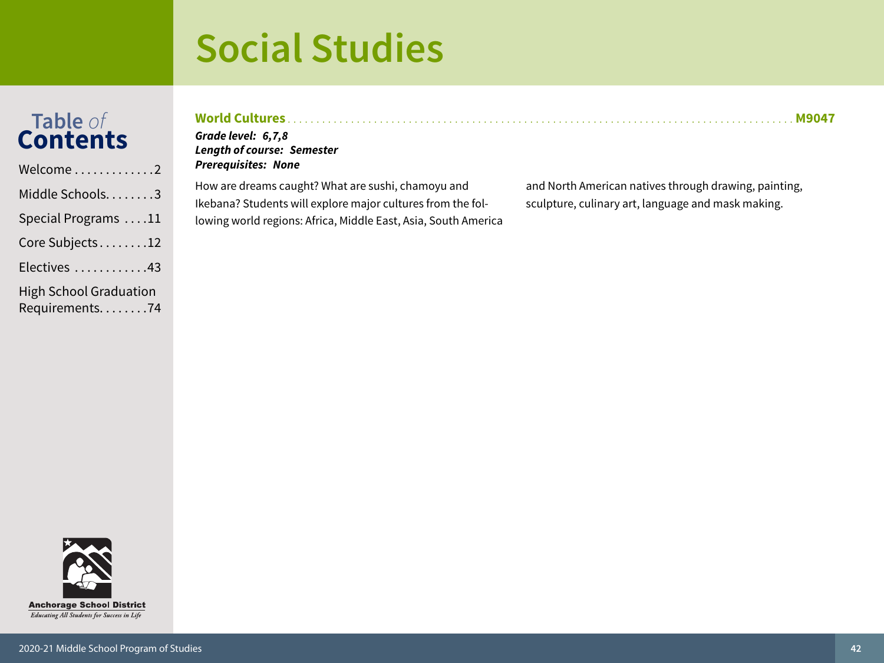# Table of<br>Contents

| Welcome2                      |
|-------------------------------|
| Middle Schools3               |
| Special Programs 11           |
| Core Subjects12               |
| Electives 43                  |
| <b>High School Graduation</b> |

Requirements. . . . . . . . 74

| <b>World Cultures</b><br>Grade level: 6,7,8<br><b>Length of course: Semester</b><br><b>Prerequisites: None</b>                                                                      | M9041                                                                                                       |
|-------------------------------------------------------------------------------------------------------------------------------------------------------------------------------------|-------------------------------------------------------------------------------------------------------------|
| How are dreams caught? What are sushi, chamoyu and<br>Ikebana? Students will explore major cultures from the fol-<br>lowing world regions: Africa, Middle East, Asia, South America | and North American natives through drawing, painting,<br>sculpture, culinary art, language and mask making. |

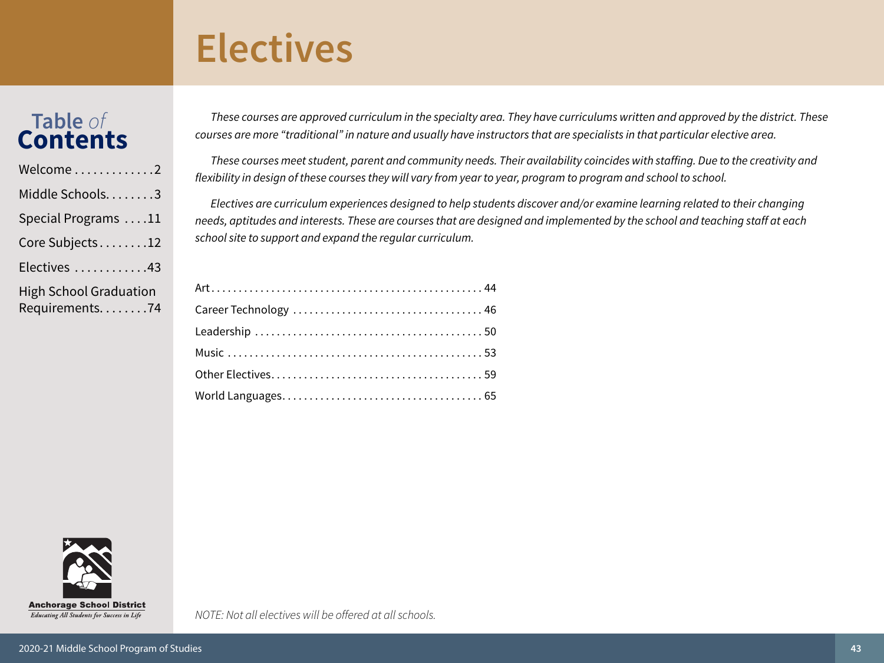## <span id="page-42-0"></span>**Electives**

### **Table** *of* **Contents**

| Welcome2                                          |
|---------------------------------------------------|
| Middle Schools3                                   |
| Special Programs 11                               |
| Core Subjects12                                   |
| Electives 43                                      |
| <b>High School Graduation</b><br>Requirements. 74 |

*These courses are approved curriculum in the specialty area. They have curriculums written and approved by the district. These courses are more "traditional" in nature and usually have instructors that are specialists in that particular elective area.*

*These courses meet student, parent and community needs. Their availability coincides with staffing. Due to the creativity and flexibility in design of these courses they will vary from year to year, program to program and school to school.*

*Electives are curriculum experiences designed to help students discover and/or examine learning related to their changing needs, aptitudes and interests. These are courses that are designed and implemented by the school and teaching staff at each school site to support and expand the regular curriculum.*

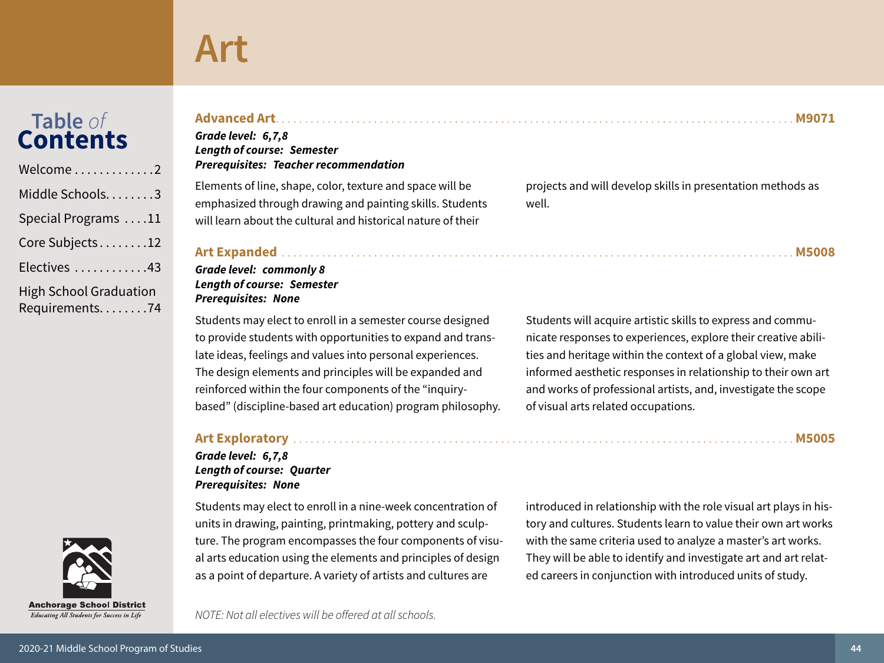## <span id="page-43-0"></span>Table of<br>**Contents**

| $Welcome \dots \dots \dots \dots \dots 2$       |
|-------------------------------------------------|
| Middle Schools3                                 |
| Special Programs 11                             |
| Core Subjects12                                 |
| Electives 43                                    |
| <b>High School Graduation</b><br>Requirements74 |



Educating All Students for Success in Life

Grade level: 6,7,8 **Length of course: Semester Prerequisites: Teacher recommendation** 

Elements of line, shape, color, texture and space will be emphasized through drawing and painting skills. Students will learn about the cultural and historical nature of their

projects and will develop skills in presentation methods as well.

#### 

#### **Grade level: commonly 8 Length of course: Semester Prerequisites: None**

Students may elect to enroll in a semester course designed to provide students with opportunities to expand and translate ideas, feelings and values into personal experiences. The design elements and principles will be expanded and reinforced within the four components of the "inquirybased" (discipline-based art education) program philosophy. Students will acquire artistic skills to express and communicate responses to experiences, explore their creative abilities and heritage within the context of a global view, make informed aesthetic responses in relationship to their own art and works of professional artists, and, investigate the scope of visual arts related occupations.

#### 

Grade level: 6,7,8 **Length of course: Quarter Prerequisites: None** 

Students may elect to enroll in a nine-week concentration of units in drawing, painting, printmaking, pottery and sculpture. The program encompasses the four components of visual arts education using the elements and principles of design as a point of departure. A variety of artists and cultures are

introduced in relationship with the role visual art plays in history and cultures. Students learn to value their own art works with the same criteria used to analyze a master's art works. They will be able to identify and investigate art and art related careers in conjunction with introduced units of study.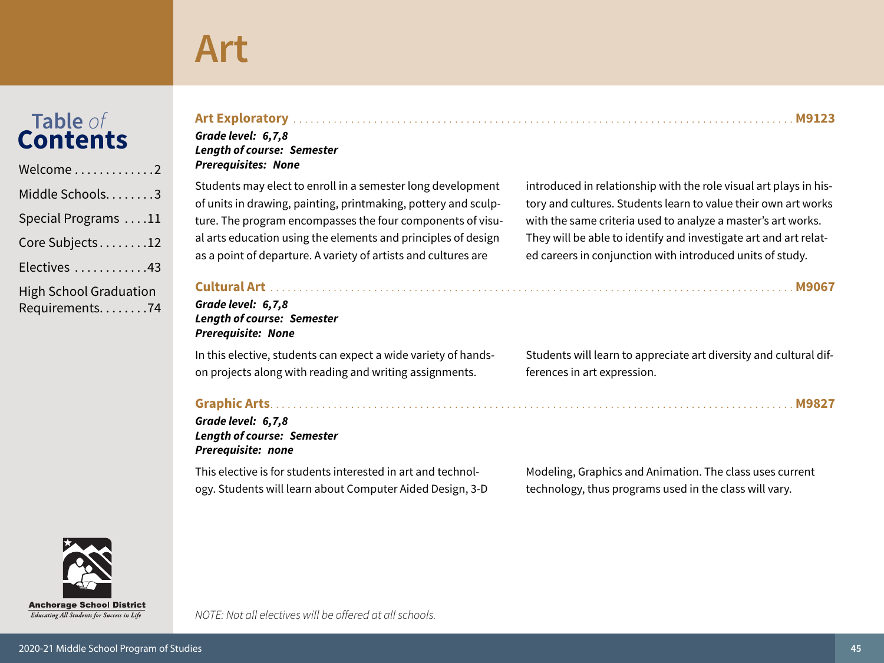### **Table** Cont

| Welcome2                                        |
|-------------------------------------------------|
| Middle Schools3                                 |
| Special Programs 11                             |
| Core Subjects12                                 |
| Electives 43                                    |
| <b>High School Graduation</b><br>Requirements74 |

| e of | Art Exploratory                   |
|------|-----------------------------------|
| ents | Grade level: 6,7,8                |
|      | <b>Length of course: Semester</b> |

**Prerequisites: None** 

Students may elect to enroll in a semester long development of units in drawing, painting, printmaking, pottery and sculpture. The program encompasses the four components of visual arts education using the elements and principles of design as a point of departure. A variety of artists and cultures are

#### Grade level: 6,7,8 **Length of course: Semester Prerequisite: None**

In this elective, students can expect a wide variety of handson projects along with reading and writing assignments.

#### 

Grade level: 6,7,8 **Length of course: Semester** Prerequisite: none

This elective is for students interested in art and technology. Students will learn about Computer Aided Design, 3-D introduced in relationship with the role visual art plays in history and cultures. Students learn to value their own art works with the same criteria used to analyze a master's art works. They will be able to identify and investigate art and art related careers in conjunction with introduced units of study.

Students will learn to appreciate art diversity and cultural differences in art expression.

Modeling, Graphics and Animation. The class uses current technology, thus programs used in the class will vary.

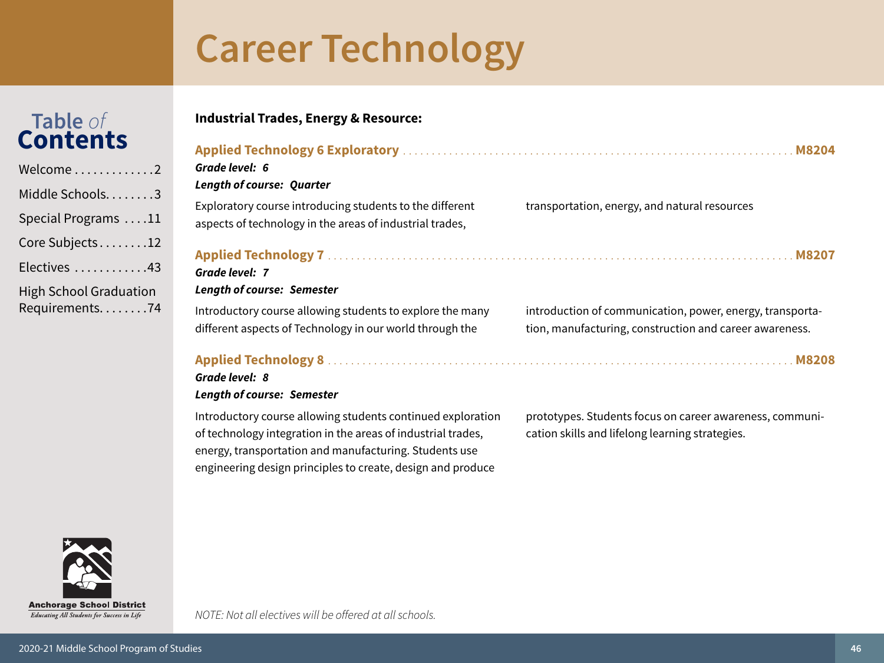**Industrial Trades, Energy & Resource:** 

# <span id="page-45-0"></span>Table of<br>Contents

| Welcome2                                          |
|---------------------------------------------------|
| Middle Schools3                                   |
| Special Programs 11                               |
| Core Subjects12                                   |
| Electives 43                                      |
| <b>High School Graduation</b><br>Requirements. 74 |

| Grade level: 6<br><b>Length of course: Quarter</b>                                                                    |                                                                                                                      |
|-----------------------------------------------------------------------------------------------------------------------|----------------------------------------------------------------------------------------------------------------------|
| Exploratory course introducing students to the different<br>aspects of technology in the areas of industrial trades,  | transportation, energy, and natural resources                                                                        |
| Grade level: 7<br><b>Length of course: Semester</b>                                                                   |                                                                                                                      |
| Introductory course allowing students to explore the many<br>different aspects of Technology in our world through the | introduction of communication, power, energy, transporta-<br>tion, manufacturing, construction and career awareness. |
| Grade level: 8                                                                                                        |                                                                                                                      |

#### **Length of course: Semester**

Introductory course allowing students continued exploration of technology integration in the areas of industrial trades, energy, transportation and manufacturing. Students use engineering design principles to create, design and produce

prototypes. Students focus on career awareness, communication skills and lifelong learning strategies.



Educating All Students for Success in Life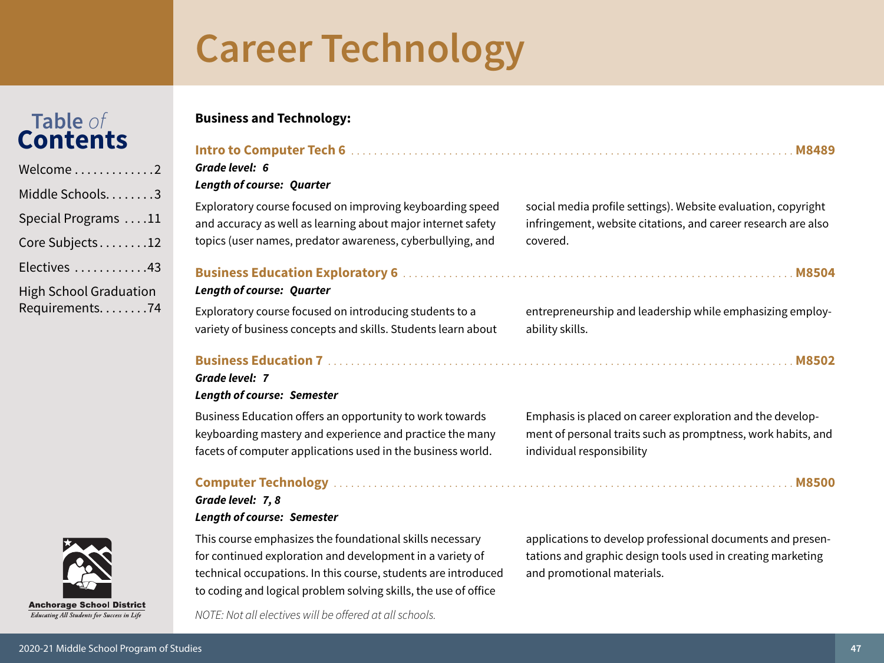Table of

**Contents** 

#### Special Programs ....11  $R$

|  | Core Subjects12 |  |  |  |  |  |
|--|-----------------|--|--|--|--|--|
|  |                 |  |  |  |  |  |

- Electives ............43
- **High School Graduation** Requirements........74



### **Business and Technology:**

Grade level: 6

Grade level: 7, 8

**Length of course: Semester** 

#### **Length of course: Quarter** Exploratory course focused on improving keyboarding speed social media profile settings). Website evaluation, copyright and accuracy as well as learning about major internet safety infringement, website citations, and career research are also topics (user names, predator awareness, cyberbullying, and covered. **Length of course: Ouarter** Exploratory course focused on introducing students to a entrepreneurship and leadership while emphasizing employvariety of business concepts and skills. Students learn about ability skills. Grade level: 7 **Length of course: Semester** Business Education offers an opportunity to work towards Emphasis is placed on career exploration and the developkeyboarding mastery and experience and practice the many ment of personal traits such as promptness, work habits, and facets of computer applications used in the business world. individual responsibility

NOTE: Not all electives will be offered at all schools.

This course emphasizes the foundational skills necessary

for continued exploration and development in a variety of

technical occupations. In this course, students are introduced

to coding and logical problem solving skills, the use of office

applications to develop professional documents and presentations and graphic design tools used in creating marketing and promotional materials.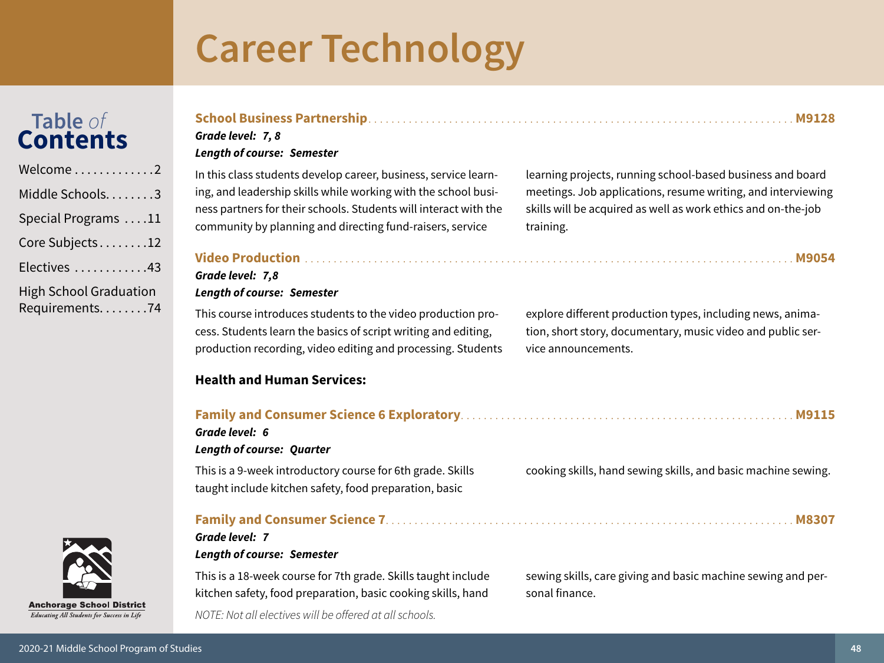# Table of<br>**Contents**

| Welcome2                                          |
|---------------------------------------------------|
| Middle Schools3                                   |
| Special Programs 11                               |
| Core Subjects12                                   |
| Electives 43                                      |
| <b>High School Graduation</b><br>Requirements. 74 |

#### 

#### Grade level: 7, 8

#### **Length of course: Semester**

In this class students develop career, business, service learning, and leadership skills while working with the school business partners for their schools. Students will interact with the community by planning and directing fund-raisers, service

learning projects, running school-based business and board meetings. Job applications, resume writing, and interviewing skills will be acquired as well as work ethics and on-the-job training.

#### Grade level: 7,8 **Length of course: Semester**

This course introduces students to the video production process. Students learn the basics of script writing and editing, production recording, video editing and processing. Students

#### **Health and Human Services:**

#### 

Grade level: 6 **Length of course: Quarter** 

This is a 9-week introductory course for 6th grade. Skills taught include kitchen safety, food preparation, basic

#### Grade level: 7 **Length of course: Semester**

This is a 18-week course for 7th grade. Skills taught include kitchen safety, food preparation, basic cooking skills, hand NOTE: Not all electives will be offered at all schools.

explore different production types, including news, animation, short story, documentary, music video and public service announcements.

cooking skills, hand sewing skills, and basic machine sewing.

sewing skills, care giving and basic machine sewing and personal finance.

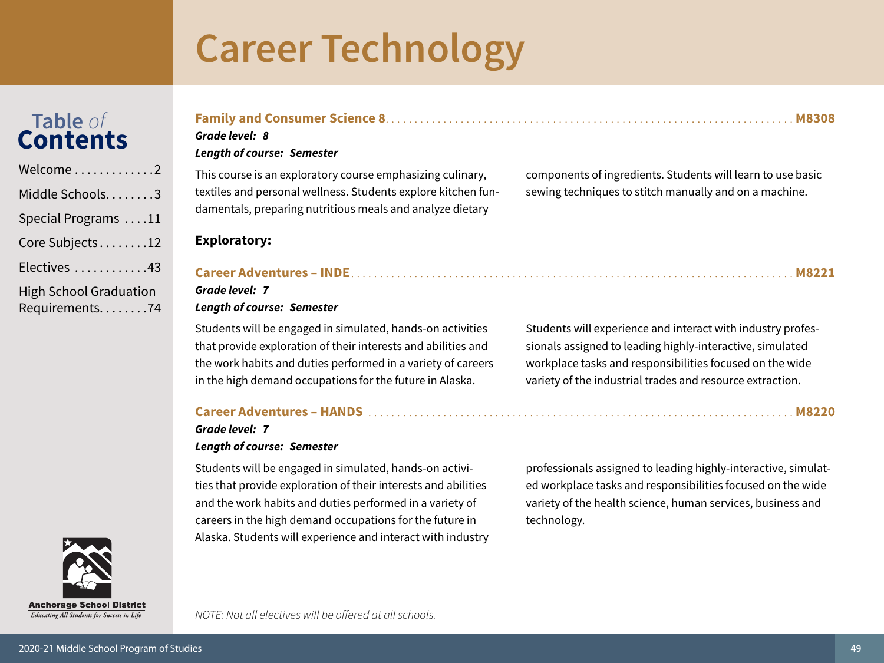## Table of<br>Contents

| Welcome2                      |
|-------------------------------|
| Middle Schools3               |
| Special Programs 11           |
| Core Subjects12               |
| Electives 43                  |
| <b>High School Graduation</b> |
| Requirements74                |



**Exploratory:** 

#### Grade level: 7

#### **Length of course: Semester**

Students will be engaged in simulated, hands-on activities that provide exploration of their interests and abilities and the work habits and duties performed in a variety of careers in the high demand occupations for the future in Alaska.

#### Career Adventures – HANDS<br>
19220

#### Grade level: 7 **Length of course: Semester**

Students will be engaged in simulated, hands-on activities that provide exploration of their interests and abilities and the work habits and duties performed in a variety of careers in the high demand occupations for the future in Alaska. Students will experience and interact with industry

Students will experience and interact with industry professionals assigned to leading highly-interactive, simulated workplace tasks and responsibilities focused on the wide variety of the industrial trades and resource extraction.

professionals assigned to leading highly-interactive, simulated workplace tasks and responsibilities focused on the wide variety of the health science, human services, business and technology.

**Anchorage School District** 

Educating All Students for Success in Life

NOTE: Not all electives will be offered at all schools.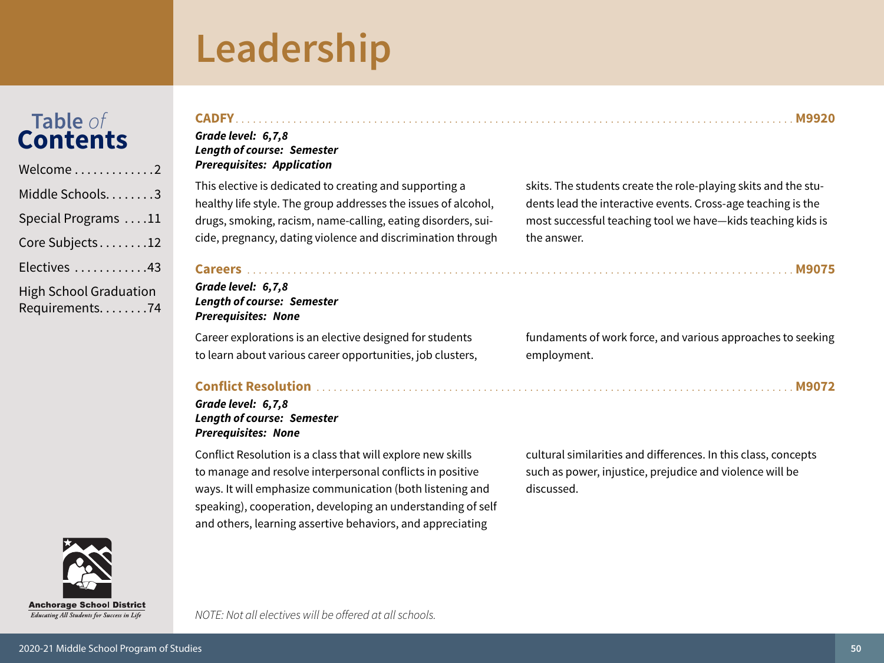## Leadership

<span id="page-49-0"></span>

| Welcome $\ldots \ldots \ldots \ldots 2$           |
|---------------------------------------------------|
| Middle Schools. 3                                 |
| Special Programs 11                               |
| Core Subjects12                                   |
| Electives 43                                      |
| <b>High School Graduation</b><br>Requirements. 74 |

| Grade level: 6,7,8<br><b>Length of course: Semester</b><br><b>Prerequisites: Application</b> |                                                                |
|----------------------------------------------------------------------------------------------|----------------------------------------------------------------|
| This elective is dedicated to creating and supporting a                                      | skits. The students create the role-playing skits and the stu- |
| healthy life style. The group addresses the issues of alcohol,                               | dents lead the interactive events. Cross-age teaching is the   |
| drugs, smoking, racism, name-calling, eating disorders, sui-                                 | most successful teaching tool we have-kids teaching kids is    |
| cide, pregnancy, dating violence and discrimination through                                  | the answer.                                                    |
| Grade level: 6,7,8<br><b>Length of course: Semester</b><br><b>Prerequisites: None</b>        |                                                                |
| Career explorations is an elective designed for students                                     | fundaments of work force, and various approaches to seeking    |
| to learn about various career opportunities, job clusters,                                   | employment.                                                    |

**CONTILCT RESOLUTION** 

#### Grade level: 6,7,8 **Length of course: Semester Prerequisites: None**

Conflict Resolution is a class that will explore new skills to manage and resolve interpersonal conflicts in positive ways. It will emphasize communication (both listening and speaking), cooperation, developing an understanding of self and others, learning assertive behaviors, and appreciating

cultural similarities and differences. In this class, concepts such as power, injustice, prejudice and violence will be discussed.

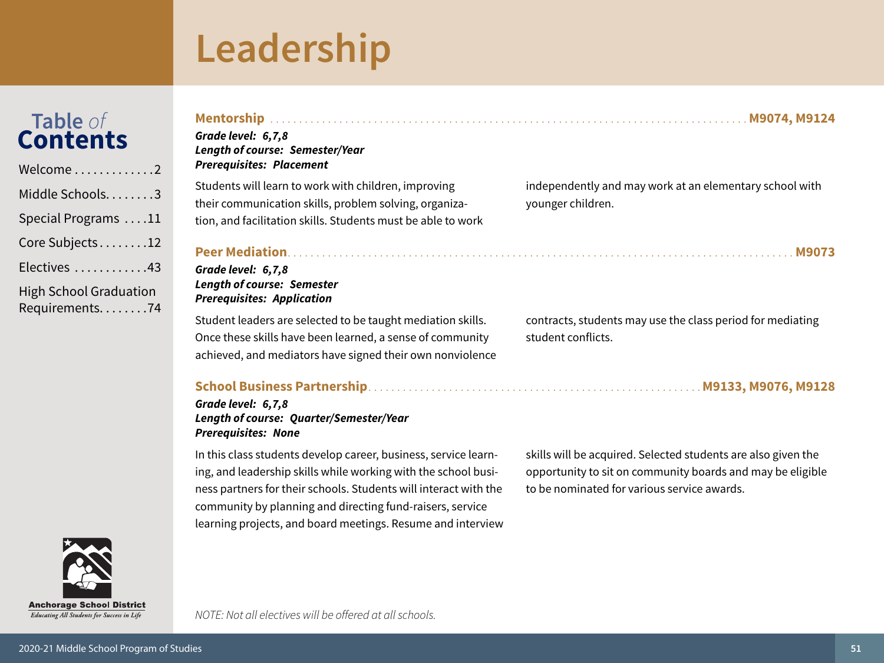## Leadership

Table of

**Contents** 

Welcome

Middle Schools........3

Special Programs ....11

Core Subjects........12

Electives ............43

**High School Graduation** 

Requirements........74

skills will be acquired. Selected students are also given the opportunity to sit on community boards and may be eligible

independently and may work at an elementary school with younger children.

Grade level: 6,7,8

Grade level: 6,7,8 **Length of course: Semester Prerequisites: Application** 

**Length of course: Semester/Year** 

**Prerequisites: Placement** 

Student leaders are selected to be taught mediation skills. Once these skills have been learned, a sense of community achieved, and mediators have signed their own nonviolence

Students will learn to work with children, improving

their communication skills, problem solving, organiza-

tion, and facilitation skills. Students must be able to work

contracts, students may use the class period for mediating student conflicts.

### 

#### Grade level: 6,7,8 Length of course: Quarter/Semester/Year **Prerequisites: None**

In this class students develop career, business, service learning, and leadership skills while working with the school business partners for their schools. Students will interact with the community by planning and directing fund-raisers, service learning projects, and board meetings. Resume and interview to be nominated for various service awards.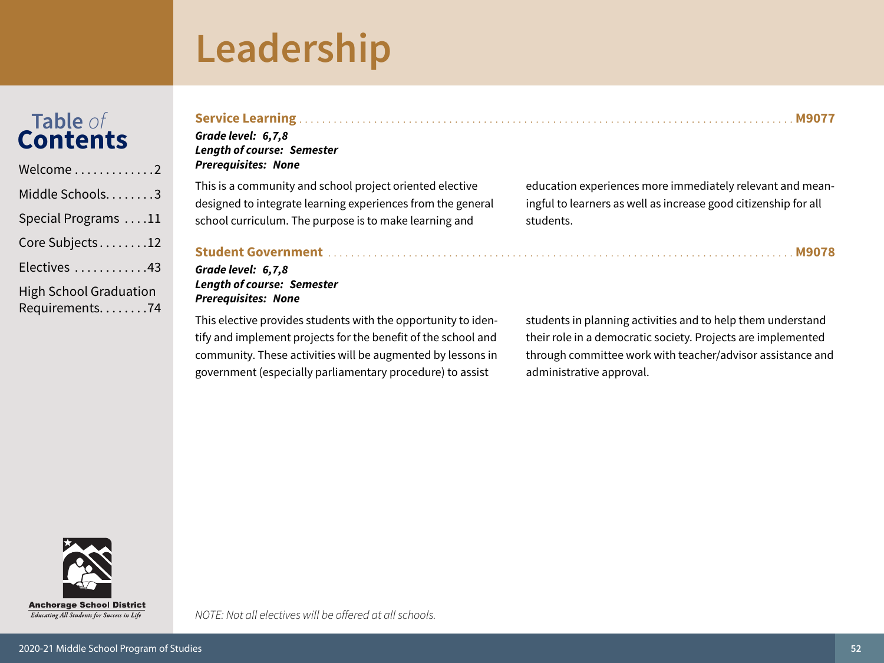## Leadership

## Table of<br>Contents

Welcome............2 Middle Schools.......3 Special Programs . . . . 11 Core Subjects........12 Electives ............43 **High School Graduation** Requirements........74

| Grade level: 6,7,8<br><b>Length of course: Semester</b><br><b>Prerequisites: None</b> |                                                                 |
|---------------------------------------------------------------------------------------|-----------------------------------------------------------------|
| This is a community and school project oriented elective                              | education experiences more immediately relevant and mean-       |
| designed to integrate learning experiences from the general                           | ingful to learners as well as increase good citizenship for all |
| school curriculum. The purpose is to make learning and                                | students.                                                       |

#### 

#### Grade level: 6,7,8 **Length of course: Semester Prerequisites: None**

This elective provides students with the opportunity to identify and implement projects for the benefit of the school and community. These activities will be augmented by lessons in government (especially parliamentary procedure) to assist

students in planning activities and to help them understand their role in a democratic society. Projects are implemented through committee work with teacher/advisor assistance and administrative approval.



NOTE: Not all electives will be offered at all schools.

. M9078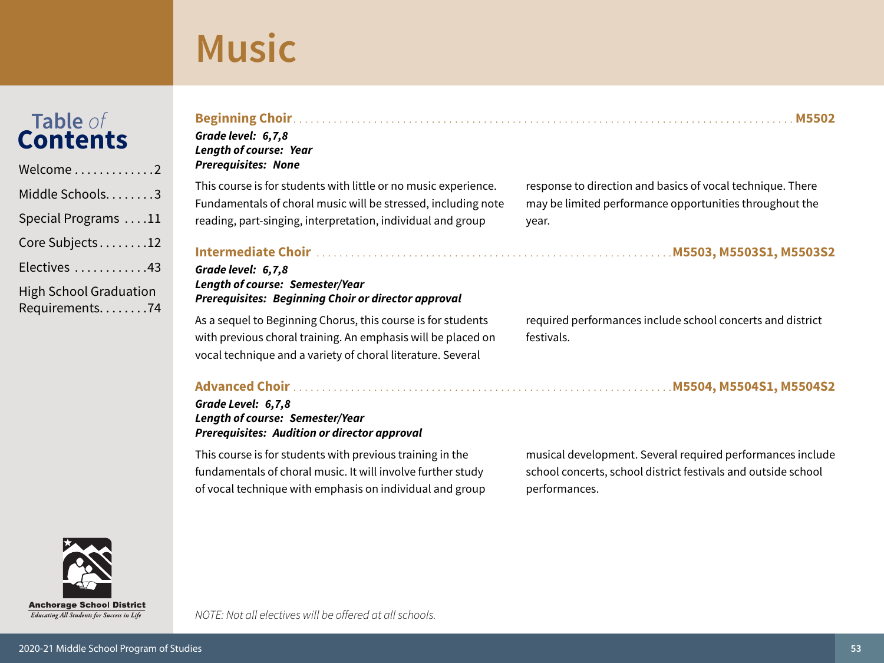# <span id="page-52-0"></span>Table of<br>Contents

| Welcome $\dots\dots\dots\dots2$                 |
|-------------------------------------------------|
| Middle Schools3                                 |
| Special Programs 11                             |
| Core Subjects12                                 |
| Electives 43                                    |
| <b>High School Graduation</b><br>Requirements74 |

| response to direction and basics of vocal technique. There               |
|--------------------------------------------------------------------------|
| may be limited performance opportunities throughout the<br>year.         |
|                                                                          |
| required performances include school concerts and district<br>festivals. |
|                                                                          |

**Prerequisites: Audition or director approval** This course is for students with previous training in the fundamentals of choral music. It will involve further study of vocal technique with emphasis on individual and group

musical development. Several required performances include school concerts, school district festivals and outside school performances.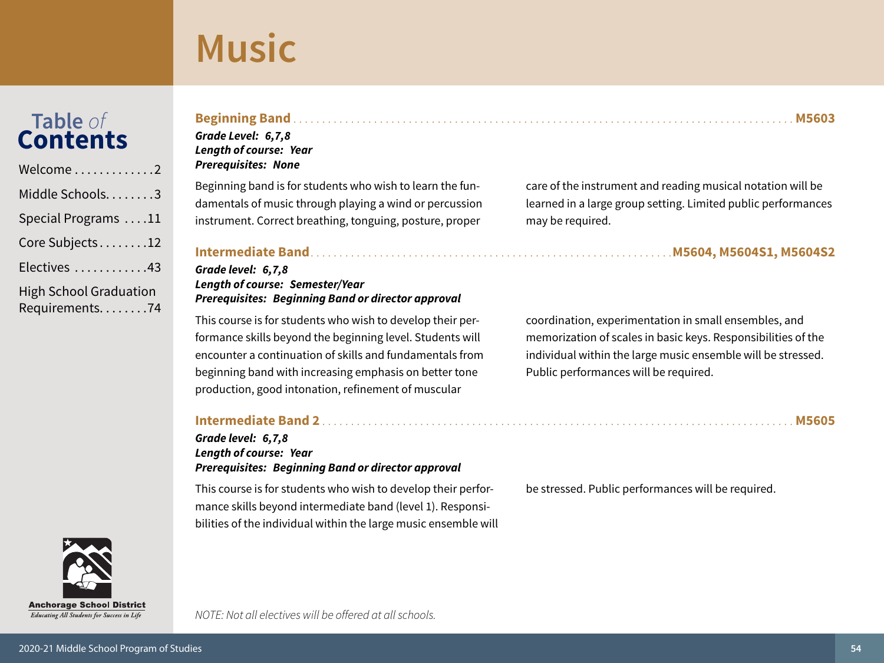# Table of<br>**Contents**

| Welcome2                                        |
|-------------------------------------------------|
| Middle Schools. 3                               |
| Special Programs 11                             |
| Core Subjects12                                 |
| Electives 43                                    |
| <b>High School Graduation</b><br>Requirements74 |

#### Grade Level: 6,7,8 **Length of course: Year**

**Prerequisites: None** 

Beginning band is for students who wish to learn the fundamentals of music through playing a wind or percussion instrument. Correct breathing, tonguing, posture, proper

#### Grade level: 6,7,8 **Length of course: Semester/Year Prerequisites: Beginning Band or director approval**

This course is for students who wish to develop their performance skills beyond the beginning level. Students will encounter a continuation of skills and fundamentals from beginning band with increasing emphasis on better tone production, good intonation, refinement of muscular

#### 

#### Grade level: 6,7,8 **Length of course: Year Prerequisites: Beginning Band or director approval**

This course is for students who wish to develop their performance skills beyond intermediate band (level 1). Responsibilities of the individual within the large music ensemble will care of the instrument and reading musical notation will be learned in a large group setting. Limited public performances may be required.

coordination, experimentation in small ensembles, and memorization of scales in basic keys. Responsibilities of the individual within the large music ensemble will be stressed. Public performances will be required.

be stressed. Public performances will be required.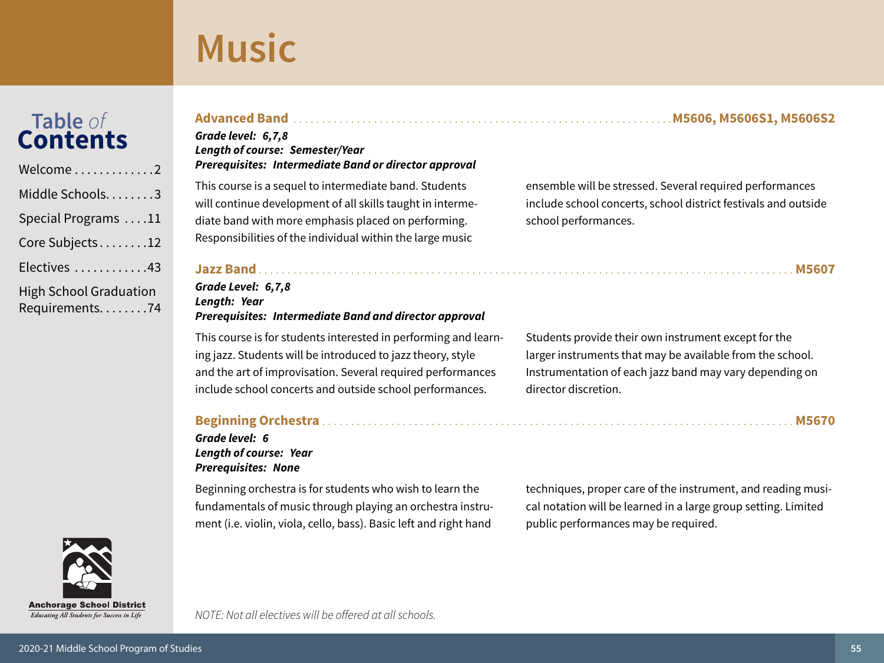# Table of<br>**Contents**

| Welcome2                                        |
|-------------------------------------------------|
| Middle Schools3                                 |
| Special Programs 11                             |
| Core Subjects12                                 |
| Electives 43                                    |
| <b>High School Graduation</b><br>Requirements74 |



#### Grade level: 6,7,8 **Length of course: Semester/Year** Prerequisites: Intermediate Band or director approval

This course is a sequel to intermediate band. Students will continue development of all skills taught in intermediate band with more emphasis placed on performing. Responsibilities of the individual within the large music

#### Grade Level: 6,7,8 Length: Year **Prerequisites: Intermediate Band and director approval**

This course is for students interested in performing and learning jazz. Students will be introduced to jazz theory, style and the art of improvisation. Several required performances include school concerts and outside school performances.

#### 

Grade level: 6 **Length of course: Year Prerequisites: None** 

Beginning orchestra is for students who wish to learn the fundamentals of music through playing an orchestra instrument (i.e. violin, viola, cello, bass). Basic left and right hand

NOTE: Not all electives will be offered at all schools.

techniques, proper care of the instrument, and reading musical notation will be learned in a large group setting. Limited public performances may be required.

ensemble will be stressed. Several required performances include school concerts, school district festivals and outside school performances.

Students provide their own instrument except for the larger instruments that may be available from the school. Instrumentation of each jazz band may vary depending on director discretion.

####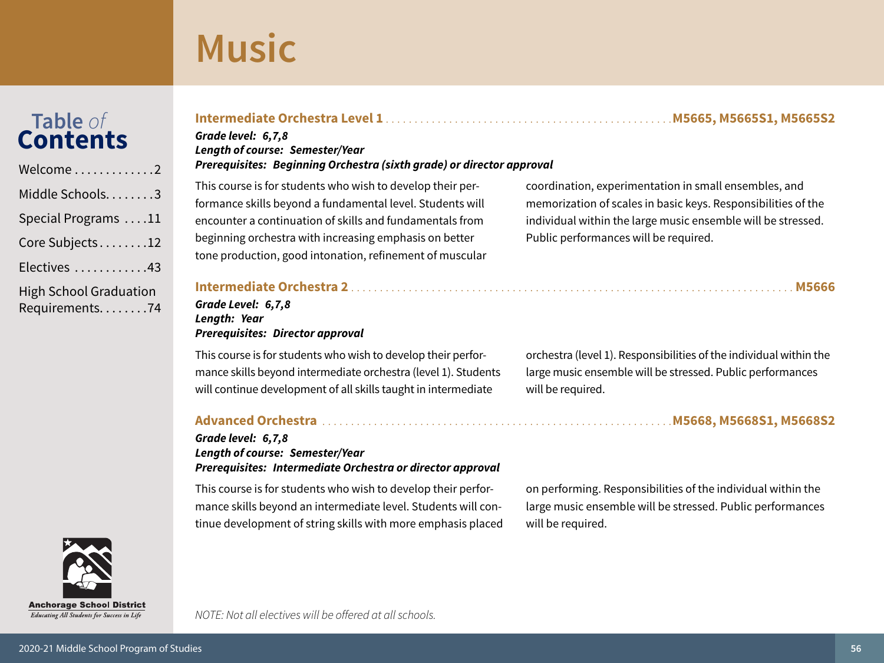# Table of<br>**Contents**

| Welcome2                                        |
|-------------------------------------------------|
| Middle Schools3                                 |
| Special Programs 11                             |
| Core Subjects12                                 |
| Electives 43                                    |
| <b>High School Graduation</b><br>Requirements74 |

#### 

#### Grade level: 6,7,8 **Length of course: Semester/Year** Prerequisites: Beginning Orchestra (sixth grade) or director approval

This course is for students who wish to develop their performance skills beyond a fundamental level. Students will encounter a continuation of skills and fundamentals from beginning orchestra with increasing emphasis on better tone production, good intonation, refinement of muscular coordination, experimentation in small ensembles, and memorization of scales in basic keys. Responsibilities of the individual within the large music ensemble will be stressed. Public performances will be required.

#### Grade Level: 6,7,8 Length: Year **Prerequisites: Director approval**

This course is for students who wish to develop their performance skills beyond intermediate orchestra (level 1). Students will continue development of all skills taught in intermediate

#### Grade level: 6,7,8 Length of course: Semester/Year Prerequisites: Intermediate Orchestra or director approval

This course is for students who wish to develop their performance skills beyond an intermediate level. Students will continue development of string skills with more emphasis placed

NOTE: Not all electives will be offered at all schools.

orchestra (level 1). Responsibilities of the individual within the large music ensemble will be stressed. Public performances will be required.

#### 

on performing. Responsibilities of the individual within the large music ensemble will be stressed. Public performances will be required.



Educating All Students for Success in Life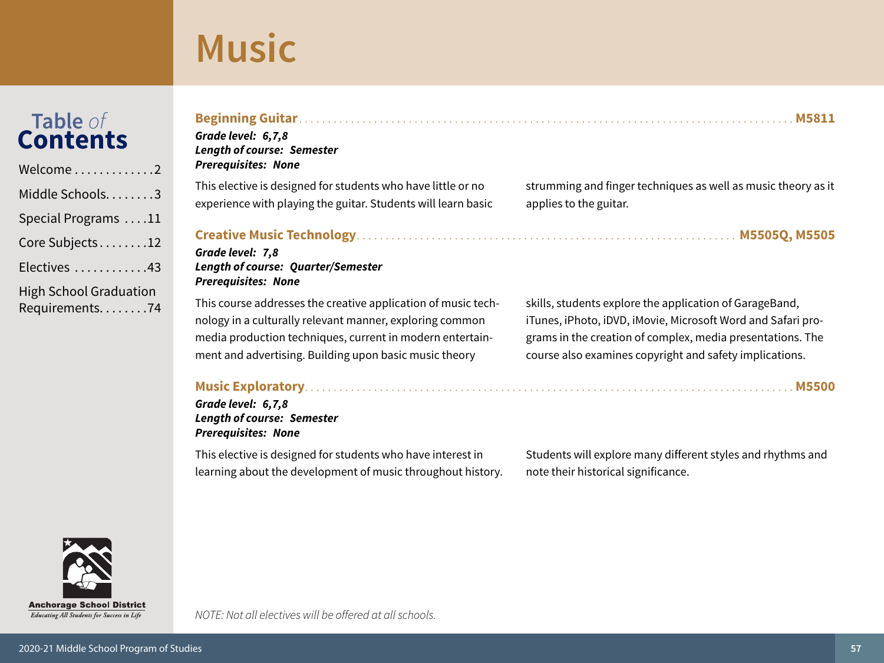## Table of<br>Contents

| Welcome2                                        |
|-------------------------------------------------|
| Middle Schools3                                 |
| Special Programs 11                             |
| Core Subjects12                                 |
| Electives 43                                    |
| <b>High School Graduation</b><br>Requirements74 |

| Grade level: 6,7,8<br><b>Length of course: Semester</b><br><b>Prerequisites: None</b>                                                                                                                                                            |                                                                                                                                                                                                                                                  |
|--------------------------------------------------------------------------------------------------------------------------------------------------------------------------------------------------------------------------------------------------|--------------------------------------------------------------------------------------------------------------------------------------------------------------------------------------------------------------------------------------------------|
| This elective is designed for students who have little or no<br>experience with playing the guitar. Students will learn basic                                                                                                                    | strumming and finger techniques as well as music theory as it<br>applies to the guitar.                                                                                                                                                          |
| Grade level: 7,8<br><b>Length of course: Quarter/Semester</b><br><b>Prerequisites: None</b>                                                                                                                                                      |                                                                                                                                                                                                                                                  |
| This course addresses the creative application of music tech-<br>nology in a culturally relevant manner, exploring common<br>media production techniques, current in modern entertain-<br>ment and advertising. Building upon basic music theory | skills, students explore the application of GarageBand,<br>iTunes, iPhoto, iDVD, iMovie, Microsoft Word and Safari pro-<br>grams in the creation of complex, media presentations. The<br>course also examines copyright and safety implications. |
| Grade level: 6,7,8<br><b>Length of course: Semester</b><br><b>Prerequisites: None</b>                                                                                                                                                            |                                                                                                                                                                                                                                                  |
| 국내 이 나는 이 시간이 되어 있는 것이 없는 것이 없는 것이 없는 것이 없는 것이 없는 것이 없는 것이 없는 것이 없는 것이 없는 것이 없는 것이 없는 것이 없는 것이 없는 것이 없는 것이 없는<br>이 사이 시간이 있는 것이 없는 것이 없는 것이 없는 것이 없는 것이 없는 것이 없는 것이 없는 것이 없는 것이 없는 것이 없는 것이 없는 것이 없는 것이 없는 것이 없는 것이 없는 것이 없는 것                   |                                                                                                                                                                                                                                                  |

This elective is designed for students who have interest in learning about the development of music throughout history. Students will explore many different styles and rhythms and note their historical significance.



Educating All Students for Success in Life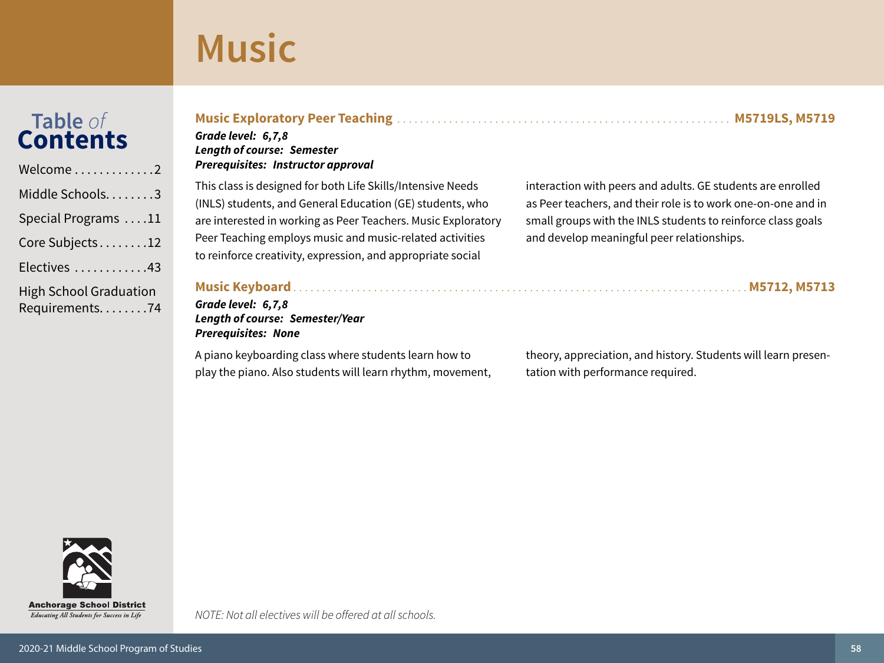# Table of<br>Contents

| Welcome2                                          |
|---------------------------------------------------|
| Middle Schools. 3                                 |
| Special Programs 11                               |
| Core Subjects12                                   |
| Electives 43                                      |
| <b>High School Graduation</b><br>Requirements. 74 |

|                | Grade level: 6,7,8                                            |                                                               |
|----------------|---------------------------------------------------------------|---------------------------------------------------------------|
|                | <b>Length of course: Semester</b>                             |                                                               |
| $\overline{2}$ | <b>Prerequisites: Instructor approval</b>                     |                                                               |
| $\overline{3}$ | This class is designed for both Life Skills/Intensive Needs   | interaction with peers and adults. GE students are enrolled   |
|                | (INLS) students, and General Education (GE) students, who     | as Peer teachers, and their role is to work one-on-one and in |
|                | are interested in working as Peer Teachers. Music Exploratory | small groups with the INLS students to reinforce class goals  |

Peer Teaching employs music and music-related activities to reinforce creativity, expression, and appropriate social

th peers and adults. GE students are enrolled rs, and their role is to work one-on-one and in with the INLS students to reinforce class goals and develop meaningful peer relationships.

### **Music Keyboard.**

#### Grade level: 6,7,8 Length of course: Semester/Year **Prerequisites: None**

A piano keyboarding class where students learn how to play the piano. Also students will learn rhythm, movement, theory, appreciation, and history. Students will learn presentation with performance required.

Educating All Students for Success in Life

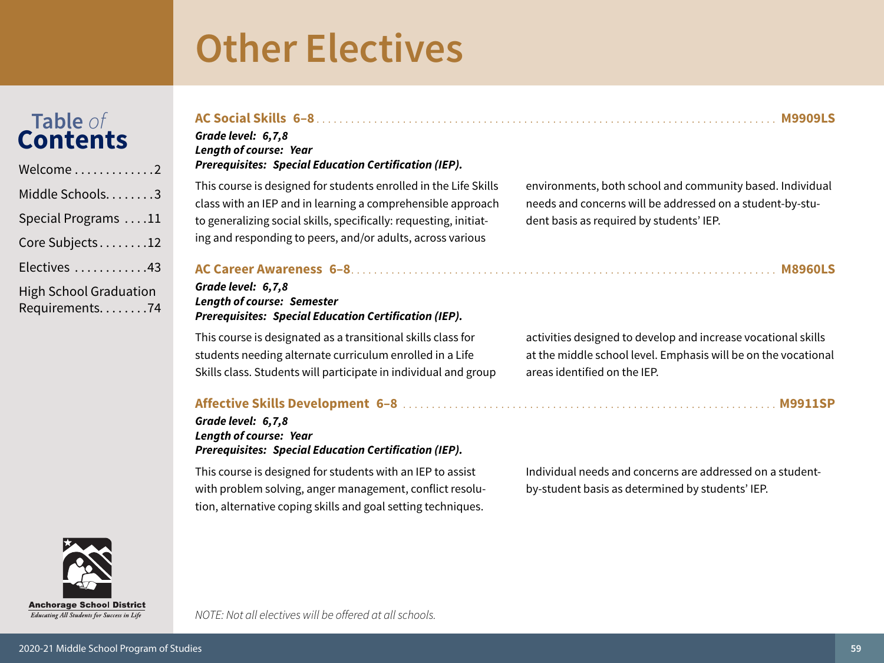# <span id="page-58-0"></span>Table of<br>**Contents**

| Welcome2                                        |
|-------------------------------------------------|
| Middle Schools3                                 |
| Special Programs 11                             |
| Core Subjects12                                 |
| Electives 43                                    |
| <b>High School Graduation</b><br>Requirements74 |

#### AC Social Skills 6-8 [11] AC Social Skills 6-8 [11] AC Social Skills 6-8 [11] AC Social Skills 6-8 [11] AC Social Skills 6-8 [11] AC Social Skills 6-8 [11] AC Social Skills 6-8 [11] AC Social Skills 6-8 [11] AC Social Skil Grade level: 6,7,8 **Length of course: Year Prerequisites: Special Education Certification (IEP).**

This course is designed for students enrolled in the Life Skills class with an IEP and in learning a comprehensible approach to generalizing social skills, specifically: requesting, initiating and responding to peers, and/or adults, across various

environments, both school and community based. Individual needs and concerns will be addressed on a student-by-student basis as required by students' IEP.

#### 

#### Grade level: 6,7,8 **Length of course: Semester Prerequisites: Special Education Certification (IEP).**

This course is designated as a transitional skills class for students needing alternate curriculum enrolled in a Life Skills class. Students will participate in individual and group

#### 

#### Grade level: 6,7,8 **Length of course: Year Prerequisites: Special Education Certification (IEP).**

This course is designed for students with an IEP to assist with problem solving, anger management, conflict resolution, alternative coping skills and goal setting techniques.

NOTE: Not all electives will be offered at all schools.

activities designed to develop and increase vocational skills at the middle school level. Emphasis will be on the vocational areas identified on the IEP.

Individual needs and concerns are addressed on a studentby-student basis as determined by students' IEP.



Educating All Students for Success in Life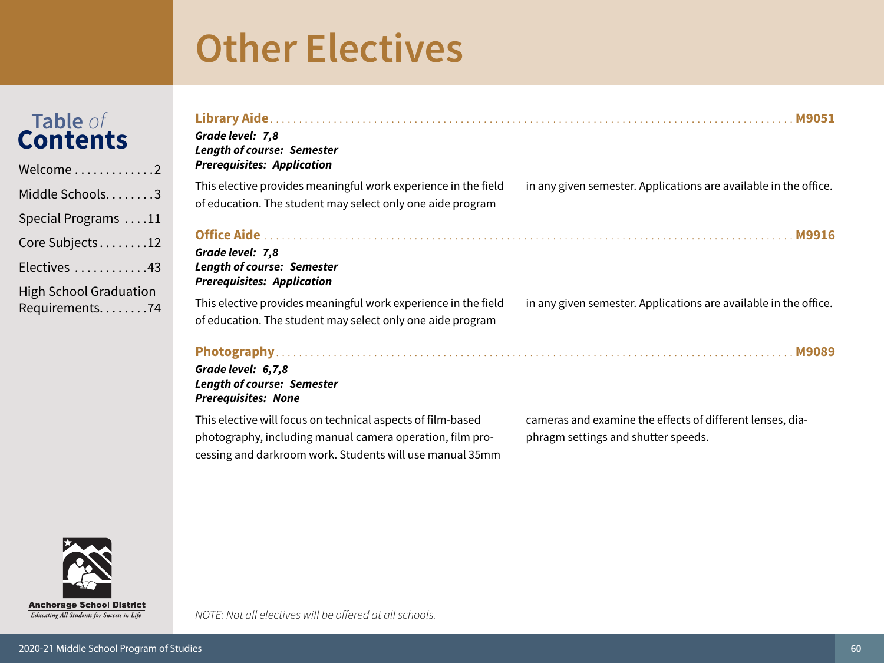| <b>Table</b> of |
|-----------------|
| <b>Contents</b> |

| Welcome2                                          |
|---------------------------------------------------|
| Middle Schools3                                   |
| Special Programs 11                               |
| Core Subjects12                                   |
| Electives 43                                      |
| <b>High School Graduation</b><br>Requirements. 74 |

| Grade level: 7,8<br><b>Length of course: Semester</b><br><b>Prerequisites: Application</b>                                                                                           |                                                                                                  |
|--------------------------------------------------------------------------------------------------------------------------------------------------------------------------------------|--------------------------------------------------------------------------------------------------|
| This elective provides meaningful work experience in the field<br>of education. The student may select only one aide program                                                         | in any given semester. Applications are available in the office.                                 |
| Grade level: 7,8<br><b>Length of course: Semester</b><br><b>Prerequisites: Application</b>                                                                                           |                                                                                                  |
| This elective provides meaningful work experience in the field<br>of education. The student may select only one aide program                                                         | in any given semester. Applications are available in the office.                                 |
| Grade level: 6,7,8<br><b>Length of course: Semester</b><br><b>Prerequisites: None</b>                                                                                                |                                                                                                  |
| This elective will focus on technical aspects of film-based<br>photography, including manual camera operation, film pro-<br>cessing and darkroom work. Students will use manual 35mm | cameras and examine the effects of different lenses, dia-<br>phragm settings and shutter speeds. |

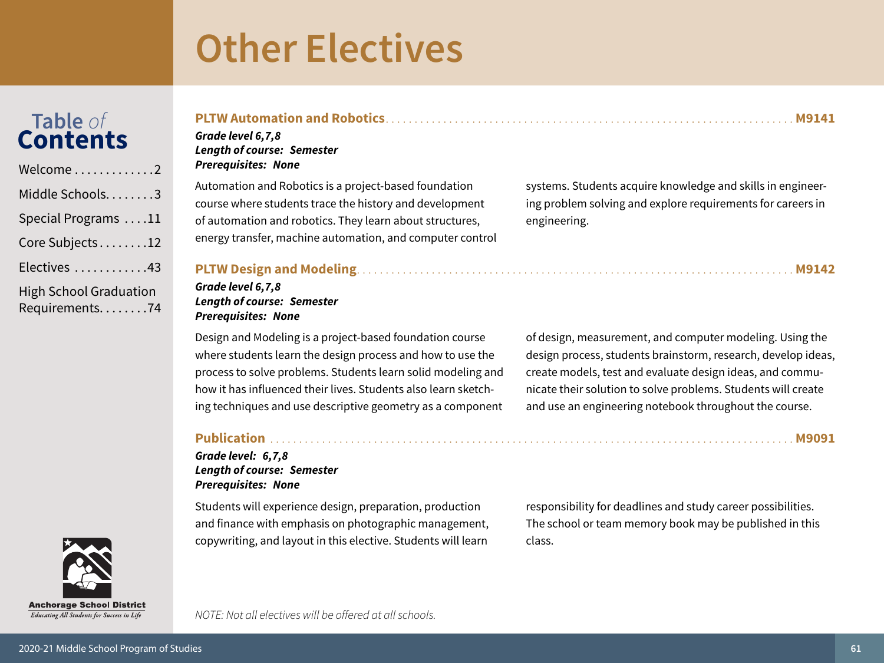# Table of<br>**Contents**

| Welcome2                                        |
|-------------------------------------------------|
| Middle Schools3                                 |
| Special Programs 11                             |
| Core Subjects12                                 |
| Electives 43                                    |
| <b>High School Graduation</b><br>Requirements74 |



### 

#### Grade level 6,7,8 **Length of course: Semester Prerequisites: None**

Automation and Robotics is a project-based foundation course where students trace the history and development of automation and robotics. They learn about structures, energy transfer, machine automation, and computer control systems. Students acquire knowledge and skills in engineering problem solving and explore requirements for careers in engineering.

#### 

#### Grade level 6,7,8 **Length of course: Semester Prerequisites: None**

Design and Modeling is a project-based foundation course where students learn the design process and how to use the process to solve problems. Students learn solid modeling and how it has influenced their lives. Students also learn sketching techniques and use descriptive geometry as a component of design, measurement, and computer modeling. Using the design process, students brainstorm, research, develop ideas, create models, test and evaluate design ideas, and communicate their solution to solve problems. Students will create and use an engineering notebook throughout the course.

#### 

#### Grade level: 6,7,8 **Length of course: Semester Prerequisites: None**

Students will experience design, preparation, production and finance with emphasis on photographic management, copywriting, and layout in this elective. Students will learn

responsibility for deadlines and study career possibilities. The school or team memory book may be published in this class.

NOTE: Not all electives will be offered at all schools.



M9091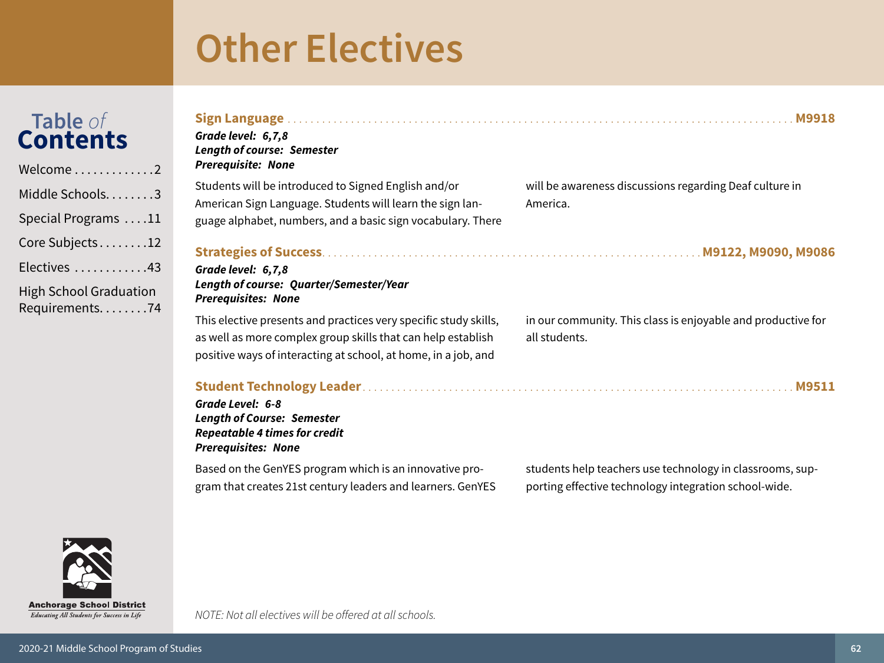# Table of<br>Contents

| Welcome2                                          |
|---------------------------------------------------|
| Middle Schools. 3                                 |
| Special Programs 11                               |
| Core Subjects12                                   |
| Electives 43                                      |
| <b>High School Graduation</b><br>Requirements. 74 |

| Grade level: 6,7,8<br><b>Length of course: Semester</b><br><b>Prerequisite: None</b>                                                                                                               | <b>M9918</b>                                                                                                       |
|----------------------------------------------------------------------------------------------------------------------------------------------------------------------------------------------------|--------------------------------------------------------------------------------------------------------------------|
| Students will be introduced to Signed English and/or<br>American Sign Language. Students will learn the sign lan-<br>guage alphabet, numbers, and a basic sign vocabulary. There                   | will be awareness discussions regarding Deaf culture in<br>America.                                                |
| Grade level: 6,7,8<br><b>Length of course: Quarter/Semester/Year</b><br><b>Prerequisites: None</b>                                                                                                 |                                                                                                                    |
| This elective presents and practices very specific study skills,<br>as well as more complex group skills that can help establish<br>positive ways of interacting at school, at home, in a job, and | in our community. This class is enjoyable and productive for<br>all students.                                      |
| Grade Level: 6-8<br><b>Length of Course: Semester</b><br><b>Repeatable 4 times for credit</b><br><b>Prerequisites: None</b>                                                                        |                                                                                                                    |
| Based on the GenYES program which is an innovative pro-<br>gram that creates 21st century leaders and learners. GenYES                                                                             | students help teachers use technology in classrooms, sup-<br>porting effective technology integration school-wide. |



Educating All Students for Success in Life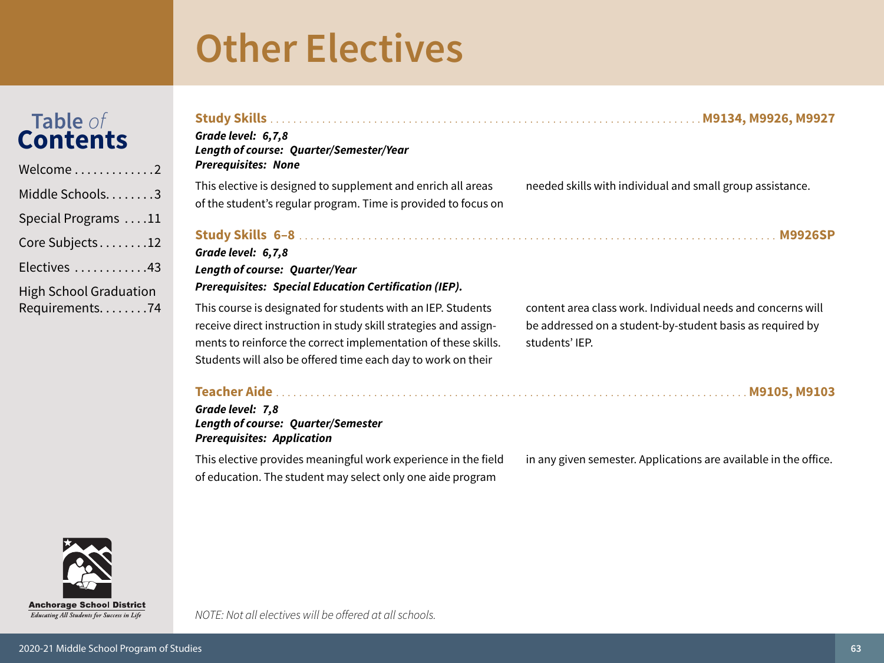| Table of<br>Contents<br>$Velcome\ldots\ldots\ldots\ldots\,2$                                                            | Grade level: 6,7,8<br>Length of course: Quarter/Semester/Year<br><b>Prerequisites: None</b>                                                                                                                                                                        |                                                                                                                                            |
|-------------------------------------------------------------------------------------------------------------------------|--------------------------------------------------------------------------------------------------------------------------------------------------------------------------------------------------------------------------------------------------------------------|--------------------------------------------------------------------------------------------------------------------------------------------|
| Aiddle Schools3<br>$\delta$ pecial Programs $\,\ldots\,11$                                                              | This elective is designed to supplement and enrich all areas<br>of the student's regular program. Time is provided to focus on                                                                                                                                     | needed skills with individual and small group assistance.                                                                                  |
| $\text{Core}$ Subjects $\ldots \ldots 12$<br>$\frac{1}{2}$ lectives $\ldots \ldots \ldots 43$<br>ligh School Graduation | Grade level: 6,7,8<br><b>Length of course: Quarter/Year</b><br><b>Prerequisites: Special Education Certification (IEP).</b>                                                                                                                                        |                                                                                                                                            |
| equirements74                                                                                                           | This course is designated for students with an IEP. Students<br>receive direct instruction in study skill strategies and assign-<br>ments to reinforce the correct implementation of these skills.<br>Students will also be offered time each day to work on their | content area class work. Individual needs and concerns will<br>be addressed on a student-by-student basis as required by<br>students' IEP. |
|                                                                                                                         | Grade level: 7,8<br><b>Length of course: Quarter/Semester</b><br><b>Prerequisites: Application</b>                                                                                                                                                                 | M9105, M9103                                                                                                                               |
|                                                                                                                         | This elective provides meaningful work experience in the field                                                                                                                                                                                                     | in any given semester. Applications are available in the office.                                                                           |



NOTE: Not all electives will be offered at all schools.

of education. The student may select only one aide program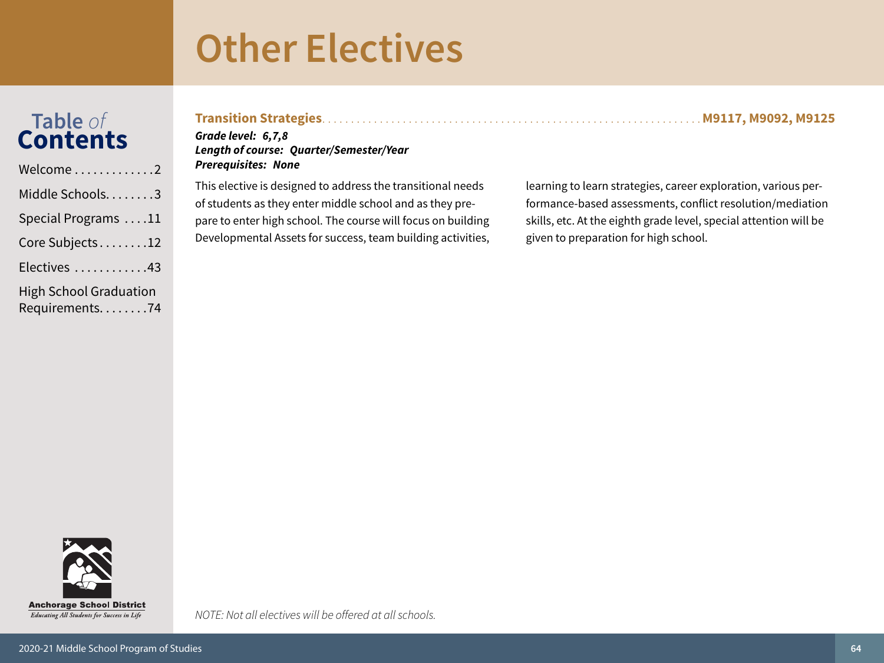pare to enter high school. The course will focus on building

Developmental Assets for success, team building activities,

## Table of<br>Contents

| Welcome 2              |
|------------------------|
| Middle Schools3        |
| Special Programs 11    |
| Core Subjects12        |
| Electives 43           |
| High School Graduation |

Requirements. . . . . . . . 74

| Grade level: 6,7,8<br><b>Length of course: Quarter/Semester/Year</b><br><b>Prerequisites: None</b> |                                                                |
|----------------------------------------------------------------------------------------------------|----------------------------------------------------------------|
| This elective is designed to address the transitional needs                                        | learning to learn strategies, career exploration, various per- |
| of students as they enter middle school and as they pre-                                           | formance-based assessments, conflict resolution/mediation      |

tion, various performance-based assessments, conflict resolution/mediation skills, etc. At the eighth grade level, special attention will be given to preparation for high school.

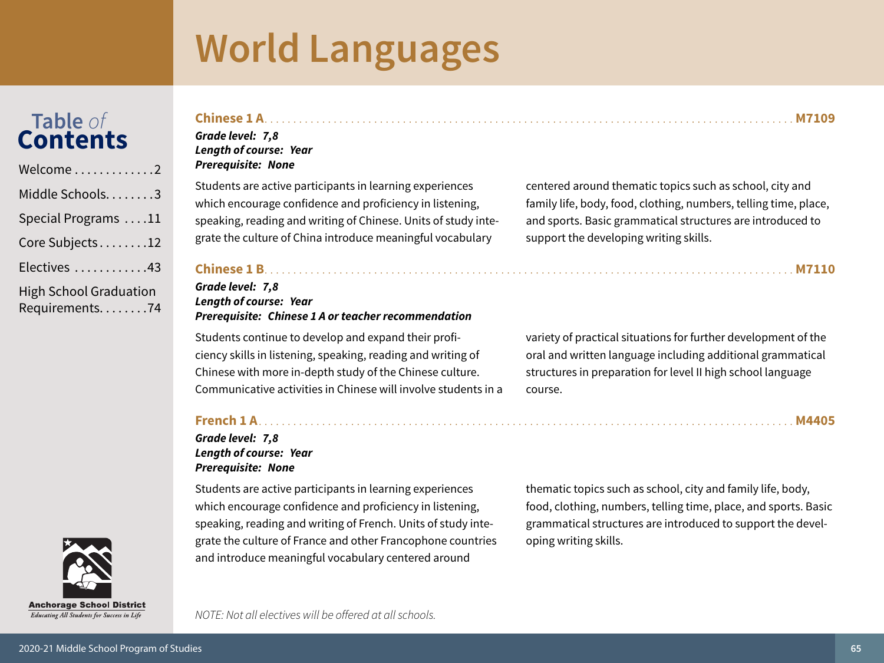## <span id="page-64-0"></span>Table of<br>Contents

| Welcome 2                                       |
|-------------------------------------------------|
| Middle Schools3                                 |
| Special Programs 11                             |
| Core Subjects12                                 |
| Electives 43                                    |
| <b>High School Graduation</b><br>Requirements74 |



| <b>Anchorage School District</b>                  |  |
|---------------------------------------------------|--|
| <b>Educating All Students for Success in Life</b> |  |

Grade level: 7,8

### **Length of course: Year Prerequisite: None**

Students are active participants in learning experiences which encourage confidence and proficiency in listening, speaking, reading and writing of Chinese. Units of study integrate the culture of China introduce meaningful vocabulary

centered around thematic topics such as school, city and family life, body, food, clothing, numbers, telling time, place, and sports. Basic grammatical structures are introduced to support the developing writing skills.

#### 

#### Grade level: 7,8 **Length of course: Year Prerequisite: Chinese 1 A or teacher recommendation**

Students continue to develop and expand their proficiency skills in listening, speaking, reading and writing of Chinese with more in-depth study of the Chinese culture. Communicative activities in Chinese will involve students in a

#### Grade level: 7,8 **Length of course: Year Prerequisite: None**

Students are active participants in learning experiences which encourage confidence and proficiency in listening, speaking, reading and writing of French. Units of study integrate the culture of France and other Francophone countries and introduce meaningful vocabulary centered around

variety of practical situations for further development of the oral and written language including additional grammatical structures in preparation for level II high school language course.

thematic topics such as school, city and family life, body, food, clothing, numbers, telling time, place, and sports. Basic grammatical structures are introduced to support the developing writing skills.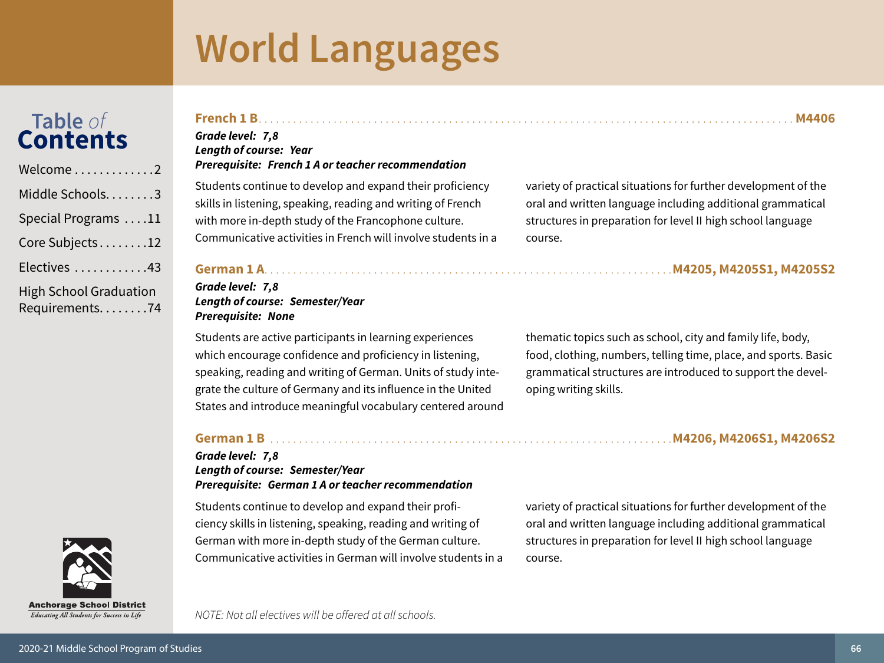## Table of<br>**Contents**

| Welcome 2                                       |
|-------------------------------------------------|
| Middle Schools3                                 |
| Special Programs 11                             |
| Core Subjects12                                 |
| Electives 43                                    |
| <b>High School Graduation</b><br>Requirements74 |



Educating All Students for Success in Life

#### Grade level: 7,8 **Length of course: Year Prerequisite: French 1 A or teacher recommendation**

Students continue to develop and expand their proficiency skills in listening, speaking, reading and writing of French with more in-depth study of the Francophone culture. Communicative activities in French will involve students in a

variety of practical situations for further development of the oral and written language including additional grammatical structures in preparation for level II high school language course.

#### 

#### Grade level: 7,8 **Length of course: Semester/Year Prerequisite: None**

Students are active participants in learning experiences which encourage confidence and proficiency in listening, speaking, reading and writing of German. Units of study integrate the culture of Germany and its influence in the United States and introduce meaningful vocabulary centered around thematic topics such as school, city and family life, body, food, clothing, numbers, telling time, place, and sports. Basic grammatical structures are introduced to support the developing writing skills.

#### 

#### Grade level: 7,8 **Length of course: Semester/Year Prerequisite: German 1 A or teacher recommendation**

Students continue to develop and expand their proficiency skills in listening, speaking, reading and writing of German with more in-depth study of the German culture. Communicative activities in German will involve students in a variety of practical situations for further development of the oral and written language including additional grammatical structures in preparation for level II high school language course.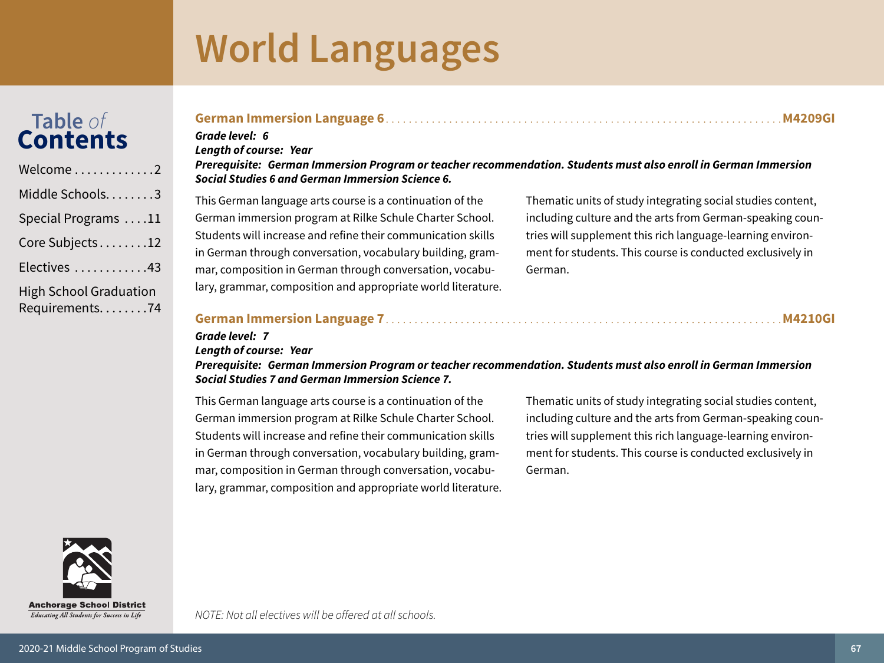## Table of<br>Contents

| Welcome2                                          |
|---------------------------------------------------|
| Middle Schools3                                   |
| Special Programs 11                               |
| Core Subjects12                                   |
| Electives 43                                      |
| <b>High School Graduation</b><br>Requirements. 74 |

#### **M4209GI** Grade level: 6 **Lenath of course: Year** Prerequisite: German Immersion Program or teacher recommendation. Students must also enroll in German Immersion Social Studies 6 and German Immersion Science 6. This German language arts course is a continuation of the Thematic units of study integrating social studies content, German immersion program at Rilke Schule Charter School.

Students will increase and refine their communication skills in German through conversation, vocabulary building, grammar, composition in German through conversation, vocabulary, grammar, composition and appropriate world literature.

including culture and the arts from German-speaking countries will supplement this rich language-learning environment for students. This course is conducted exclusively in German.

#### 

#### Length of course: Year

Grade level: 7

Prerequisite: German Immersion Program or teacher recommendation. Students must also enroll in German Immersion **Social Studies 7 and German Immersion Science 7.** 

This German language arts course is a continuation of the German immersion program at Rilke Schule Charter School. Students will increase and refine their communication skills in German through conversation, vocabulary building, grammar, composition in German through conversation, vocabulary, grammar, composition and appropriate world literature. Thematic units of study integrating social studies content, including culture and the arts from German-speaking countries will supplement this rich language-learning environment for students. This course is conducted exclusively in German.



Educating All Students for Success in Life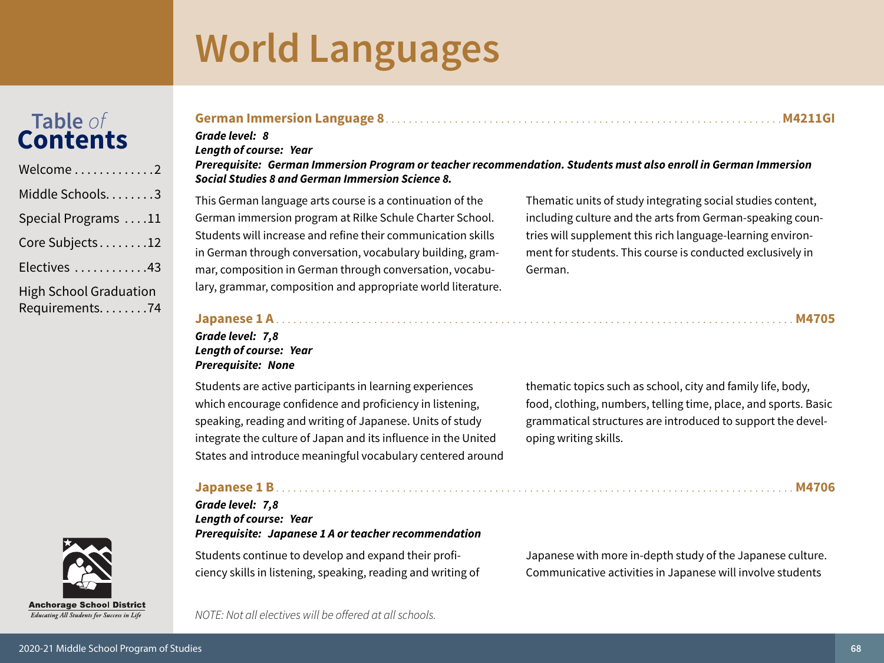## Table of<br>**Contents**

| Welcome 2                                         |
|---------------------------------------------------|
| Middle Schools. 3                                 |
| Special Programs 11                               |
| Core Subjects12                                   |
| Electives 43                                      |
| <b>High School Graduation</b><br>Requirements. 74 |

### **Anchorage School District** Educating All Students for Success in Life

#### 

#### Grade level: 8 **Lenath of course: Year**

#### Prerequisite: German Immersion Program or teacher recommendation. Students must also enroll in German Immersion Social Studies 8 and German Immersion Science 8.

This German language arts course is a continuation of the German immersion program at Rilke Schule Charter School. Students will increase and refine their communication skills in German through conversation, vocabulary building, grammar, composition in German through conversation, vocabulary, grammar, composition and appropriate world literature.

Thematic units of study integrating social studies content, including culture and the arts from German-speaking countries will supplement this rich language-learning environment for students. This course is conducted exclusively in German.

#### Grade level: 7.8 Length of course: Year **Prerequisite: None**

Students are active participants in learning experiences which encourage confidence and proficiency in listening, speaking, reading and writing of Japanese. Units of study integrate the culture of Japan and its influence in the United States and introduce meaningful vocabulary centered around

thematic topics such as school, city and family life, body, food, clothing, numbers, telling time, place, and sports. Basic grammatical structures are introduced to support the developing writing skills.

#### 

#### Grade level: 7,8 **Lenath of course: Year** Prerequisite: Japanese 1 A or teacher recommendation

Students continue to develop and expand their proficiency skills in listening, speaking, reading and writing of Japanese with more in-depth study of the Japanese culture. Communicative activities in Japanese will involve students

NOTE: Not all electives will be offered at all schools.

M4705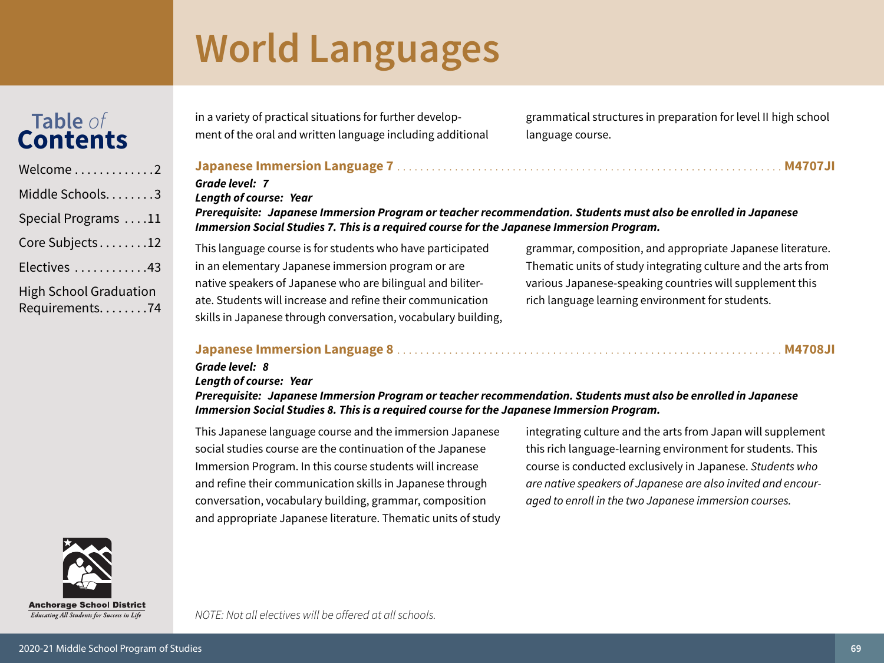## Table of<br>**Contents**

| Welcome2                                          |
|---------------------------------------------------|
| Middle Schools3                                   |
| Special Programs 11                               |
| Core Subjects12                                   |
| Electives 43                                      |
| <b>High School Graduation</b><br>Requirements. 74 |

in a variety of practical situations for further development of the oral and written language including additional grammatical structures in preparation for level II high school language course.

#### 

#### Grade level: 7

**Length of course: Year** 

Prerequisite: Japanese Immersion Program or teacher recommendation. Students must also be enrolled in Japanese Immersion Social Studies 7. This is a required course for the Japanese Immersion Program.

This language course is for students who have participated in an elementary Japanese immersion program or are native speakers of Japanese who are bilingual and biliterate. Students will increase and refine their communication skills in Japanese through conversation, vocabulary building,

grammar, composition, and appropriate Japanese literature. Thematic units of study integrating culture and the arts from various Japanese-speaking countries will supplement this rich language learning environment for students.

#### 

#### Grade level: 8

#### **Length of course: Year**

Prerequisite: Japanese Immersion Program or teacher recommendation. Students must also be enrolled in Japanese Immersion Social Studies 8. This is a required course for the Japanese Immersion Program.

This Japanese language course and the immersion Japanese social studies course are the continuation of the Japanese Immersion Program. In this course students will increase and refine their communication skills in Japanese through conversation, vocabulary building, grammar, composition and appropriate Japanese literature. Thematic units of study integrating culture and the arts from Japan will supplement this rich language-learning environment for students. This course is conducted exclusively in Japanese. Students who are native speakers of Japanese are also invited and encouraged to enroll in the two Japanese immersion courses.

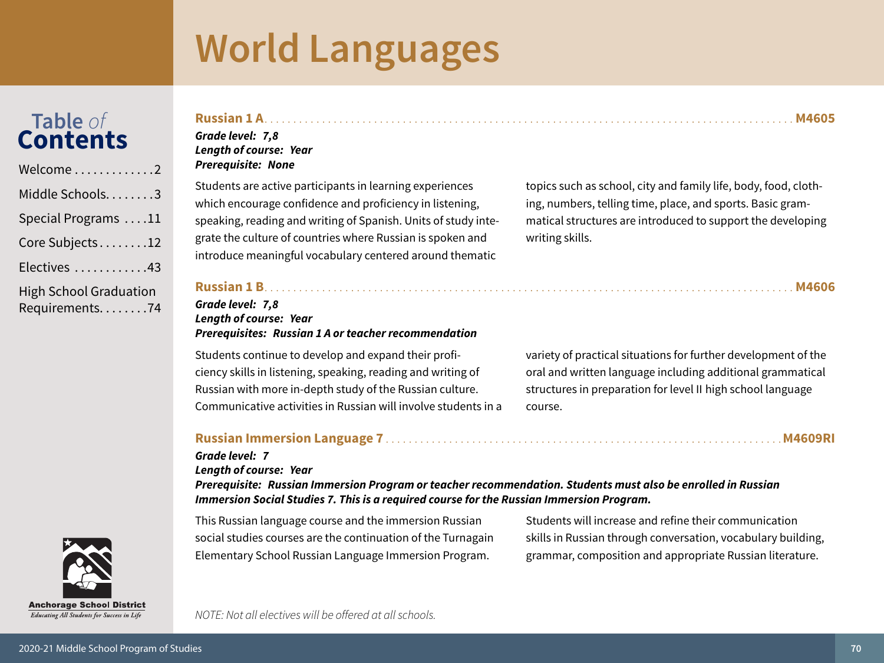## Table of<br>**Contents**

| Welcome2                                        |
|-------------------------------------------------|
| Middle Schools3                                 |
| Special Programs 11                             |
| Core Subjects12                                 |
| Electives 43                                    |
| <b>High School Graduation</b><br>Requirements74 |

### 

#### Grade level: 7,8 **Length of course: Year Prerequisite: None**

Students are active participants in learning experiences which encourage confidence and proficiency in listening, speaking, reading and writing of Spanish. Units of study integrate the culture of countries where Russian is spoken and introduce meaningful vocabulary centered around thematic

topics such as school, city and family life, body, food, clothing, numbers, telling time, place, and sports. Basic grammatical structures are introduced to support the developing writing skills.

#### Grade level: 7.8 Length of course: Year **Prerequisites: Russian 1 A or teacher recommendation**

Students continue to develop and expand their proficiency skills in listening, speaking, reading and writing of Russian with more in-depth study of the Russian culture. Communicative activities in Russian will involve students in a variety of practical situations for further development of the oral and written language including additional grammatical structures in preparation for level II high school language course.

#### 

#### Grade level: 7

Length of course: Year

Prereguisite: Russian Immersion Program or teacher recommendation. Students must also be enrolled in Russian Immersion Social Studies 7. This is a required course for the Russian Immersion Program.

This Russian language course and the immersion Russian social studies courses are the continuation of the Turnagain Elementary School Russian Language Immersion Program.

Students will increase and refine their communication skills in Russian through conversation, vocabulary building, grammar, composition and appropriate Russian literature.

NOTE: Not all electives will be offered at all schools.

Educating All Students for Success in Life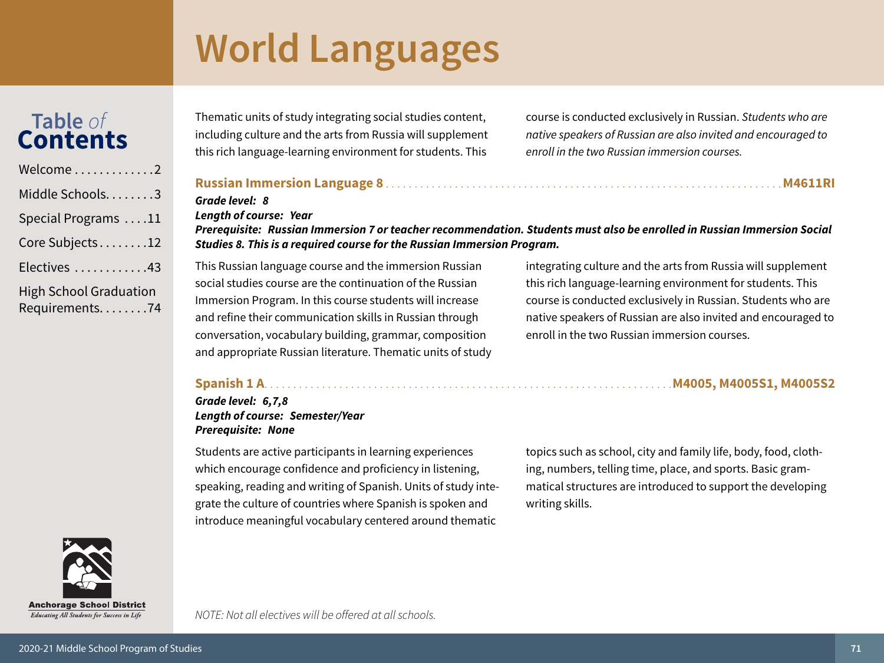## Table of<br>Contents

| Welcome2                                          |
|---------------------------------------------------|
| Middle Schools3                                   |
| Special Programs 11                               |
| Core Subjects12                                   |
| Electives 43                                      |
| <b>High School Graduation</b><br>Requirements. 74 |

Thematic units of study integrating social studies content, including culture and the arts from Russia will supplement this rich language-learning environment for students. This

course is conducted exclusively in Russian. Students who are native speakers of Russian are also invited and encouraged to enroll in the two Russian immersion courses.

#### 

### Grade level: 8

#### **Length of course: Year**

Prerequisite: Russian Immersion 7 or teacher recommendation. Students must also be enrolled in Russian Immersion Social Studies 8. This is a required course for the Russian Immersion Program.

This Russian language course and the immersion Russian social studies course are the continuation of the Russian Immersion Program. In this course students will increase and refine their communication skills in Russian through conversation, vocabulary building, grammar, composition and appropriate Russian literature. Thematic units of study integrating culture and the arts from Russia will supplement this rich language-learning environment for students. This course is conducted exclusively in Russian. Students who are native speakers of Russian are also invited and encouraged to enroll in the two Russian immersion courses.

#### 

#### Grade level: 6,7,8 **Length of course: Semester/Year Prerequisite: None**

Students are active participants in learning experiences which encourage confidence and proficiency in listening, speaking, reading and writing of Spanish. Units of study integrate the culture of countries where Spanish is spoken and introduce meaningful vocabulary centered around thematic

topics such as school, city and family life, body, food, clothing, numbers, telling time, place, and sports. Basic grammatical structures are introduced to support the developing writing skills.



Educating All Students for Success in Life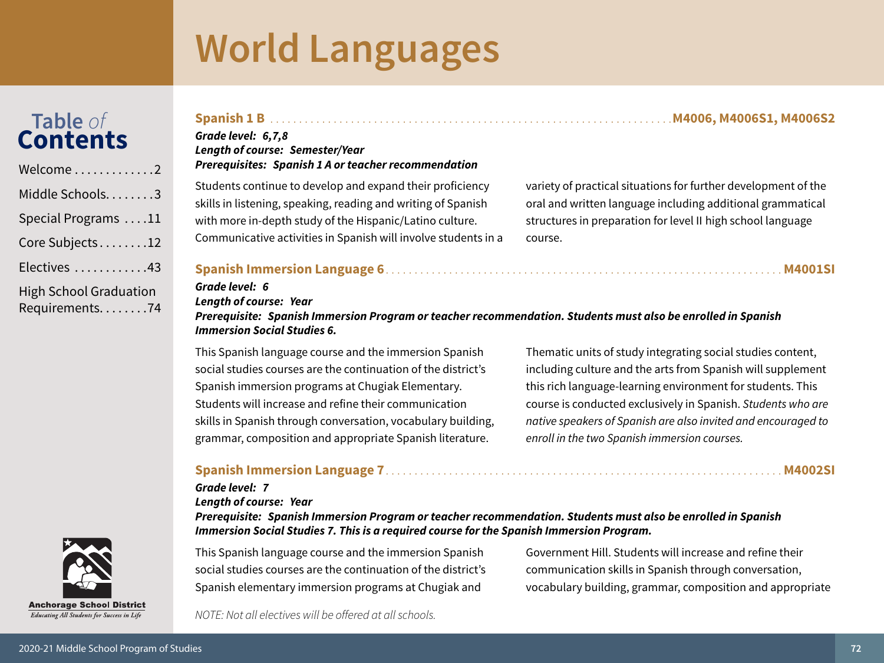## Table of<br>**Contents**

| Welcome2                                          |
|---------------------------------------------------|
| Middle Schools. 3                                 |
| Special Programs 11                               |
| Core Subjects12                                   |
| Electives 43                                      |
| <b>High School Graduation</b><br>Requirements. 74 |

#### Grade level: 6,7,8 **Length of course: Semester/Year Prerequisites: Spanish 1 A or teacher recommendation**

Students continue to develop and expand their proficiency skills in listening, speaking, reading and writing of Spanish with more in-depth study of the Hispanic/Latino culture. Communicative activities in Spanish will involve students in a variety of practical situations for further development of the oral and written language including additional grammatical structures in preparation for level II high school language course.

#### 

#### Grade level: 6

**Length of course: Year** 

Prerequisite: Spanish Immersion Program or teacher recommendation. Students must also be enrolled in Spanish **Immersion Social Studies 6.** 

This Spanish language course and the immersion Spanish social studies courses are the continuation of the district's Spanish immersion programs at Chugiak Elementary. Students will increase and refine their communication skills in Spanish through conversation, vocabulary building, grammar, composition and appropriate Spanish literature.

Thematic units of study integrating social studies content, including culture and the arts from Spanish will supplement this rich language-learning environment for students. This course is conducted exclusively in Spanish. Students who are native speakers of Spanish are also invited and encouraged to enroll in the two Spanish immersion courses.

#### 

#### **Grade level: 7**

Length of course: Year

Prerequisite: Spanish Immersion Program or teacher recommendation. Students must also be enrolled in Spanish Immersion Social Studies 7. This is a required course for the Spanish Immersion Program.

This Spanish language course and the immersion Spanish social studies courses are the continuation of the district's Spanish elementary immersion programs at Chugiak and

Government Hill. Students will increase and refine their communication skills in Spanish through conversation, vocabulary building, grammar, composition and appropriate

**Anchorage School District** Educating All Students for Success in Life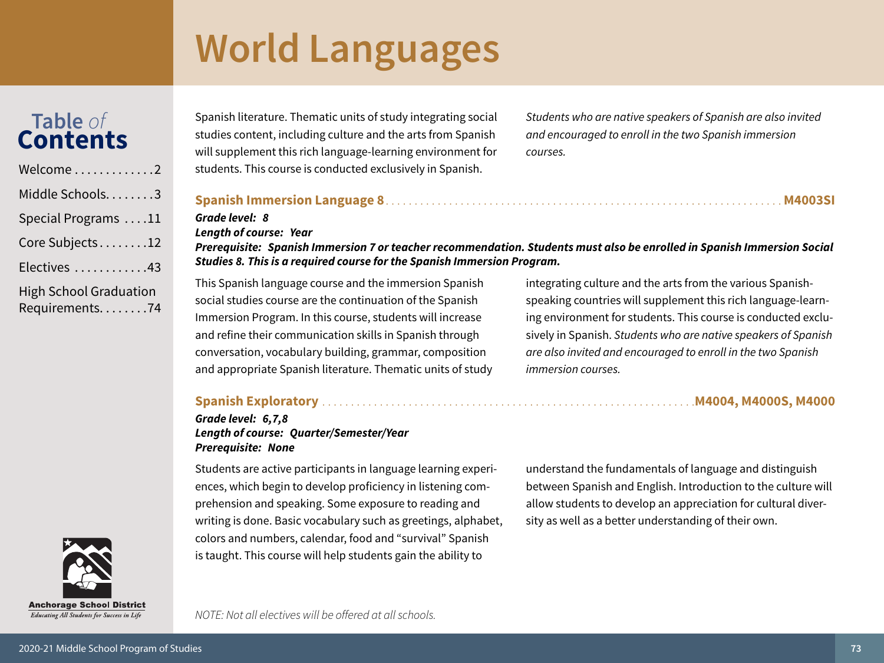# **World Languages**

# Table of<br>**Contents**

| Welcome2                                          |
|---------------------------------------------------|
| Middle Schools. 3                                 |
| Special Programs 11                               |
| Core Subjects12                                   |
| Electives 43                                      |
| <b>High School Graduation</b><br>Requirements. 74 |

Spanish literature. Thematic units of study integrating social studies content, including culture and the arts from Spanish will supplement this rich language-learning environment for students. This course is conducted exclusively in Spanish.

Students who are native speakers of Spanish are also invited and encouraged to enroll in the two Spanish immersion courses.

#### 

#### Grade level: 8

#### **Length of course: Year**

Prerequisite: Spanish Immersion 7 or teacher recommendation. Students must also be enrolled in Spanish Immersion Social Studies 8. This is a required course for the Spanish Immersion Program.

This Spanish language course and the immersion Spanish social studies course are the continuation of the Spanish Immersion Program. In this course, students will increase and refine their communication skills in Spanish through conversation, vocabulary building, grammar, composition and appropriate Spanish literature. Thematic units of study integrating culture and the arts from the various Spanishspeaking countries will supplement this rich language-learning environment for students. This course is conducted exclusively in Spanish. Students who are native speakers of Spanish are also invited and encouraged to enroll in the two Spanish *immersion courses.* 

#### 

#### Grade level: 6,7,8 **Length of course: Quarter/Semester/Year Prerequisite: None**

Students are active participants in language learning experiences, which begin to develop proficiency in listening comprehension and speaking. Some exposure to reading and writing is done. Basic vocabulary such as greetings, alphabet, colors and numbers, calendar, food and "survival" Spanish is taught. This course will help students gain the ability to

understand the fundamentals of language and distinguish between Spanish and English. Introduction to the culture will allow students to develop an appreciation for cultural diversity as well as a better understanding of their own.



**Anchorage School District** Educating All Students for Success in Life

NOTE: Not all electives will be offered at all schools.